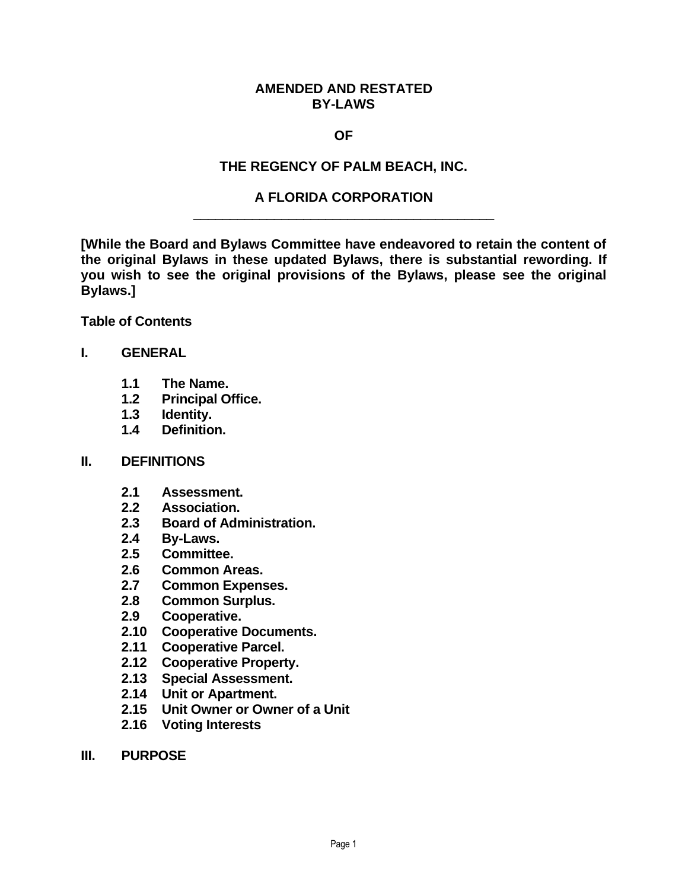#### **AMENDED AND RESTATED BY-LAWS**

#### **OF**

### **THE REGENCY OF PALM BEACH, INC.**

#### **A FLORIDA CORPORATION** \_\_\_\_\_\_\_\_\_\_\_\_\_\_\_\_\_\_\_\_\_\_\_\_\_\_\_\_\_\_\_\_\_\_\_\_\_\_\_\_\_

**[While the Board and Bylaws Committee have endeavored to retain the content of the original Bylaws in these updated Bylaws, there is substantial rewording. If you wish to see the original provisions of the Bylaws, please see the original Bylaws.]**

**Table of Contents**

#### **I. GENERAL**

- **1.1 The Name.**
- **1.2 Principal Office.**
- **1.3 Identity.**
- **1.4 Definition.**

#### **II. DEFINITIONS**

- **2.1 Assessment.**
- **2.2 Association.**
- **2.3 Board of Administration.**
- **2.4 By-Laws.**
- **2.5 Committee.**
- **2.6 Common Areas.**
- **2.7 Common Expenses.**
- **2.8 Common Surplus.**
- **2.9 Cooperative.**
- **2.10 Cooperative Documents.**
- **2.11 Cooperative Parcel.**
- **2.12 Cooperative Property.**
- **2.13 Special Assessment.**
- **2.14 Unit or Apartment.**
- **2.15 Unit Owner or Owner of a Unit**
- **2.16 Voting Interests**
- **III. PURPOSE**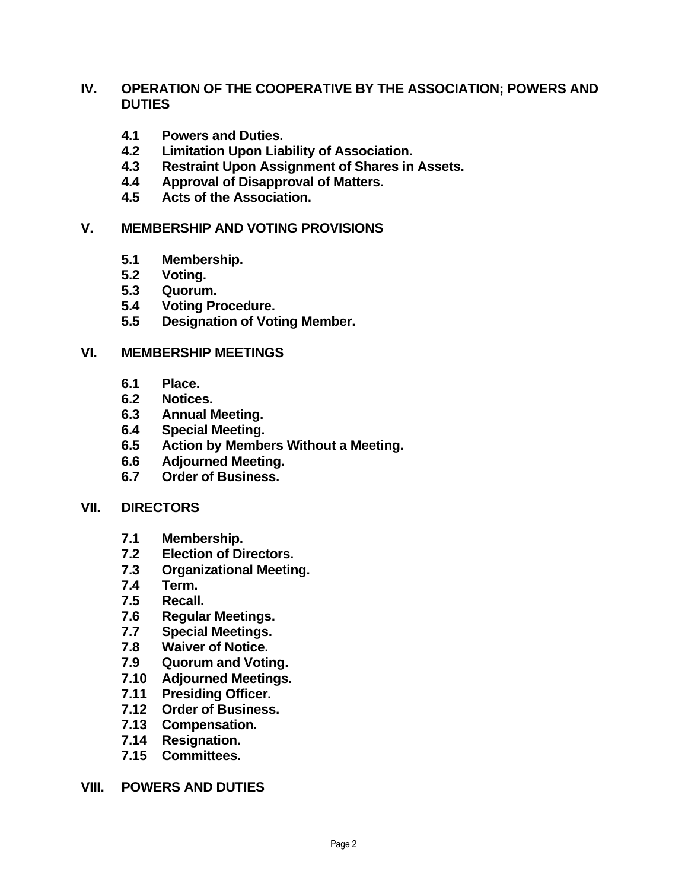### **IV. OPERATION OF THE COOPERATIVE BY THE ASSOCIATION; POWERS AND DUTIES**

- **4.1 Powers and Duties.**
- **4.2 Limitation Upon Liability of Association.**
- **4.3 Restraint Upon Assignment of Shares in Assets.**
- **4.4 Approval of Disapproval of Matters.**
- **4.5 Acts of the Association.**

#### **V. MEMBERSHIP AND VOTING PROVISIONS**

- **5.1 Membership.**
- **5.2 Voting.**
- **5.3 Quorum.**
- **5.4 Voting Procedure.**
- **5.5 Designation of Voting Member.**

#### **VI. MEMBERSHIP MEETINGS**

- **6.1 Place.**
- **6.2 Notices.**
- **6.3 Annual Meeting.**
- **6.4 Special Meeting.**
- **6.5 Action by Members Without a Meeting.**
- **6.6 Adjourned Meeting.**
- **6.7 Order of Business.**

#### **VII. DIRECTORS**

- **7.1 Membership.**
- **7.2 Election of Directors.**
- **7.3 Organizational Meeting.**
- **7.4 Term.**
- **7.5 Recall.**
- **7.6 Regular Meetings.**
- **7.7 Special Meetings.**
- **7.8 Waiver of Notice.**
- **7.9 Quorum and Voting.**
- **7.10 Adjourned Meetings.**
- **7.11 Presiding Officer.**
- **7.12 Order of Business.**
- **7.13 Compensation.**
- **7.14 Resignation.**
- **7.15 Committees.**
- **VIII. POWERS AND DUTIES**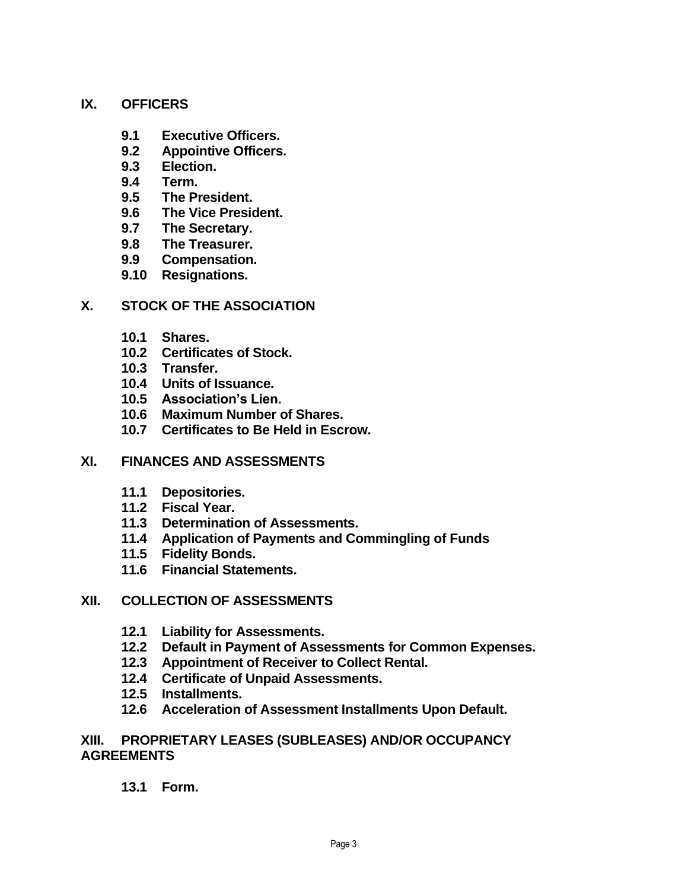### **IX. OFFICERS**

- **9.1 Executive Officers.**
- **9.2 Appointive Officers.**
- **9.3 Election.**
- **9.4 Term.**
- **9.5 The President.**
- **9.6 The Vice President.**
- **9.7 The Secretary.**
- **9.8 The Treasurer.**
- **9.9 Compensation.**
- **9.10 Resignations.**

### **X. STOCK OF THE ASSOCIATION**

- **10.1 Shares.**
- **10.2 Certificates of Stock.**
- **10.3 Transfer.**
- **10.4 Units of Issuance.**
- **10.5 Association's Lien.**
- **10.6 Maximum Number of Shares.**
- **10.7 Certificates to Be Held in Escrow.**

### **XI. FINANCES AND ASSESSMENTS**

- **11.1 Depositories.**
- **11.2 Fiscal Year.**
- **11.3 Determination of Assessments.**
- **11.4 Application of Payments and Commingling of Funds**
- **11.5 Fidelity Bonds.**
- **11.6 Financial Statements.**

### **XII. COLLECTION OF ASSESSMENTS**

- **12.1 Liability for Assessments.**
- **12.2 Default in Payment of Assessments for Common Expenses.**
- **12.3 Appointment of Receiver to Collect Rental.**
- **12.4 Certificate of Unpaid Assessments.**
- **12.5 Installments.**
- **12.6 Acceleration of Assessment Installments Upon Default.**

#### **XIII. PROPRIETARY LEASES (SUBLEASES) AND/OR OCCUPANCY AGREEMENTS**

### **13.1 Form.**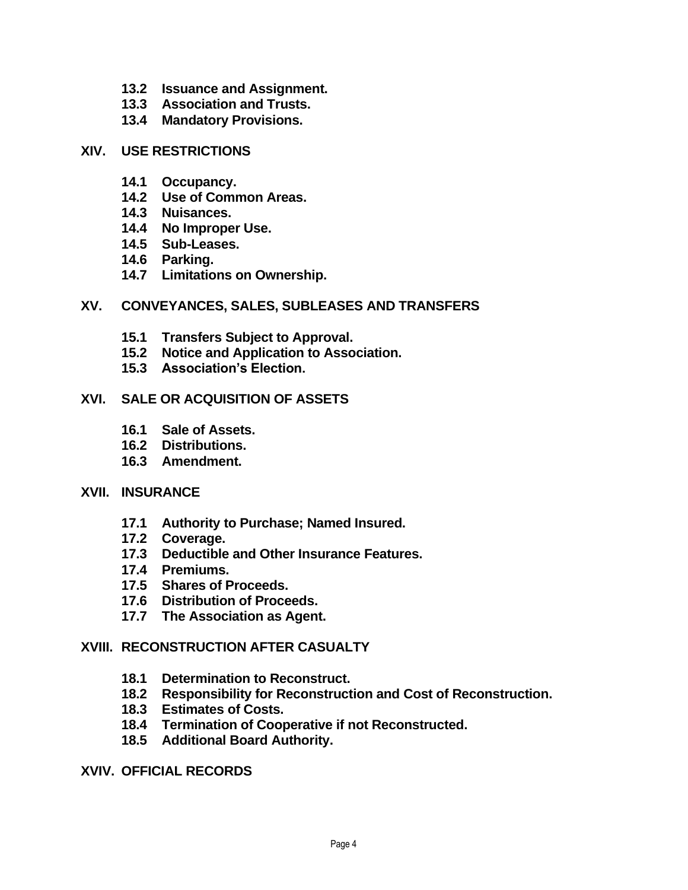- **13.2 Issuance and Assignment.**
- **13.3 Association and Trusts.**
- **13.4 Mandatory Provisions.**

#### **XIV. USE RESTRICTIONS**

- **14.1 Occupancy.**
- **14.2 Use of Common Areas.**
- **14.3 Nuisances.**
- **14.4 No Improper Use.**
- **14.5 Sub-Leases.**
- **14.6 Parking.**
- **14.7 Limitations on Ownership.**

#### **XV. CONVEYANCES, SALES, SUBLEASES AND TRANSFERS**

- **15.1 Transfers Subject to Approval.**
- **15.2 Notice and Application to Association.**
- **15.3 Association's Election.**

#### **XVI. SALE OR ACQUISITION OF ASSETS**

- **16.1 Sale of Assets.**
- **16.2 Distributions.**
- **16.3 Amendment.**

#### **XVII. INSURANCE**

- **17.1 Authority to Purchase; Named Insured.**
- **17.2 Coverage.**
- **17.3 Deductible and Other Insurance Features.**
- **17.4 Premiums.**
- **17.5 Shares of Proceeds.**
- **17.6 Distribution of Proceeds.**
- **17.7 The Association as Agent.**

#### **XVIII. RECONSTRUCTION AFTER CASUALTY**

- **18.1 Determination to Reconstruct.**
- **18.2 Responsibility for Reconstruction and Cost of Reconstruction.**
- **18.3 Estimates of Costs.**
- **18.4 Termination of Cooperative if not Reconstructed.**
- **18.5 Additional Board Authority.**

#### **XVIV. OFFICIAL RECORDS**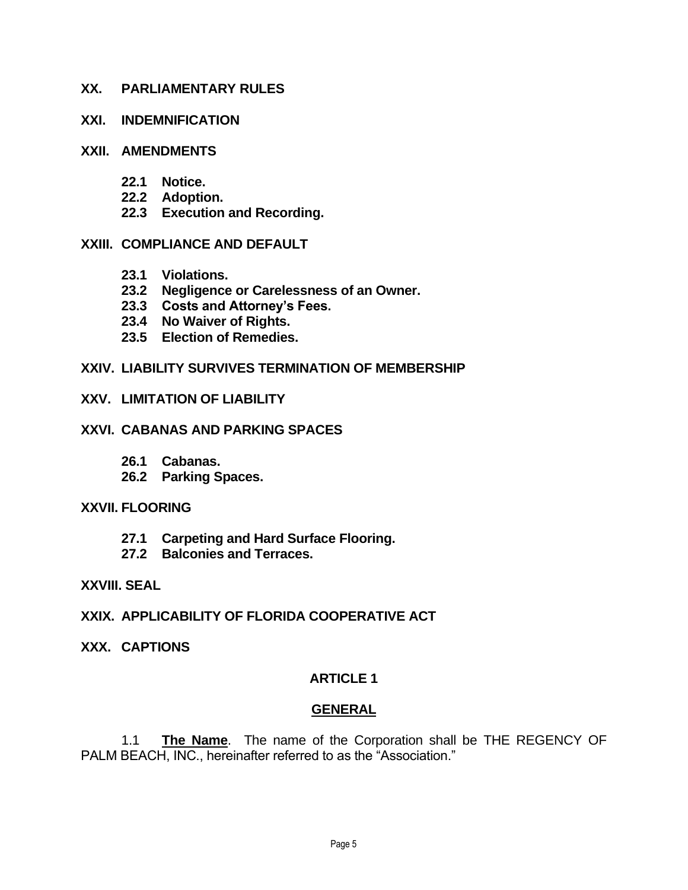#### **XX. PARLIAMENTARY RULES**

#### **XXI. INDEMNIFICATION**

#### **XXII. AMENDMENTS**

- **22.1 Notice.**
- **22.2 Adoption.**
- **22.3 Execution and Recording.**

### **XXIII. COMPLIANCE AND DEFAULT**

- **23.1 Violations.**
- **23.2 Negligence or Carelessness of an Owner.**
- **23.3 Costs and Attorney's Fees.**
- **23.4 No Waiver of Rights.**
- **23.5 Election of Remedies.**

#### **XXIV. LIABILITY SURVIVES TERMINATION OF MEMBERSHIP**

#### **XXV. LIMITATION OF LIABILITY**

#### **XXVI. CABANAS AND PARKING SPACES**

- **26.1 Cabanas.**
- **26.2 Parking Spaces.**

#### **XXVII. FLOORING**

- **27.1 Carpeting and Hard Surface Flooring.**
- **27.2 Balconies and Terraces.**

#### **XXVIII. SEAL**

- **XXIX. APPLICABILITY OF FLORIDA COOPERATIVE ACT**
- **XXX. CAPTIONS**

### **ARTICLE 1**

### **GENERAL**

1.1 **The Name**. The name of the Corporation shall be THE REGENCY OF PALM BEACH, INC., hereinafter referred to as the "Association."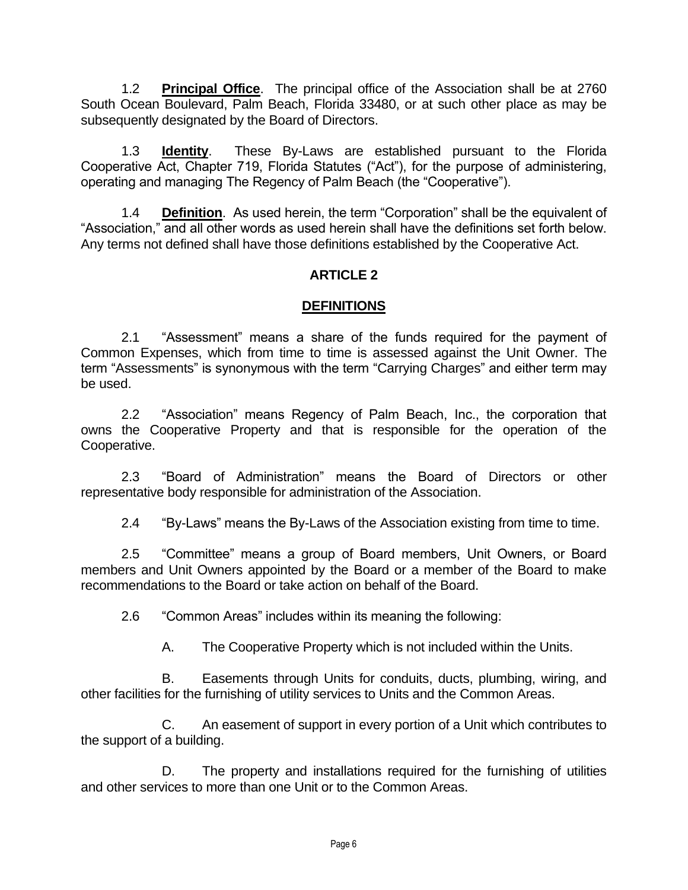1.2 **Principal Office**. The principal office of the Association shall be at 2760 South Ocean Boulevard, Palm Beach, Florida 33480, or at such other place as may be subsequently designated by the Board of Directors.

1.3 **Identity**. These By-Laws are established pursuant to the Florida Cooperative Act, Chapter 719, Florida Statutes ("Act"), for the purpose of administering, operating and managing The Regency of Palm Beach (the "Cooperative").

1.4 **Definition**. As used herein, the term "Corporation" shall be the equivalent of "Association," and all other words as used herein shall have the definitions set forth below. Any terms not defined shall have those definitions established by the Cooperative Act.

## **ARTICLE 2**

### **DEFINITIONS**

2.1 "Assessment" means a share of the funds required for the payment of Common Expenses, which from time to time is assessed against the Unit Owner. The term "Assessments" is synonymous with the term "Carrying Charges" and either term may be used.

2.2 "Association" means Regency of Palm Beach, Inc., the corporation that owns the Cooperative Property and that is responsible for the operation of the Cooperative.

2.3 "Board of Administration" means the Board of Directors or other representative body responsible for administration of the Association.

2.4 "By-Laws" means the By-Laws of the Association existing from time to time.

2.5 "Committee" means a group of Board members, Unit Owners, or Board members and Unit Owners appointed by the Board or a member of the Board to make recommendations to the Board or take action on behalf of the Board.

2.6 "Common Areas" includes within its meaning the following:

A. The Cooperative Property which is not included within the Units.

B. Easements through Units for conduits, ducts, plumbing, wiring, and other facilities for the furnishing of utility services to Units and the Common Areas.

C. An easement of support in every portion of a Unit which contributes to the support of a building.

D. The property and installations required for the furnishing of utilities and other services to more than one Unit or to the Common Areas.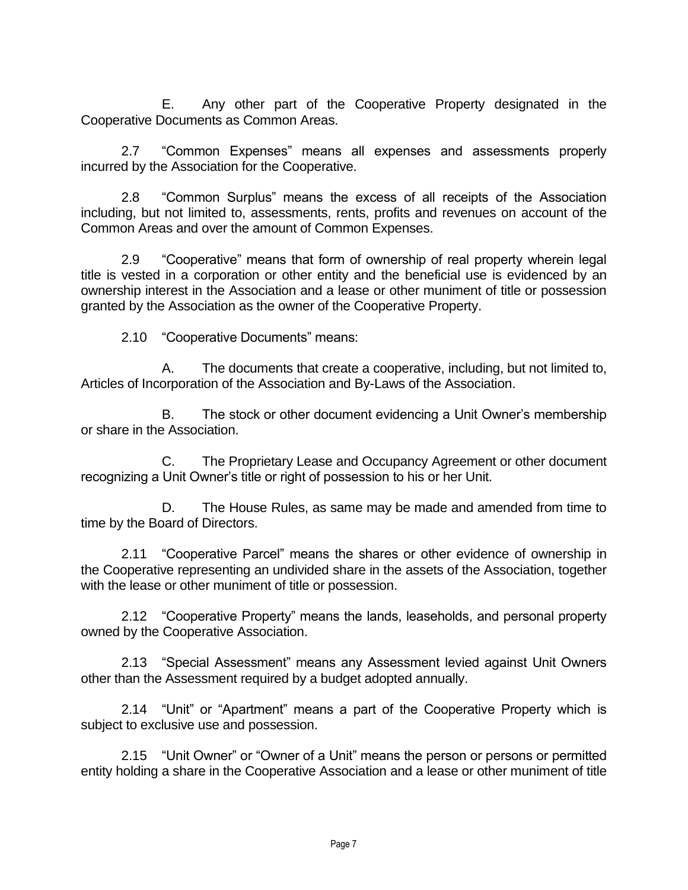E. Any other part of the Cooperative Property designated in the Cooperative Documents as Common Areas.

2.7 "Common Expenses" means all expenses and assessments properly incurred by the Association for the Cooperative.

2.8 "Common Surplus" means the excess of all receipts of the Association including, but not limited to, assessments, rents, profits and revenues on account of the Common Areas and over the amount of Common Expenses.

2.9 "Cooperative" means that form of ownership of real property wherein legal title is vested in a corporation or other entity and the beneficial use is evidenced by an ownership interest in the Association and a lease or other muniment of title or possession granted by the Association as the owner of the Cooperative Property.

2.10 "Cooperative Documents" means:

A. The documents that create a cooperative, including, but not limited to, Articles of Incorporation of the Association and By-Laws of the Association.

B. The stock or other document evidencing a Unit Owner's membership or share in the Association.

C. The Proprietary Lease and Occupancy Agreement or other document recognizing a Unit Owner's title or right of possession to his or her Unit.

D. The House Rules, as same may be made and amended from time to time by the Board of Directors.

2.11 "Cooperative Parcel" means the shares or other evidence of ownership in the Cooperative representing an undivided share in the assets of the Association, together with the lease or other muniment of title or possession.

2.12 "Cooperative Property" means the lands, leaseholds, and personal property owned by the Cooperative Association.

2.13 "Special Assessment" means any Assessment levied against Unit Owners other than the Assessment required by a budget adopted annually.

2.14 "Unit" or "Apartment" means a part of the Cooperative Property which is subject to exclusive use and possession.

2.15 "Unit Owner" or "Owner of a Unit" means the person or persons or permitted entity holding a share in the Cooperative Association and a lease or other muniment of title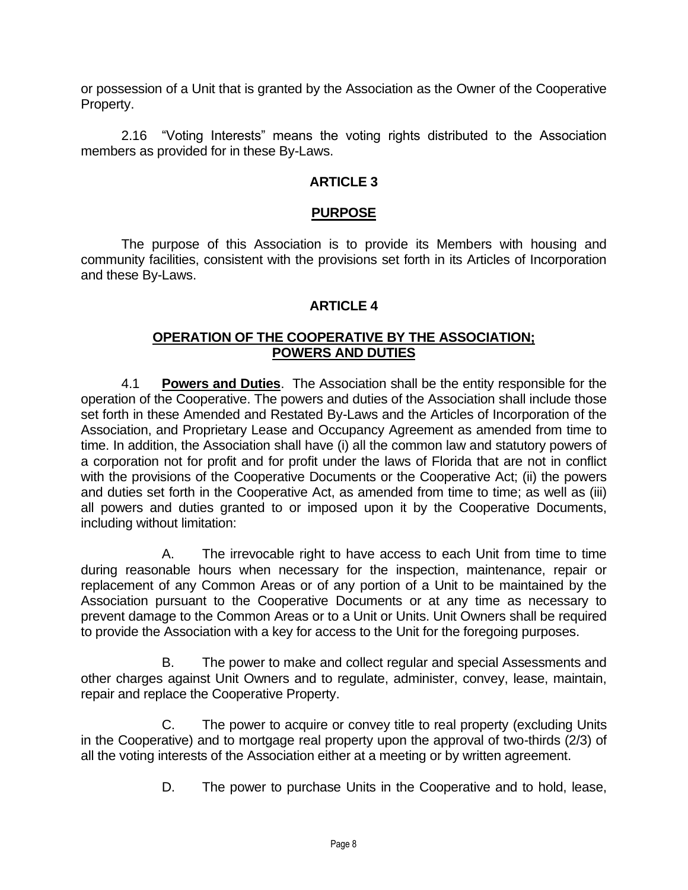or possession of a Unit that is granted by the Association as the Owner of the Cooperative Property.

2.16 "Voting Interests" means the voting rights distributed to the Association members as provided for in these By-Laws.

#### **ARTICLE 3**

#### **PURPOSE**

The purpose of this Association is to provide its Members with housing and community facilities, consistent with the provisions set forth in its Articles of Incorporation and these By-Laws.

### **ARTICLE 4**

#### **OPERATION OF THE COOPERATIVE BY THE ASSOCIATION; POWERS AND DUTIES**

4.1 **Powers and Duties**. The Association shall be the entity responsible for the operation of the Cooperative. The powers and duties of the Association shall include those set forth in these Amended and Restated By-Laws and the Articles of Incorporation of the Association, and Proprietary Lease and Occupancy Agreement as amended from time to time. In addition, the Association shall have (i) all the common law and statutory powers of a corporation not for profit and for profit under the laws of Florida that are not in conflict with the provisions of the Cooperative Documents or the Cooperative Act; (ii) the powers and duties set forth in the Cooperative Act, as amended from time to time; as well as (iii) all powers and duties granted to or imposed upon it by the Cooperative Documents, including without limitation:

A. The irrevocable right to have access to each Unit from time to time during reasonable hours when necessary for the inspection, maintenance, repair or replacement of any Common Areas or of any portion of a Unit to be maintained by the Association pursuant to the Cooperative Documents or at any time as necessary to prevent damage to the Common Areas or to a Unit or Units. Unit Owners shall be required to provide the Association with a key for access to the Unit for the foregoing purposes.

B. The power to make and collect regular and special Assessments and other charges against Unit Owners and to regulate, administer, convey, lease, maintain, repair and replace the Cooperative Property.

C. The power to acquire or convey title to real property (excluding Units in the Cooperative) and to mortgage real property upon the approval of two-thirds (2/3) of all the voting interests of the Association either at a meeting or by written agreement.

D. The power to purchase Units in the Cooperative and to hold, lease,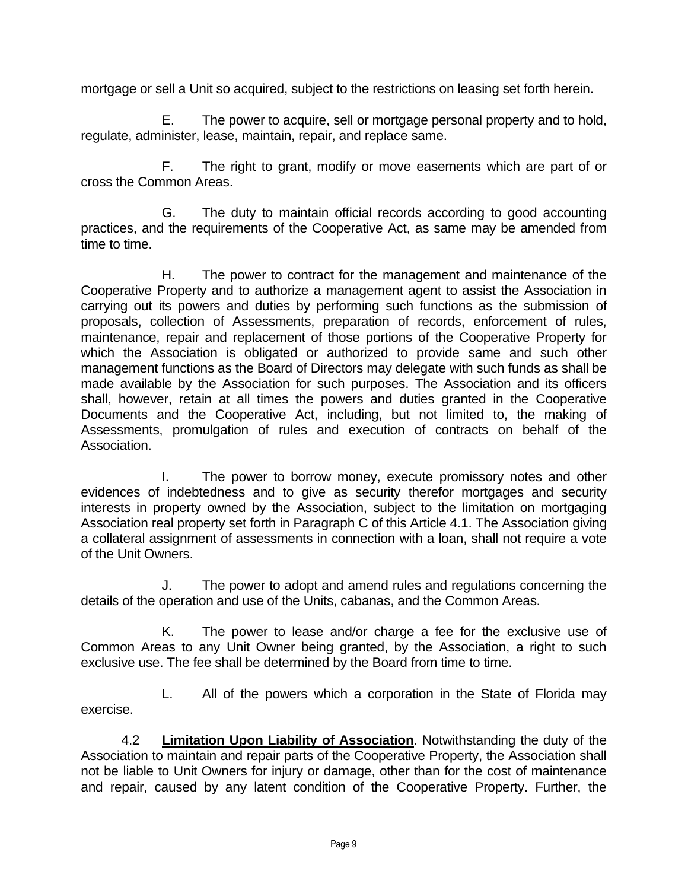mortgage or sell a Unit so acquired, subject to the restrictions on leasing set forth herein.

E. The power to acquire, sell or mortgage personal property and to hold, regulate, administer, lease, maintain, repair, and replace same.

F. The right to grant, modify or move easements which are part of or cross the Common Areas.

G. The duty to maintain official records according to good accounting practices, and the requirements of the Cooperative Act, as same may be amended from time to time.

H. The power to contract for the management and maintenance of the Cooperative Property and to authorize a management agent to assist the Association in carrying out its powers and duties by performing such functions as the submission of proposals, collection of Assessments, preparation of records, enforcement of rules, maintenance, repair and replacement of those portions of the Cooperative Property for which the Association is obligated or authorized to provide same and such other management functions as the Board of Directors may delegate with such funds as shall be made available by the Association for such purposes. The Association and its officers shall, however, retain at all times the powers and duties granted in the Cooperative Documents and the Cooperative Act, including, but not limited to, the making of Assessments, promulgation of rules and execution of contracts on behalf of the Association.

I. The power to borrow money, execute promissory notes and other evidences of indebtedness and to give as security therefor mortgages and security interests in property owned by the Association, subject to the limitation on mortgaging Association real property set forth in Paragraph C of this Article 4.1. The Association giving a collateral assignment of assessments in connection with a loan, shall not require a vote of the Unit Owners.

J. The power to adopt and amend rules and regulations concerning the details of the operation and use of the Units, cabanas, and the Common Areas.

K. The power to lease and/or charge a fee for the exclusive use of Common Areas to any Unit Owner being granted, by the Association, a right to such exclusive use. The fee shall be determined by the Board from time to time.

L. All of the powers which a corporation in the State of Florida may exercise.

4.2 **Limitation Upon Liability of Association**. Notwithstanding the duty of the Association to maintain and repair parts of the Cooperative Property, the Association shall not be liable to Unit Owners for injury or damage, other than for the cost of maintenance and repair, caused by any latent condition of the Cooperative Property. Further, the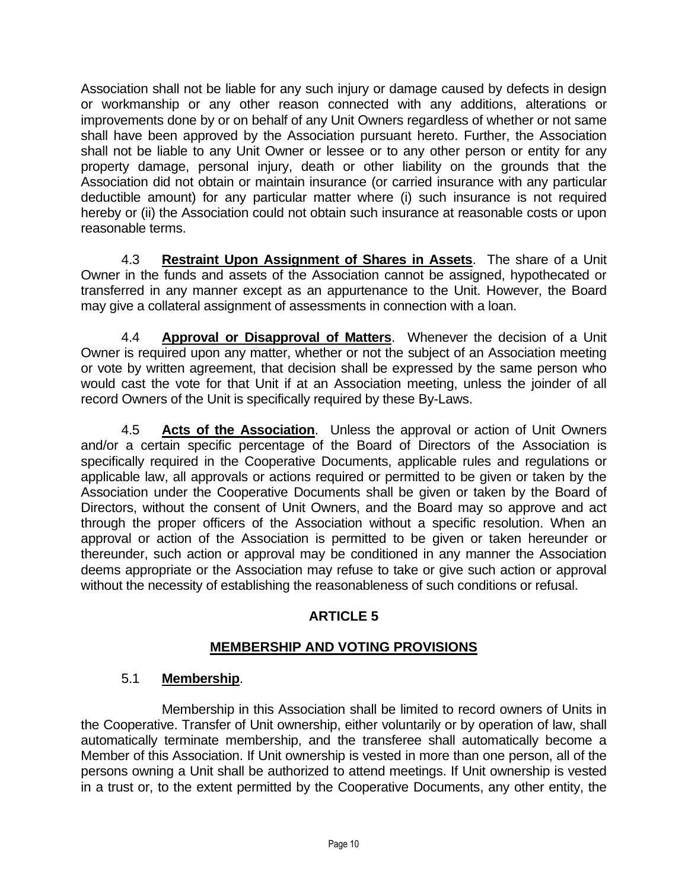Association shall not be liable for any such injury or damage caused by defects in design or workmanship or any other reason connected with any additions, alterations or improvements done by or on behalf of any Unit Owners regardless of whether or not same shall have been approved by the Association pursuant hereto. Further, the Association shall not be liable to any Unit Owner or lessee or to any other person or entity for any property damage, personal injury, death or other liability on the grounds that the Association did not obtain or maintain insurance (or carried insurance with any particular deductible amount) for any particular matter where (i) such insurance is not required hereby or (ii) the Association could not obtain such insurance at reasonable costs or upon reasonable terms.

4.3 **Restraint Upon Assignment of Shares in Assets**. The share of a Unit Owner in the funds and assets of the Association cannot be assigned, hypothecated or transferred in any manner except as an appurtenance to the Unit. However, the Board may give a collateral assignment of assessments in connection with a loan.

4.4 **Approval or Disapproval of Matters**. Whenever the decision of a Unit Owner is required upon any matter, whether or not the subject of an Association meeting or vote by written agreement, that decision shall be expressed by the same person who would cast the vote for that Unit if at an Association meeting, unless the joinder of all record Owners of the Unit is specifically required by these By-Laws.

4.5 **Acts of the Association**. Unless the approval or action of Unit Owners and/or a certain specific percentage of the Board of Directors of the Association is specifically required in the Cooperative Documents, applicable rules and regulations or applicable law, all approvals or actions required or permitted to be given or taken by the Association under the Cooperative Documents shall be given or taken by the Board of Directors, without the consent of Unit Owners, and the Board may so approve and act through the proper officers of the Association without a specific resolution. When an approval or action of the Association is permitted to be given or taken hereunder or thereunder, such action or approval may be conditioned in any manner the Association deems appropriate or the Association may refuse to take or give such action or approval without the necessity of establishing the reasonableness of such conditions or refusal.

# **ARTICLE 5**

# **MEMBERSHIP AND VOTING PROVISIONS**

## 5.1 **Membership**.

Membership in this Association shall be limited to record owners of Units in the Cooperative. Transfer of Unit ownership, either voluntarily or by operation of law, shall automatically terminate membership, and the transferee shall automatically become a Member of this Association. If Unit ownership is vested in more than one person, all of the persons owning a Unit shall be authorized to attend meetings. If Unit ownership is vested in a trust or, to the extent permitted by the Cooperative Documents, any other entity, the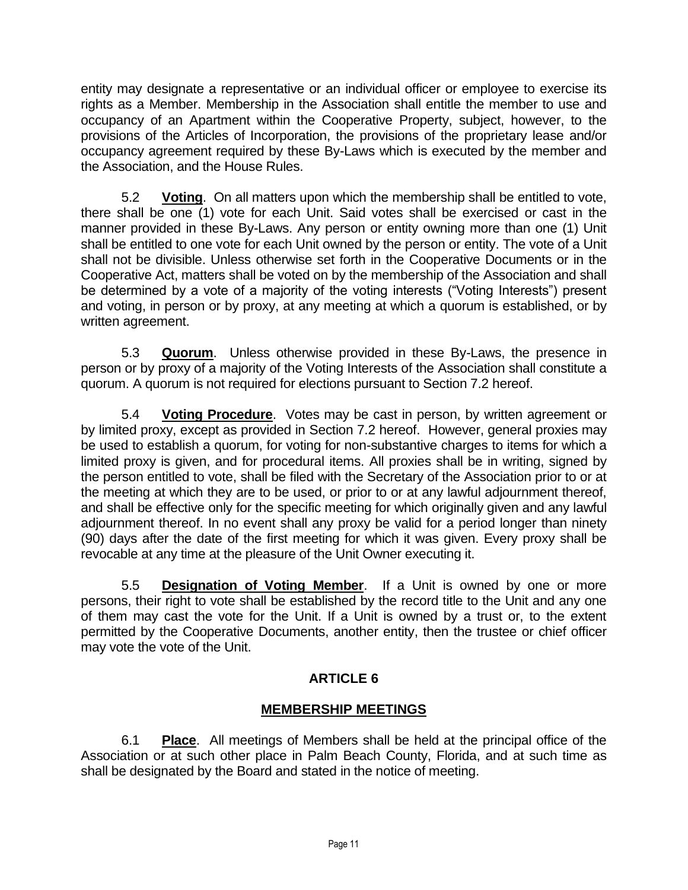entity may designate a representative or an individual officer or employee to exercise its rights as a Member. Membership in the Association shall entitle the member to use and occupancy of an Apartment within the Cooperative Property, subject, however, to the provisions of the Articles of Incorporation, the provisions of the proprietary lease and/or occupancy agreement required by these By-Laws which is executed by the member and the Association, and the House Rules.

5.2 **Voting**. On all matters upon which the membership shall be entitled to vote, there shall be one (1) vote for each Unit. Said votes shall be exercised or cast in the manner provided in these By-Laws. Any person or entity owning more than one (1) Unit shall be entitled to one vote for each Unit owned by the person or entity. The vote of a Unit shall not be divisible. Unless otherwise set forth in the Cooperative Documents or in the Cooperative Act, matters shall be voted on by the membership of the Association and shall be determined by a vote of a majority of the voting interests ("Voting Interests") present and voting, in person or by proxy, at any meeting at which a quorum is established, or by written agreement.

5.3 **Quorum**. Unless otherwise provided in these By-Laws, the presence in person or by proxy of a majority of the Voting Interests of the Association shall constitute a quorum. A quorum is not required for elections pursuant to Section 7.2 hereof.

5.4 **Voting Procedure**. Votes may be cast in person, by written agreement or by limited proxy, except as provided in Section 7.2 hereof. However, general proxies may be used to establish a quorum, for voting for non-substantive charges to items for which a limited proxy is given, and for procedural items. All proxies shall be in writing, signed by the person entitled to vote, shall be filed with the Secretary of the Association prior to or at the meeting at which they are to be used, or prior to or at any lawful adjournment thereof, and shall be effective only for the specific meeting for which originally given and any lawful adjournment thereof. In no event shall any proxy be valid for a period longer than ninety (90) days after the date of the first meeting for which it was given. Every proxy shall be revocable at any time at the pleasure of the Unit Owner executing it.

5.5 **Designation of Voting Member**. If a Unit is owned by one or more persons, their right to vote shall be established by the record title to the Unit and any one of them may cast the vote for the Unit. If a Unit is owned by a trust or, to the extent permitted by the Cooperative Documents, another entity, then the trustee or chief officer may vote the vote of the Unit.

# **ARTICLE 6**

# **MEMBERSHIP MEETINGS**

6.1 **Place**. All meetings of Members shall be held at the principal office of the Association or at such other place in Palm Beach County, Florida, and at such time as shall be designated by the Board and stated in the notice of meeting.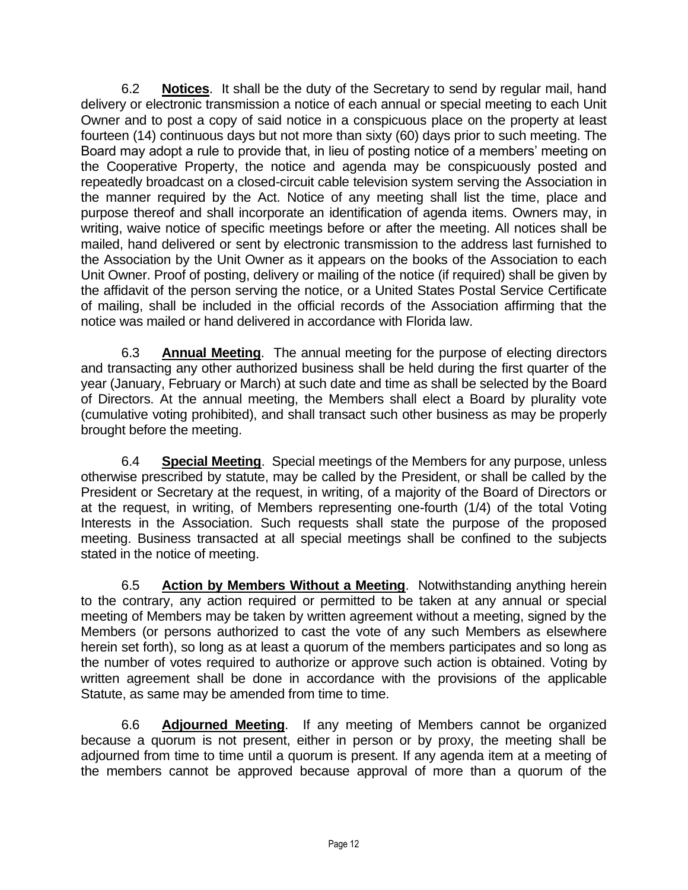6.2 **Notices**. It shall be the duty of the Secretary to send by regular mail, hand delivery or electronic transmission a notice of each annual or special meeting to each Unit Owner and to post a copy of said notice in a conspicuous place on the property at least fourteen (14) continuous days but not more than sixty (60) days prior to such meeting. The Board may adopt a rule to provide that, in lieu of posting notice of a members' meeting on the Cooperative Property, the notice and agenda may be conspicuously posted and repeatedly broadcast on a closed-circuit cable television system serving the Association in the manner required by the Act. Notice of any meeting shall list the time, place and purpose thereof and shall incorporate an identification of agenda items. Owners may, in writing, waive notice of specific meetings before or after the meeting. All notices shall be mailed, hand delivered or sent by electronic transmission to the address last furnished to the Association by the Unit Owner as it appears on the books of the Association to each Unit Owner. Proof of posting, delivery or mailing of the notice (if required) shall be given by the affidavit of the person serving the notice, or a United States Postal Service Certificate of mailing, shall be included in the official records of the Association affirming that the notice was mailed or hand delivered in accordance with Florida law.

6.3 **Annual Meeting**. The annual meeting for the purpose of electing directors and transacting any other authorized business shall be held during the first quarter of the year (January, February or March) at such date and time as shall be selected by the Board of Directors. At the annual meeting, the Members shall elect a Board by plurality vote (cumulative voting prohibited), and shall transact such other business as may be properly brought before the meeting.

6.4 **Special Meeting**. Special meetings of the Members for any purpose, unless otherwise prescribed by statute, may be called by the President, or shall be called by the President or Secretary at the request, in writing, of a majority of the Board of Directors or at the request, in writing, of Members representing one-fourth (1/4) of the total Voting Interests in the Association. Such requests shall state the purpose of the proposed meeting. Business transacted at all special meetings shall be confined to the subjects stated in the notice of meeting.

6.5 **Action by Members Without a Meeting**. Notwithstanding anything herein to the contrary, any action required or permitted to be taken at any annual or special meeting of Members may be taken by written agreement without a meeting, signed by the Members (or persons authorized to cast the vote of any such Members as elsewhere herein set forth), so long as at least a quorum of the members participates and so long as the number of votes required to authorize or approve such action is obtained. Voting by written agreement shall be done in accordance with the provisions of the applicable Statute, as same may be amended from time to time.

6.6 **Adjourned Meeting**. If any meeting of Members cannot be organized because a quorum is not present, either in person or by proxy, the meeting shall be adjourned from time to time until a quorum is present. If any agenda item at a meeting of the members cannot be approved because approval of more than a quorum of the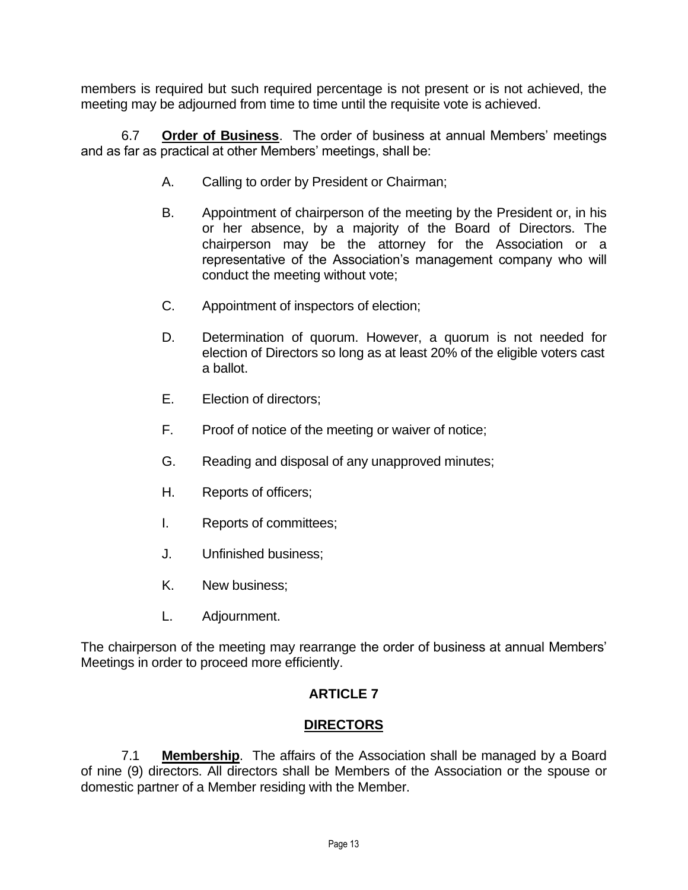members is required but such required percentage is not present or is not achieved, the meeting may be adjourned from time to time until the requisite vote is achieved.

6.7 **Order of Business**. The order of business at annual Members' meetings and as far as practical at other Members' meetings, shall be:

- A. Calling to order by President or Chairman;
- B. Appointment of chairperson of the meeting by the President or, in his or her absence, by a majority of the Board of Directors. The chairperson may be the attorney for the Association or a representative of the Association's management company who will conduct the meeting without vote;
- C. Appointment of inspectors of election;
- D. Determination of quorum. However, a quorum is not needed for election of Directors so long as at least 20% of the eligible voters cast a ballot.
- E. Election of directors;
- F. Proof of notice of the meeting or waiver of notice;
- G. Reading and disposal of any unapproved minutes;
- H. Reports of officers;
- I. Reports of committees;
- J. Unfinished business;
- K. New business;
- L. Adjournment.

The chairperson of the meeting may rearrange the order of business at annual Members' Meetings in order to proceed more efficiently.

## **ARTICLE 7**

### **DIRECTORS**

7.1 **Membership**. The affairs of the Association shall be managed by a Board of nine (9) directors. All directors shall be Members of the Association or the spouse or domestic partner of a Member residing with the Member.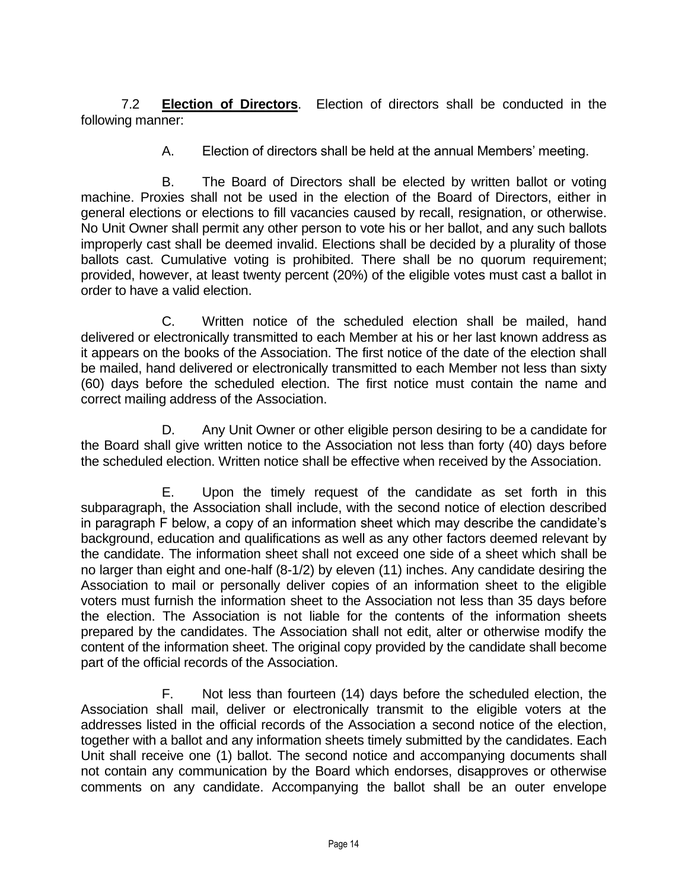7.2 **Election of Directors**. Election of directors shall be conducted in the following manner:

A. Election of directors shall be held at the annual Members' meeting.

B. The Board of Directors shall be elected by written ballot or voting machine. Proxies shall not be used in the election of the Board of Directors, either in general elections or elections to fill vacancies caused by recall, resignation, or otherwise. No Unit Owner shall permit any other person to vote his or her ballot, and any such ballots improperly cast shall be deemed invalid. Elections shall be decided by a plurality of those ballots cast. Cumulative voting is prohibited. There shall be no quorum requirement; provided, however, at least twenty percent (20%) of the eligible votes must cast a ballot in order to have a valid election.

C. Written notice of the scheduled election shall be mailed, hand delivered or electronically transmitted to each Member at his or her last known address as it appears on the books of the Association. The first notice of the date of the election shall be mailed, hand delivered or electronically transmitted to each Member not less than sixty (60) days before the scheduled election. The first notice must contain the name and correct mailing address of the Association.

D. Any Unit Owner or other eligible person desiring to be a candidate for the Board shall give written notice to the Association not less than forty (40) days before the scheduled election. Written notice shall be effective when received by the Association.

E. Upon the timely request of the candidate as set forth in this subparagraph, the Association shall include, with the second notice of election described in paragraph F below, a copy of an information sheet which may describe the candidate's background, education and qualifications as well as any other factors deemed relevant by the candidate. The information sheet shall not exceed one side of a sheet which shall be no larger than eight and one-half (8-1/2) by eleven (11) inches. Any candidate desiring the Association to mail or personally deliver copies of an information sheet to the eligible voters must furnish the information sheet to the Association not less than 35 days before the election. The Association is not liable for the contents of the information sheets prepared by the candidates. The Association shall not edit, alter or otherwise modify the content of the information sheet. The original copy provided by the candidate shall become part of the official records of the Association.

F. Not less than fourteen (14) days before the scheduled election, the Association shall mail, deliver or electronically transmit to the eligible voters at the addresses listed in the official records of the Association a second notice of the election, together with a ballot and any information sheets timely submitted by the candidates. Each Unit shall receive one (1) ballot. The second notice and accompanying documents shall not contain any communication by the Board which endorses, disapproves or otherwise comments on any candidate. Accompanying the ballot shall be an outer envelope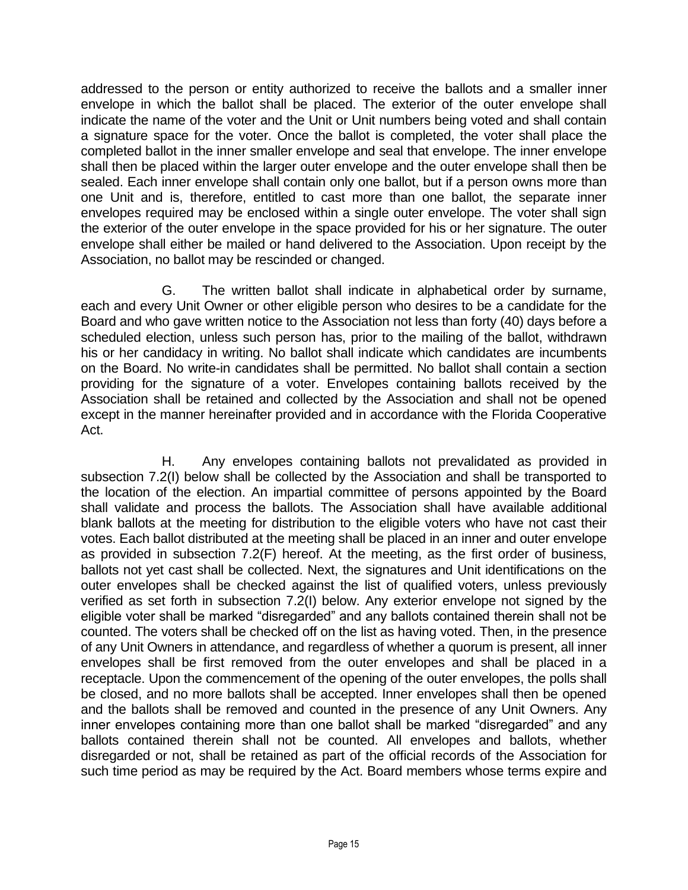addressed to the person or entity authorized to receive the ballots and a smaller inner envelope in which the ballot shall be placed. The exterior of the outer envelope shall indicate the name of the voter and the Unit or Unit numbers being voted and shall contain a signature space for the voter. Once the ballot is completed, the voter shall place the completed ballot in the inner smaller envelope and seal that envelope. The inner envelope shall then be placed within the larger outer envelope and the outer envelope shall then be sealed. Each inner envelope shall contain only one ballot, but if a person owns more than one Unit and is, therefore, entitled to cast more than one ballot, the separate inner envelopes required may be enclosed within a single outer envelope. The voter shall sign the exterior of the outer envelope in the space provided for his or her signature. The outer envelope shall either be mailed or hand delivered to the Association. Upon receipt by the Association, no ballot may be rescinded or changed.

G. The written ballot shall indicate in alphabetical order by surname, each and every Unit Owner or other eligible person who desires to be a candidate for the Board and who gave written notice to the Association not less than forty (40) days before a scheduled election, unless such person has, prior to the mailing of the ballot, withdrawn his or her candidacy in writing. No ballot shall indicate which candidates are incumbents on the Board. No write-in candidates shall be permitted. No ballot shall contain a section providing for the signature of a voter. Envelopes containing ballots received by the Association shall be retained and collected by the Association and shall not be opened except in the manner hereinafter provided and in accordance with the Florida Cooperative Act.

H. Any envelopes containing ballots not prevalidated as provided in subsection 7.2(I) below shall be collected by the Association and shall be transported to the location of the election. An impartial committee of persons appointed by the Board shall validate and process the ballots. The Association shall have available additional blank ballots at the meeting for distribution to the eligible voters who have not cast their votes. Each ballot distributed at the meeting shall be placed in an inner and outer envelope as provided in subsection 7.2(F) hereof. At the meeting, as the first order of business, ballots not yet cast shall be collected. Next, the signatures and Unit identifications on the outer envelopes shall be checked against the list of qualified voters, unless previously verified as set forth in subsection 7.2(I) below. Any exterior envelope not signed by the eligible voter shall be marked "disregarded" and any ballots contained therein shall not be counted. The voters shall be checked off on the list as having voted. Then, in the presence of any Unit Owners in attendance, and regardless of whether a quorum is present, all inner envelopes shall be first removed from the outer envelopes and shall be placed in a receptacle. Upon the commencement of the opening of the outer envelopes, the polls shall be closed, and no more ballots shall be accepted. Inner envelopes shall then be opened and the ballots shall be removed and counted in the presence of any Unit Owners. Any inner envelopes containing more than one ballot shall be marked "disregarded" and any ballots contained therein shall not be counted. All envelopes and ballots, whether disregarded or not, shall be retained as part of the official records of the Association for such time period as may be required by the Act. Board members whose terms expire and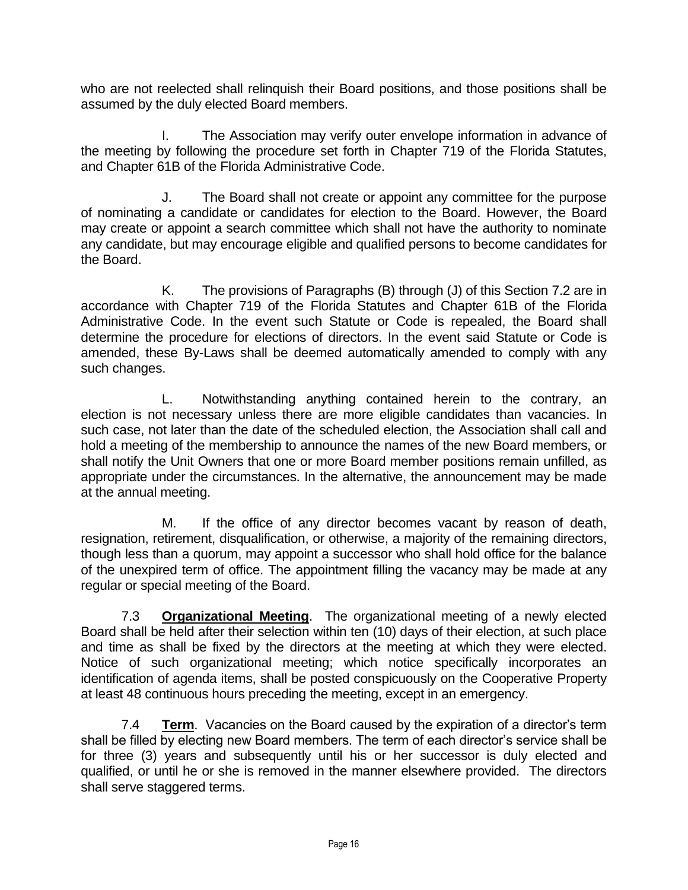who are not reelected shall relinquish their Board positions, and those positions shall be assumed by the duly elected Board members.

I. The Association may verify outer envelope information in advance of the meeting by following the procedure set forth in Chapter 719 of the Florida Statutes, and Chapter 61B of the Florida Administrative Code.

J. The Board shall not create or appoint any committee for the purpose of nominating a candidate or candidates for election to the Board. However, the Board may create or appoint a search committee which shall not have the authority to nominate any candidate, but may encourage eligible and qualified persons to become candidates for the Board.

K. The provisions of Paragraphs (B) through (J) of this Section 7.2 are in accordance with Chapter 719 of the Florida Statutes and Chapter 61B of the Florida Administrative Code. In the event such Statute or Code is repealed, the Board shall determine the procedure for elections of directors. In the event said Statute or Code is amended, these By-Laws shall be deemed automatically amended to comply with any such changes.

L. Notwithstanding anything contained herein to the contrary, an election is not necessary unless there are more eligible candidates than vacancies. In such case, not later than the date of the scheduled election, the Association shall call and hold a meeting of the membership to announce the names of the new Board members, or shall notify the Unit Owners that one or more Board member positions remain unfilled, as appropriate under the circumstances. In the alternative, the announcement may be made at the annual meeting.

M. If the office of any director becomes vacant by reason of death, resignation, retirement, disqualification, or otherwise, a majority of the remaining directors, though less than a quorum, may appoint a successor who shall hold office for the balance of the unexpired term of office. The appointment filling the vacancy may be made at any regular or special meeting of the Board.

7.3 **Organizational Meeting**. The organizational meeting of a newly elected Board shall be held after their selection within ten (10) days of their election, at such place and time as shall be fixed by the directors at the meeting at which they were elected. Notice of such organizational meeting; which notice specifically incorporates an identification of agenda items, shall be posted conspicuously on the Cooperative Property at least 48 continuous hours preceding the meeting, except in an emergency.

7.4 **Term**. Vacancies on the Board caused by the expiration of a director's term shall be filled by electing new Board members. The term of each director's service shall be for three (3) years and subsequently until his or her successor is duly elected and qualified, or until he or she is removed in the manner elsewhere provided. The directors shall serve staggered terms.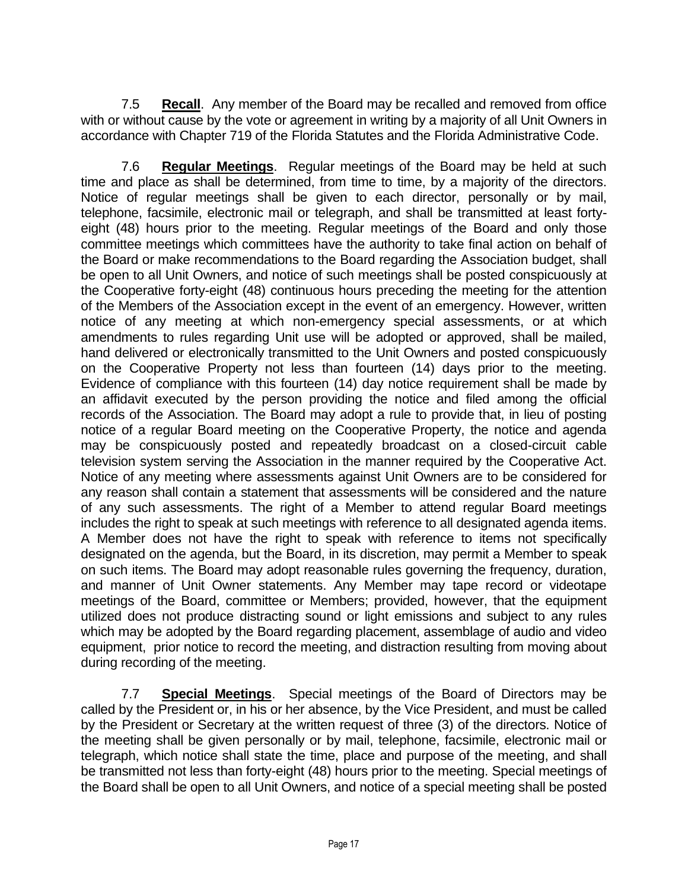7.5 **Recall**. Any member of the Board may be recalled and removed from office with or without cause by the vote or agreement in writing by a majority of all Unit Owners in accordance with Chapter 719 of the Florida Statutes and the Florida Administrative Code.

7.6 **Regular Meetings**. Regular meetings of the Board may be held at such time and place as shall be determined, from time to time, by a majority of the directors. Notice of regular meetings shall be given to each director, personally or by mail, telephone, facsimile, electronic mail or telegraph, and shall be transmitted at least fortyeight (48) hours prior to the meeting. Regular meetings of the Board and only those committee meetings which committees have the authority to take final action on behalf of the Board or make recommendations to the Board regarding the Association budget, shall be open to all Unit Owners, and notice of such meetings shall be posted conspicuously at the Cooperative forty-eight (48) continuous hours preceding the meeting for the attention of the Members of the Association except in the event of an emergency. However, written notice of any meeting at which non-emergency special assessments, or at which amendments to rules regarding Unit use will be adopted or approved, shall be mailed, hand delivered or electronically transmitted to the Unit Owners and posted conspicuously on the Cooperative Property not less than fourteen (14) days prior to the meeting. Evidence of compliance with this fourteen (14) day notice requirement shall be made by an affidavit executed by the person providing the notice and filed among the official records of the Association. The Board may adopt a rule to provide that, in lieu of posting notice of a regular Board meeting on the Cooperative Property, the notice and agenda may be conspicuously posted and repeatedly broadcast on a closed-circuit cable television system serving the Association in the manner required by the Cooperative Act. Notice of any meeting where assessments against Unit Owners are to be considered for any reason shall contain a statement that assessments will be considered and the nature of any such assessments. The right of a Member to attend regular Board meetings includes the right to speak at such meetings with reference to all designated agenda items. A Member does not have the right to speak with reference to items not specifically designated on the agenda, but the Board, in its discretion, may permit a Member to speak on such items. The Board may adopt reasonable rules governing the frequency, duration, and manner of Unit Owner statements. Any Member may tape record or videotape meetings of the Board, committee or Members; provided, however, that the equipment utilized does not produce distracting sound or light emissions and subject to any rules which may be adopted by the Board regarding placement, assemblage of audio and video equipment, prior notice to record the meeting, and distraction resulting from moving about during recording of the meeting.

7.7 **Special Meetings**. Special meetings of the Board of Directors may be called by the President or, in his or her absence, by the Vice President, and must be called by the President or Secretary at the written request of three (3) of the directors. Notice of the meeting shall be given personally or by mail, telephone, facsimile, electronic mail or telegraph, which notice shall state the time, place and purpose of the meeting, and shall be transmitted not less than forty-eight (48) hours prior to the meeting. Special meetings of the Board shall be open to all Unit Owners, and notice of a special meeting shall be posted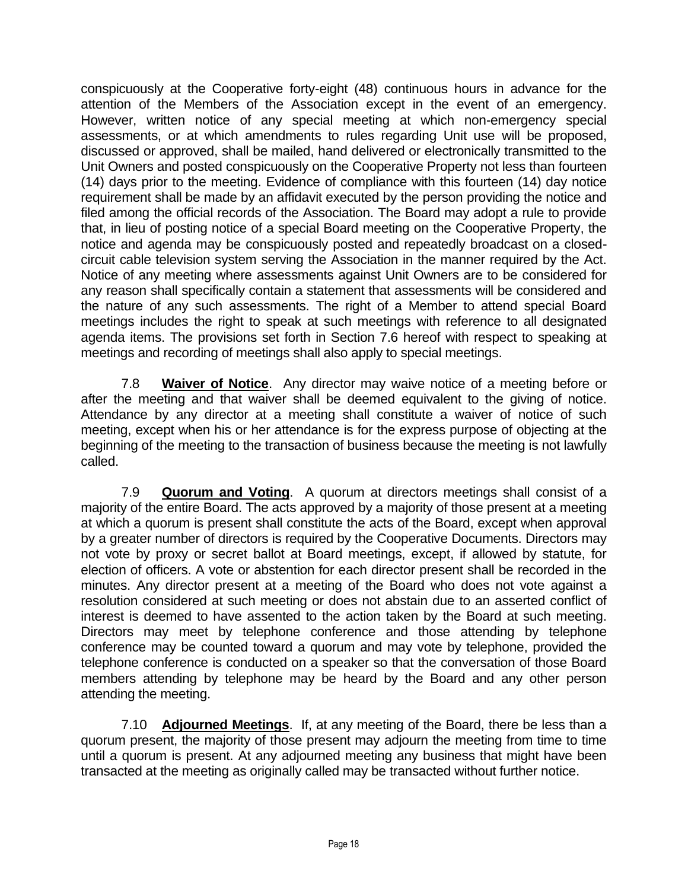conspicuously at the Cooperative forty-eight (48) continuous hours in advance for the attention of the Members of the Association except in the event of an emergency. However, written notice of any special meeting at which non-emergency special assessments, or at which amendments to rules regarding Unit use will be proposed, discussed or approved, shall be mailed, hand delivered or electronically transmitted to the Unit Owners and posted conspicuously on the Cooperative Property not less than fourteen (14) days prior to the meeting. Evidence of compliance with this fourteen (14) day notice requirement shall be made by an affidavit executed by the person providing the notice and filed among the official records of the Association. The Board may adopt a rule to provide that, in lieu of posting notice of a special Board meeting on the Cooperative Property, the notice and agenda may be conspicuously posted and repeatedly broadcast on a closedcircuit cable television system serving the Association in the manner required by the Act. Notice of any meeting where assessments against Unit Owners are to be considered for any reason shall specifically contain a statement that assessments will be considered and the nature of any such assessments. The right of a Member to attend special Board meetings includes the right to speak at such meetings with reference to all designated agenda items. The provisions set forth in Section 7.6 hereof with respect to speaking at meetings and recording of meetings shall also apply to special meetings.

7.8 **Waiver of Notice**. Any director may waive notice of a meeting before or after the meeting and that waiver shall be deemed equivalent to the giving of notice. Attendance by any director at a meeting shall constitute a waiver of notice of such meeting, except when his or her attendance is for the express purpose of objecting at the beginning of the meeting to the transaction of business because the meeting is not lawfully called.

7.9 **Quorum and Voting**. A quorum at directors meetings shall consist of a majority of the entire Board. The acts approved by a majority of those present at a meeting at which a quorum is present shall constitute the acts of the Board, except when approval by a greater number of directors is required by the Cooperative Documents. Directors may not vote by proxy or secret ballot at Board meetings, except, if allowed by statute, for election of officers. A vote or abstention for each director present shall be recorded in the minutes. Any director present at a meeting of the Board who does not vote against a resolution considered at such meeting or does not abstain due to an asserted conflict of interest is deemed to have assented to the action taken by the Board at such meeting. Directors may meet by telephone conference and those attending by telephone conference may be counted toward a quorum and may vote by telephone, provided the telephone conference is conducted on a speaker so that the conversation of those Board members attending by telephone may be heard by the Board and any other person attending the meeting.

7.10 **Adjourned Meetings**. If, at any meeting of the Board, there be less than a quorum present, the majority of those present may adjourn the meeting from time to time until a quorum is present. At any adjourned meeting any business that might have been transacted at the meeting as originally called may be transacted without further notice.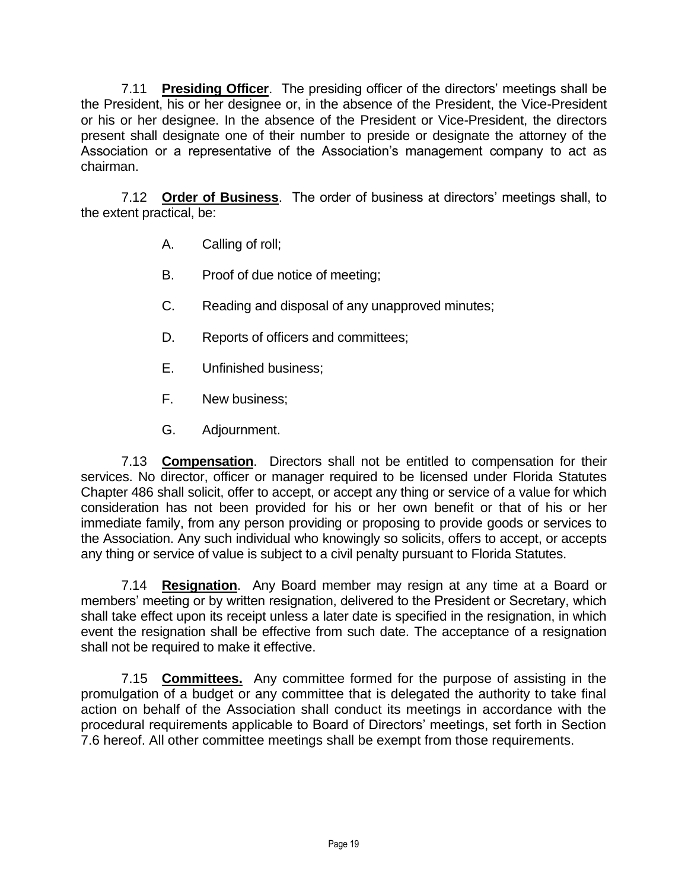7.11 **Presiding Officer**. The presiding officer of the directors' meetings shall be the President, his or her designee or, in the absence of the President, the Vice-President or his or her designee. In the absence of the President or Vice-President, the directors present shall designate one of their number to preside or designate the attorney of the Association or a representative of the Association's management company to act as chairman.

7.12 **Order of Business**. The order of business at directors' meetings shall, to the extent practical, be:

- A. Calling of roll;
- B. Proof of due notice of meeting;
- C. Reading and disposal of any unapproved minutes;
- D. Reports of officers and committees;
- E. Unfinished business;
- F. New business;
- G. Adjournment.

7.13 **Compensation**. Directors shall not be entitled to compensation for their services. No director, officer or manager required to be licensed under Florida Statutes Chapter 486 shall solicit, offer to accept, or accept any thing or service of a value for which consideration has not been provided for his or her own benefit or that of his or her immediate family, from any person providing or proposing to provide goods or services to the Association. Any such individual who knowingly so solicits, offers to accept, or accepts any thing or service of value is subject to a civil penalty pursuant to Florida Statutes.

7.14 **Resignation**. Any Board member may resign at any time at a Board or members' meeting or by written resignation, delivered to the President or Secretary, which shall take effect upon its receipt unless a later date is specified in the resignation, in which event the resignation shall be effective from such date. The acceptance of a resignation shall not be required to make it effective.

7.15 **Committees.** Any committee formed for the purpose of assisting in the promulgation of a budget or any committee that is delegated the authority to take final action on behalf of the Association shall conduct its meetings in accordance with the procedural requirements applicable to Board of Directors' meetings, set forth in Section 7.6 hereof. All other committee meetings shall be exempt from those requirements.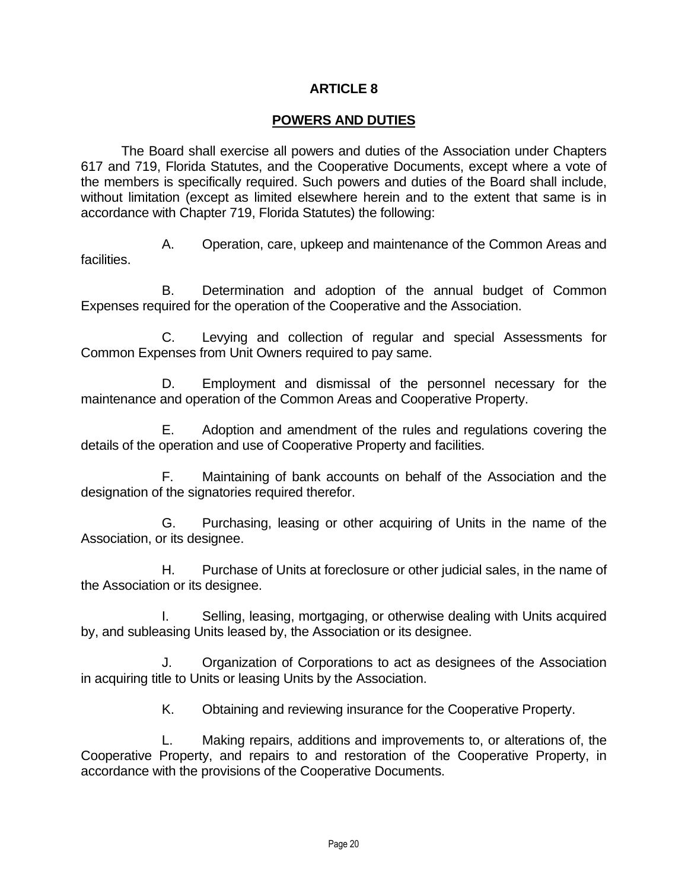## **ARTICLE 8**

### **POWERS AND DUTIES**

The Board shall exercise all powers and duties of the Association under Chapters 617 and 719, Florida Statutes, and the Cooperative Documents, except where a vote of the members is specifically required. Such powers and duties of the Board shall include, without limitation (except as limited elsewhere herein and to the extent that same is in accordance with Chapter 719, Florida Statutes) the following:

A. Operation, care, upkeep and maintenance of the Common Areas and facilities.

B. Determination and adoption of the annual budget of Common Expenses required for the operation of the Cooperative and the Association.

C. Levying and collection of regular and special Assessments for Common Expenses from Unit Owners required to pay same.

D. Employment and dismissal of the personnel necessary for the maintenance and operation of the Common Areas and Cooperative Property.

E. Adoption and amendment of the rules and regulations covering the details of the operation and use of Cooperative Property and facilities.

F. Maintaining of bank accounts on behalf of the Association and the designation of the signatories required therefor.

G. Purchasing, leasing or other acquiring of Units in the name of the Association, or its designee.

H. Purchase of Units at foreclosure or other judicial sales, in the name of the Association or its designee.

I. Selling, leasing, mortgaging, or otherwise dealing with Units acquired by, and subleasing Units leased by, the Association or its designee.

J. Organization of Corporations to act as designees of the Association in acquiring title to Units or leasing Units by the Association.

K. Obtaining and reviewing insurance for the Cooperative Property.

L. Making repairs, additions and improvements to, or alterations of, the Cooperative Property, and repairs to and restoration of the Cooperative Property, in accordance with the provisions of the Cooperative Documents.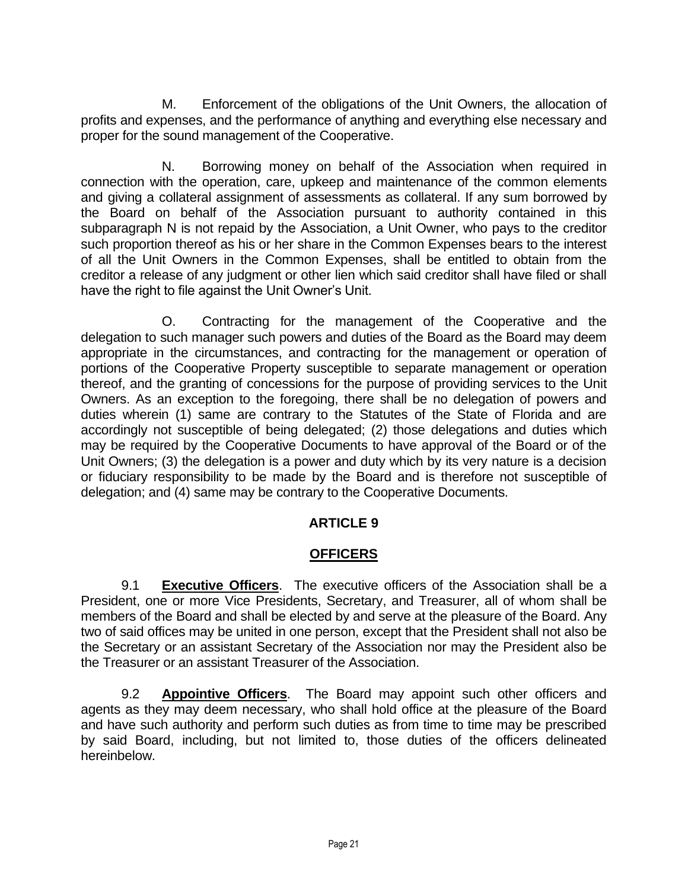M. Enforcement of the obligations of the Unit Owners, the allocation of profits and expenses, and the performance of anything and everything else necessary and proper for the sound management of the Cooperative.

N. Borrowing money on behalf of the Association when required in connection with the operation, care, upkeep and maintenance of the common elements and giving a collateral assignment of assessments as collateral. If any sum borrowed by the Board on behalf of the Association pursuant to authority contained in this subparagraph N is not repaid by the Association, a Unit Owner, who pays to the creditor such proportion thereof as his or her share in the Common Expenses bears to the interest of all the Unit Owners in the Common Expenses, shall be entitled to obtain from the creditor a release of any judgment or other lien which said creditor shall have filed or shall have the right to file against the Unit Owner's Unit.

O. Contracting for the management of the Cooperative and the delegation to such manager such powers and duties of the Board as the Board may deem appropriate in the circumstances, and contracting for the management or operation of portions of the Cooperative Property susceptible to separate management or operation thereof, and the granting of concessions for the purpose of providing services to the Unit Owners. As an exception to the foregoing, there shall be no delegation of powers and duties wherein (1) same are contrary to the Statutes of the State of Florida and are accordingly not susceptible of being delegated; (2) those delegations and duties which may be required by the Cooperative Documents to have approval of the Board or of the Unit Owners; (3) the delegation is a power and duty which by its very nature is a decision or fiduciary responsibility to be made by the Board and is therefore not susceptible of delegation; and (4) same may be contrary to the Cooperative Documents.

## **ARTICLE 9**

## **OFFICERS**

9.1 **Executive Officers**. The executive officers of the Association shall be a President, one or more Vice Presidents, Secretary, and Treasurer, all of whom shall be members of the Board and shall be elected by and serve at the pleasure of the Board. Any two of said offices may be united in one person, except that the President shall not also be the Secretary or an assistant Secretary of the Association nor may the President also be the Treasurer or an assistant Treasurer of the Association.

9.2 **Appointive Officers**. The Board may appoint such other officers and agents as they may deem necessary, who shall hold office at the pleasure of the Board and have such authority and perform such duties as from time to time may be prescribed by said Board, including, but not limited to, those duties of the officers delineated hereinbelow.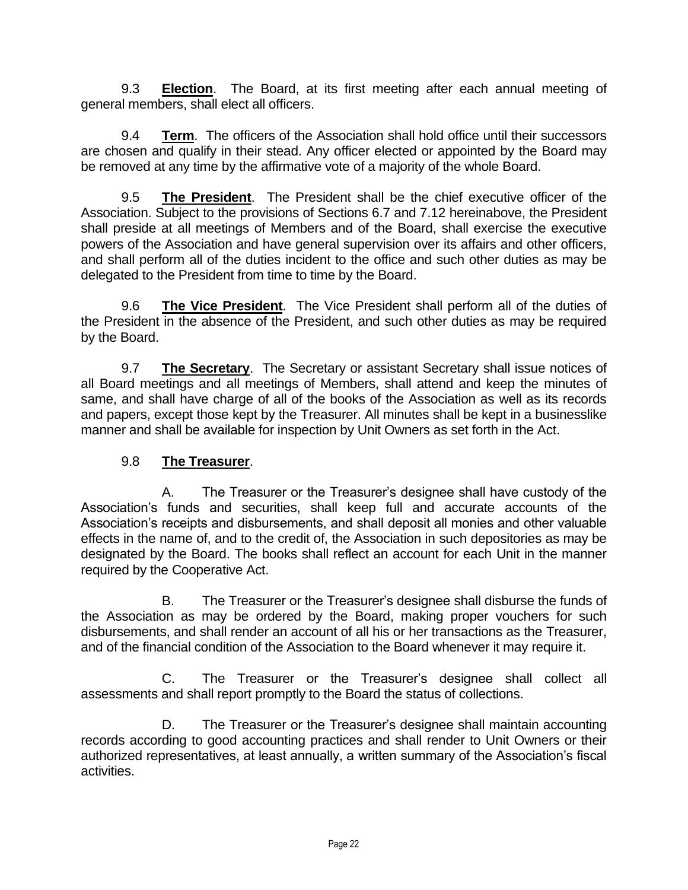9.3 **Election**. The Board, at its first meeting after each annual meeting of general members, shall elect all officers.

9.4 **Term**. The officers of the Association shall hold office until their successors are chosen and qualify in their stead. Any officer elected or appointed by the Board may be removed at any time by the affirmative vote of a majority of the whole Board.

9.5 **The President**. The President shall be the chief executive officer of the Association. Subject to the provisions of Sections 6.7 and 7.12 hereinabove, the President shall preside at all meetings of Members and of the Board, shall exercise the executive powers of the Association and have general supervision over its affairs and other officers, and shall perform all of the duties incident to the office and such other duties as may be delegated to the President from time to time by the Board.

9.6 **The Vice President**. The Vice President shall perform all of the duties of the President in the absence of the President, and such other duties as may be required by the Board.

9.7 **The Secretary**. The Secretary or assistant Secretary shall issue notices of all Board meetings and all meetings of Members, shall attend and keep the minutes of same, and shall have charge of all of the books of the Association as well as its records and papers, except those kept by the Treasurer. All minutes shall be kept in a businesslike manner and shall be available for inspection by Unit Owners as set forth in the Act.

# 9.8 **The Treasurer**.

A. The Treasurer or the Treasurer's designee shall have custody of the Association's funds and securities, shall keep full and accurate accounts of the Association's receipts and disbursements, and shall deposit all monies and other valuable effects in the name of, and to the credit of, the Association in such depositories as may be designated by the Board. The books shall reflect an account for each Unit in the manner required by the Cooperative Act.

B. The Treasurer or the Treasurer's designee shall disburse the funds of the Association as may be ordered by the Board, making proper vouchers for such disbursements, and shall render an account of all his or her transactions as the Treasurer, and of the financial condition of the Association to the Board whenever it may require it.

C. The Treasurer or the Treasurer's designee shall collect all assessments and shall report promptly to the Board the status of collections.

D. The Treasurer or the Treasurer's designee shall maintain accounting records according to good accounting practices and shall render to Unit Owners or their authorized representatives, at least annually, a written summary of the Association's fiscal activities.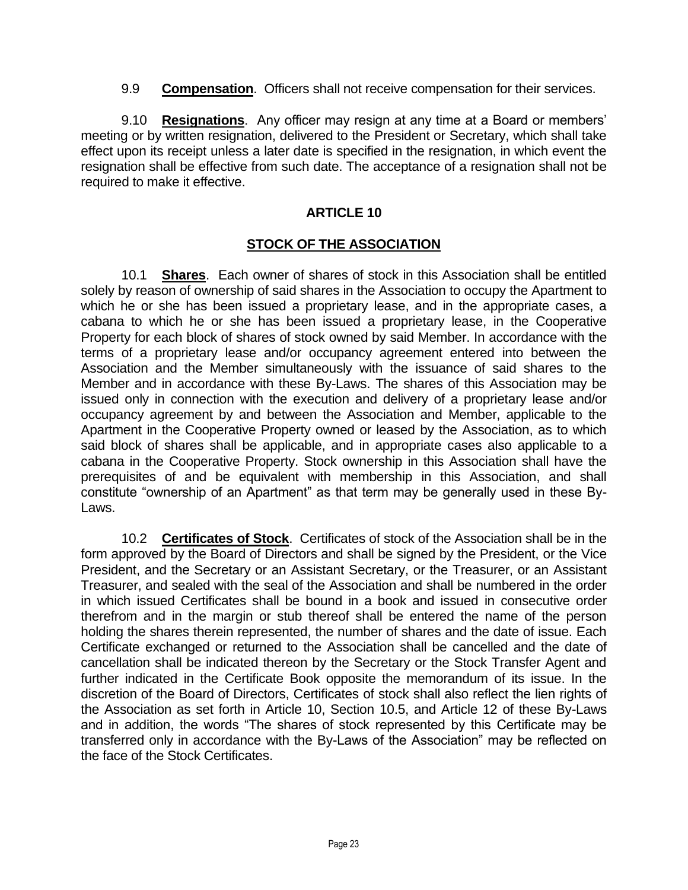9.9 **Compensation**. Officers shall not receive compensation for their services.

9.10 **Resignations**. Any officer may resign at any time at a Board or members' meeting or by written resignation, delivered to the President or Secretary, which shall take effect upon its receipt unless a later date is specified in the resignation, in which event the resignation shall be effective from such date. The acceptance of a resignation shall not be required to make it effective.

## **ARTICLE 10**

### **STOCK OF THE ASSOCIATION**

10.1 **Shares**. Each owner of shares of stock in this Association shall be entitled solely by reason of ownership of said shares in the Association to occupy the Apartment to which he or she has been issued a proprietary lease, and in the appropriate cases, a cabana to which he or she has been issued a proprietary lease, in the Cooperative Property for each block of shares of stock owned by said Member. In accordance with the terms of a proprietary lease and/or occupancy agreement entered into between the Association and the Member simultaneously with the issuance of said shares to the Member and in accordance with these By-Laws. The shares of this Association may be issued only in connection with the execution and delivery of a proprietary lease and/or occupancy agreement by and between the Association and Member, applicable to the Apartment in the Cooperative Property owned or leased by the Association, as to which said block of shares shall be applicable, and in appropriate cases also applicable to a cabana in the Cooperative Property. Stock ownership in this Association shall have the prerequisites of and be equivalent with membership in this Association, and shall constitute "ownership of an Apartment" as that term may be generally used in these By-Laws.

10.2 **Certificates of Stock**. Certificates of stock of the Association shall be in the form approved by the Board of Directors and shall be signed by the President, or the Vice President, and the Secretary or an Assistant Secretary, or the Treasurer, or an Assistant Treasurer, and sealed with the seal of the Association and shall be numbered in the order in which issued Certificates shall be bound in a book and issued in consecutive order therefrom and in the margin or stub thereof shall be entered the name of the person holding the shares therein represented, the number of shares and the date of issue. Each Certificate exchanged or returned to the Association shall be cancelled and the date of cancellation shall be indicated thereon by the Secretary or the Stock Transfer Agent and further indicated in the Certificate Book opposite the memorandum of its issue. In the discretion of the Board of Directors, Certificates of stock shall also reflect the lien rights of the Association as set forth in Article 10, Section 10.5, and Article 12 of these By-Laws and in addition, the words "The shares of stock represented by this Certificate may be transferred only in accordance with the By-Laws of the Association" may be reflected on the face of the Stock Certificates.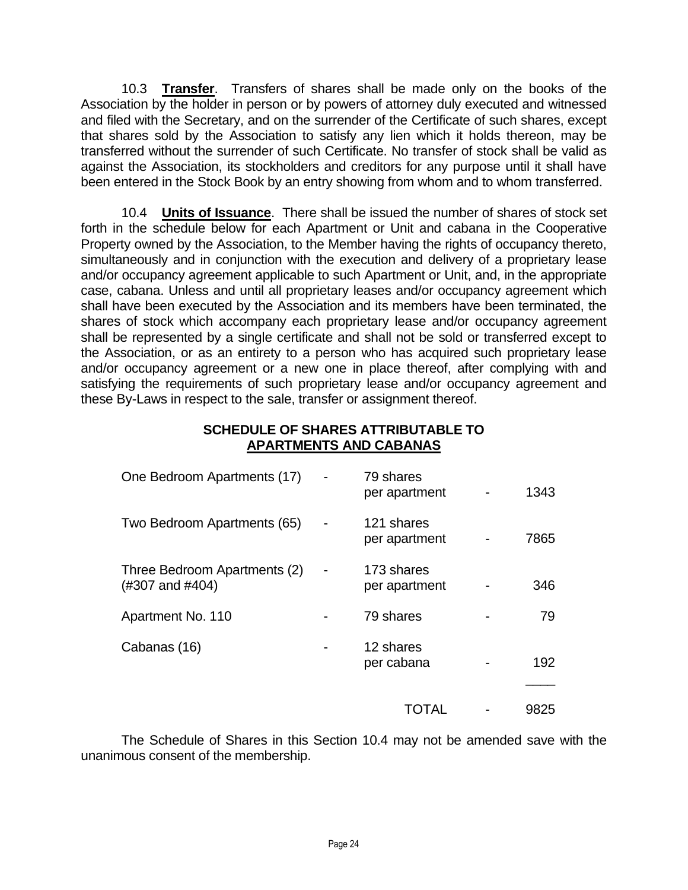10.3 **Transfer**. Transfers of shares shall be made only on the books of the Association by the holder in person or by powers of attorney duly executed and witnessed and filed with the Secretary, and on the surrender of the Certificate of such shares, except that shares sold by the Association to satisfy any lien which it holds thereon, may be transferred without the surrender of such Certificate. No transfer of stock shall be valid as against the Association, its stockholders and creditors for any purpose until it shall have been entered in the Stock Book by an entry showing from whom and to whom transferred.

10.4 **Units of Issuance**. There shall be issued the number of shares of stock set forth in the schedule below for each Apartment or Unit and cabana in the Cooperative Property owned by the Association, to the Member having the rights of occupancy thereto, simultaneously and in conjunction with the execution and delivery of a proprietary lease and/or occupancy agreement applicable to such Apartment or Unit, and, in the appropriate case, cabana. Unless and until all proprietary leases and/or occupancy agreement which shall have been executed by the Association and its members have been terminated, the shares of stock which accompany each proprietary lease and/or occupancy agreement shall be represented by a single certificate and shall not be sold or transferred except to the Association, or as an entirety to a person who has acquired such proprietary lease and/or occupancy agreement or a new one in place thereof, after complying with and satisfying the requirements of such proprietary lease and/or occupancy agreement and these By-Laws in respect to the sale, transfer or assignment thereof.

### **SCHEDULE OF SHARES ATTRIBUTABLE TO APARTMENTS AND CABANAS**

| One Bedroom Apartments (17)                     | 79 shares<br>per apartment  | 1343 |
|-------------------------------------------------|-----------------------------|------|
| Two Bedroom Apartments (65)                     | 121 shares<br>per apartment | 7865 |
| Three Bedroom Apartments (2)<br>(#307 and #404) | 173 shares<br>per apartment | 346  |
| Apartment No. 110                               | 79 shares                   | 79   |
| Cabanas (16)                                    | 12 shares<br>per cabana     | 192  |
|                                                 | TOTAL                       | 9825 |

The Schedule of Shares in this Section 10.4 may not be amended save with the unanimous consent of the membership.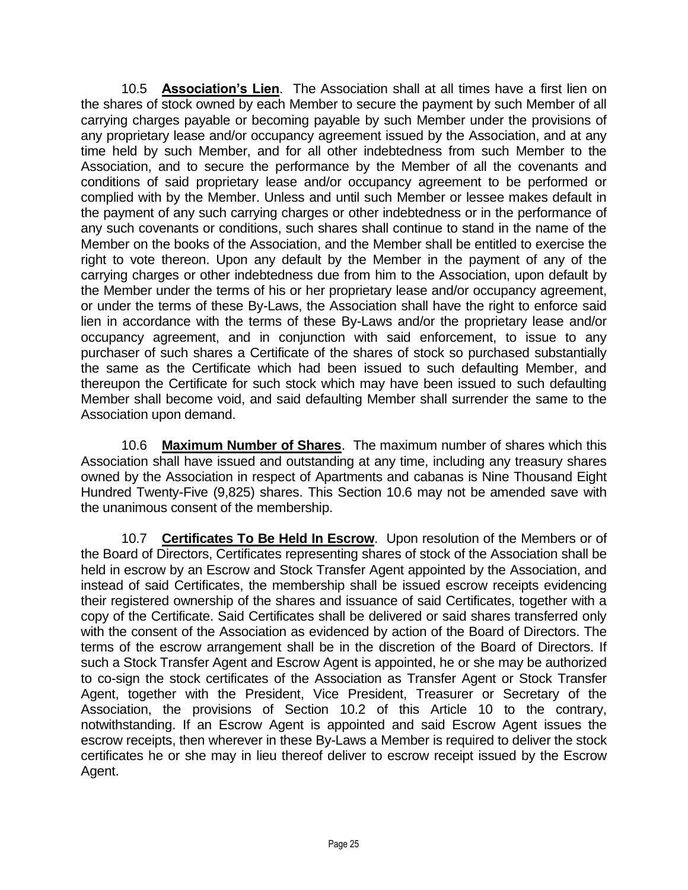10.5 **Association's Lien**. The Association shall at all times have a first lien on the shares of stock owned by each Member to secure the payment by such Member of all carrying charges payable or becoming payable by such Member under the provisions of any proprietary lease and/or occupancy agreement issued by the Association, and at any time held by such Member, and for all other indebtedness from such Member to the Association, and to secure the performance by the Member of all the covenants and conditions of said proprietary lease and/or occupancy agreement to be performed or complied with by the Member. Unless and until such Member or lessee makes default in the payment of any such carrying charges or other indebtedness or in the performance of any such covenants or conditions, such shares shall continue to stand in the name of the Member on the books of the Association, and the Member shall be entitled to exercise the right to vote thereon. Upon any default by the Member in the payment of any of the carrying charges or other indebtedness due from him to the Association, upon default by the Member under the terms of his or her proprietary lease and/or occupancy agreement, or under the terms of these By-Laws, the Association shall have the right to enforce said lien in accordance with the terms of these By-Laws and/or the proprietary lease and/or occupancy agreement, and in conjunction with said enforcement, to issue to any purchaser of such shares a Certificate of the shares of stock so purchased substantially the same as the Certificate which had been issued to such defaulting Member, and thereupon the Certificate for such stock which may have been issued to such defaulting Member shall become void, and said defaulting Member shall surrender the same to the Association upon demand.

10.6 **Maximum Number of Shares**. The maximum number of shares which this Association shall have issued and outstanding at any time, including any treasury shares owned by the Association in respect of Apartments and cabanas is Nine Thousand Eight Hundred Twenty-Five (9,825) shares. This Section 10.6 may not be amended save with the unanimous consent of the membership.

10.7 **Certificates To Be Held In Escrow**. Upon resolution of the Members or of the Board of Directors, Certificates representing shares of stock of the Association shall be held in escrow by an Escrow and Stock Transfer Agent appointed by the Association, and instead of said Certificates, the membership shall be issued escrow receipts evidencing their registered ownership of the shares and issuance of said Certificates, together with a copy of the Certificate. Said Certificates shall be delivered or said shares transferred only with the consent of the Association as evidenced by action of the Board of Directors. The terms of the escrow arrangement shall be in the discretion of the Board of Directors. If such a Stock Transfer Agent and Escrow Agent is appointed, he or she may be authorized to co-sign the stock certificates of the Association as Transfer Agent or Stock Transfer Agent, together with the President, Vice President, Treasurer or Secretary of the Association, the provisions of Section 10.2 of this Article 10 to the contrary, notwithstanding. If an Escrow Agent is appointed and said Escrow Agent issues the escrow receipts, then wherever in these By-Laws a Member is required to deliver the stock certificates he or she may in lieu thereof deliver to escrow receipt issued by the Escrow Agent.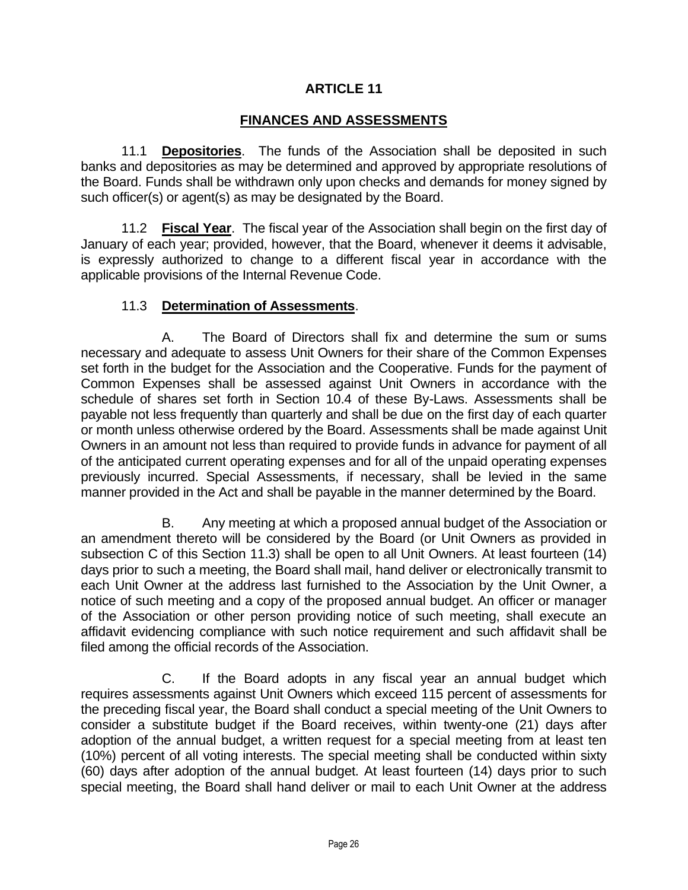### **ARTICLE 11**

## **FINANCES AND ASSESSMENTS**

11.1 **Depositories**. The funds of the Association shall be deposited in such banks and depositories as may be determined and approved by appropriate resolutions of the Board. Funds shall be withdrawn only upon checks and demands for money signed by such officer(s) or agent(s) as may be designated by the Board.

11.2 **Fiscal Year**. The fiscal year of the Association shall begin on the first day of January of each year; provided, however, that the Board, whenever it deems it advisable, is expressly authorized to change to a different fiscal year in accordance with the applicable provisions of the Internal Revenue Code.

### 11.3 **Determination of Assessments**.

A. The Board of Directors shall fix and determine the sum or sums necessary and adequate to assess Unit Owners for their share of the Common Expenses set forth in the budget for the Association and the Cooperative. Funds for the payment of Common Expenses shall be assessed against Unit Owners in accordance with the schedule of shares set forth in Section 10.4 of these By-Laws. Assessments shall be payable not less frequently than quarterly and shall be due on the first day of each quarter or month unless otherwise ordered by the Board. Assessments shall be made against Unit Owners in an amount not less than required to provide funds in advance for payment of all of the anticipated current operating expenses and for all of the unpaid operating expenses previously incurred. Special Assessments, if necessary, shall be levied in the same manner provided in the Act and shall be payable in the manner determined by the Board.

B. Any meeting at which a proposed annual budget of the Association or an amendment thereto will be considered by the Board (or Unit Owners as provided in subsection C of this Section 11.3) shall be open to all Unit Owners. At least fourteen (14) days prior to such a meeting, the Board shall mail, hand deliver or electronically transmit to each Unit Owner at the address last furnished to the Association by the Unit Owner, a notice of such meeting and a copy of the proposed annual budget. An officer or manager of the Association or other person providing notice of such meeting, shall execute an affidavit evidencing compliance with such notice requirement and such affidavit shall be filed among the official records of the Association.

C. If the Board adopts in any fiscal year an annual budget which requires assessments against Unit Owners which exceed 115 percent of assessments for the preceding fiscal year, the Board shall conduct a special meeting of the Unit Owners to consider a substitute budget if the Board receives, within twenty-one (21) days after adoption of the annual budget, a written request for a special meeting from at least ten (10%) percent of all voting interests. The special meeting shall be conducted within sixty (60) days after adoption of the annual budget. At least fourteen (14) days prior to such special meeting, the Board shall hand deliver or mail to each Unit Owner at the address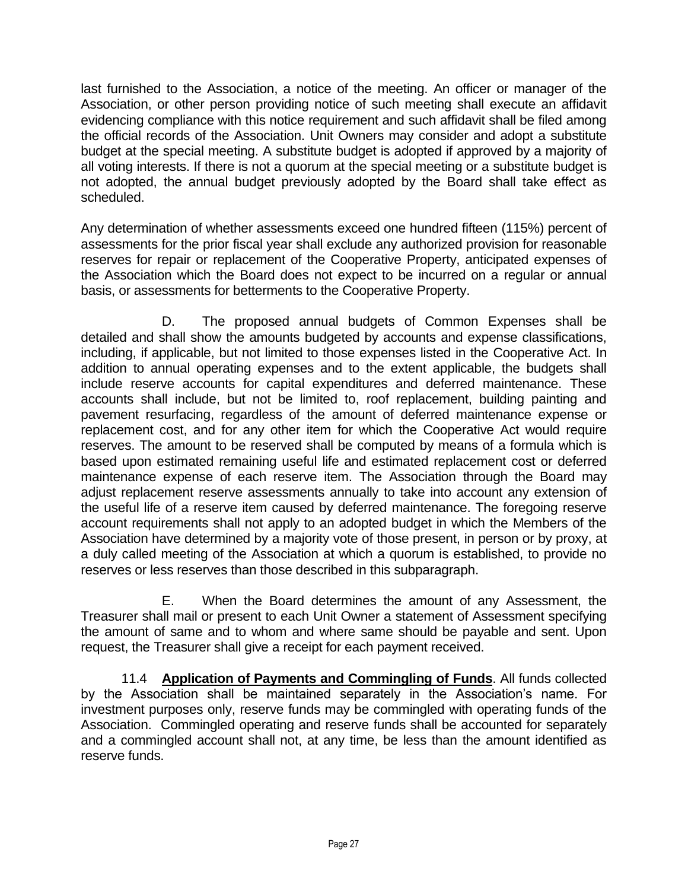last furnished to the Association, a notice of the meeting. An officer or manager of the Association, or other person providing notice of such meeting shall execute an affidavit evidencing compliance with this notice requirement and such affidavit shall be filed among the official records of the Association. Unit Owners may consider and adopt a substitute budget at the special meeting. A substitute budget is adopted if approved by a majority of all voting interests. If there is not a quorum at the special meeting or a substitute budget is not adopted, the annual budget previously adopted by the Board shall take effect as scheduled.

Any determination of whether assessments exceed one hundred fifteen (115%) percent of assessments for the prior fiscal year shall exclude any authorized provision for reasonable reserves for repair or replacement of the Cooperative Property, anticipated expenses of the Association which the Board does not expect to be incurred on a regular or annual basis, or assessments for betterments to the Cooperative Property.

D. The proposed annual budgets of Common Expenses shall be detailed and shall show the amounts budgeted by accounts and expense classifications, including, if applicable, but not limited to those expenses listed in the Cooperative Act. In addition to annual operating expenses and to the extent applicable, the budgets shall include reserve accounts for capital expenditures and deferred maintenance. These accounts shall include, but not be limited to, roof replacement, building painting and pavement resurfacing, regardless of the amount of deferred maintenance expense or replacement cost, and for any other item for which the Cooperative Act would require reserves. The amount to be reserved shall be computed by means of a formula which is based upon estimated remaining useful life and estimated replacement cost or deferred maintenance expense of each reserve item. The Association through the Board may adjust replacement reserve assessments annually to take into account any extension of the useful life of a reserve item caused by deferred maintenance. The foregoing reserve account requirements shall not apply to an adopted budget in which the Members of the Association have determined by a majority vote of those present, in person or by proxy, at a duly called meeting of the Association at which a quorum is established, to provide no reserves or less reserves than those described in this subparagraph.

E. When the Board determines the amount of any Assessment, the Treasurer shall mail or present to each Unit Owner a statement of Assessment specifying the amount of same and to whom and where same should be payable and sent. Upon request, the Treasurer shall give a receipt for each payment received.

11.4 **Application of Payments and Commingling of Funds**. All funds collected by the Association shall be maintained separately in the Association's name. For investment purposes only, reserve funds may be commingled with operating funds of the Association. Commingled operating and reserve funds shall be accounted for separately and a commingled account shall not, at any time, be less than the amount identified as reserve funds.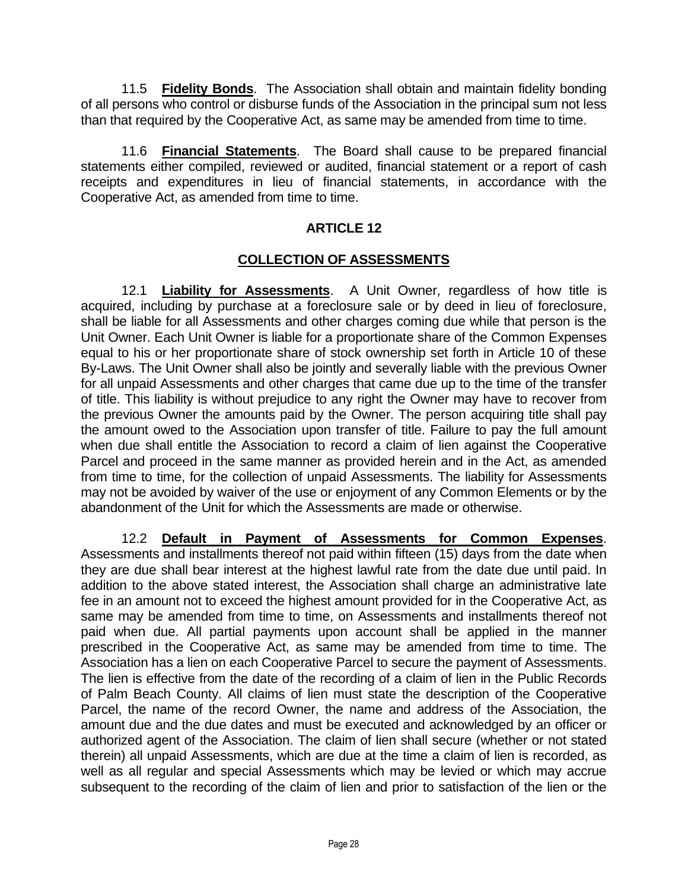11.5 **Fidelity Bonds**. The Association shall obtain and maintain fidelity bonding of all persons who control or disburse funds of the Association in the principal sum not less than that required by the Cooperative Act, as same may be amended from time to time.

11.6 **Financial Statements**. The Board shall cause to be prepared financial statements either compiled, reviewed or audited, financial statement or a report of cash receipts and expenditures in lieu of financial statements, in accordance with the Cooperative Act, as amended from time to time.

## **ARTICLE 12**

### **COLLECTION OF ASSESSMENTS**

12.1 **Liability for Assessments**. A Unit Owner, regardless of how title is acquired, including by purchase at a foreclosure sale or by deed in lieu of foreclosure, shall be liable for all Assessments and other charges coming due while that person is the Unit Owner. Each Unit Owner is liable for a proportionate share of the Common Expenses equal to his or her proportionate share of stock ownership set forth in Article 10 of these By-Laws. The Unit Owner shall also be jointly and severally liable with the previous Owner for all unpaid Assessments and other charges that came due up to the time of the transfer of title. This liability is without prejudice to any right the Owner may have to recover from the previous Owner the amounts paid by the Owner. The person acquiring title shall pay the amount owed to the Association upon transfer of title. Failure to pay the full amount when due shall entitle the Association to record a claim of lien against the Cooperative Parcel and proceed in the same manner as provided herein and in the Act, as amended from time to time, for the collection of unpaid Assessments. The liability for Assessments may not be avoided by waiver of the use or enjoyment of any Common Elements or by the abandonment of the Unit for which the Assessments are made or otherwise.

12.2 **Default in Payment of Assessments for Common Expenses**. Assessments and installments thereof not paid within fifteen (15) days from the date when they are due shall bear interest at the highest lawful rate from the date due until paid. In addition to the above stated interest, the Association shall charge an administrative late fee in an amount not to exceed the highest amount provided for in the Cooperative Act, as same may be amended from time to time, on Assessments and installments thereof not paid when due. All partial payments upon account shall be applied in the manner prescribed in the Cooperative Act, as same may be amended from time to time. The Association has a lien on each Cooperative Parcel to secure the payment of Assessments. The lien is effective from the date of the recording of a claim of lien in the Public Records of Palm Beach County. All claims of lien must state the description of the Cooperative Parcel, the name of the record Owner, the name and address of the Association, the amount due and the due dates and must be executed and acknowledged by an officer or authorized agent of the Association. The claim of lien shall secure (whether or not stated therein) all unpaid Assessments, which are due at the time a claim of lien is recorded, as well as all regular and special Assessments which may be levied or which may accrue subsequent to the recording of the claim of lien and prior to satisfaction of the lien or the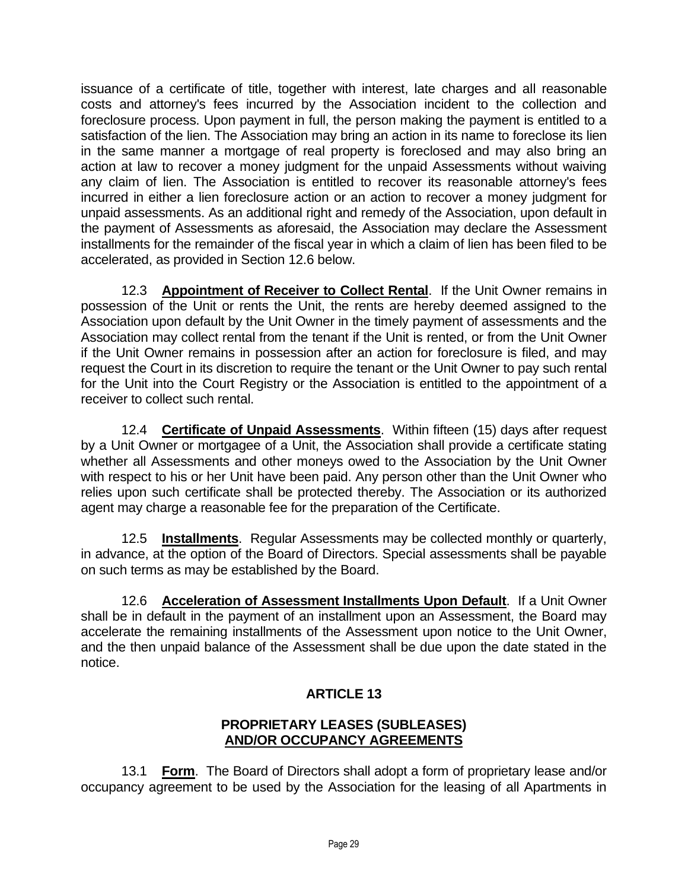issuance of a certificate of title, together with interest, late charges and all reasonable costs and attorney's fees incurred by the Association incident to the collection and foreclosure process. Upon payment in full, the person making the payment is entitled to a satisfaction of the lien. The Association may bring an action in its name to foreclose its lien in the same manner a mortgage of real property is foreclosed and may also bring an action at law to recover a money judgment for the unpaid Assessments without waiving any claim of lien. The Association is entitled to recover its reasonable attorney's fees incurred in either a lien foreclosure action or an action to recover a money judgment for unpaid assessments. As an additional right and remedy of the Association, upon default in the payment of Assessments as aforesaid, the Association may declare the Assessment installments for the remainder of the fiscal year in which a claim of lien has been filed to be accelerated, as provided in Section 12.6 below.

12.3 **Appointment of Receiver to Collect Rental**. If the Unit Owner remains in possession of the Unit or rents the Unit, the rents are hereby deemed assigned to the Association upon default by the Unit Owner in the timely payment of assessments and the Association may collect rental from the tenant if the Unit is rented, or from the Unit Owner if the Unit Owner remains in possession after an action for foreclosure is filed, and may request the Court in its discretion to require the tenant or the Unit Owner to pay such rental for the Unit into the Court Registry or the Association is entitled to the appointment of a receiver to collect such rental.

12.4 **Certificate of Unpaid Assessments**. Within fifteen (15) days after request by a Unit Owner or mortgagee of a Unit, the Association shall provide a certificate stating whether all Assessments and other moneys owed to the Association by the Unit Owner with respect to his or her Unit have been paid. Any person other than the Unit Owner who relies upon such certificate shall be protected thereby. The Association or its authorized agent may charge a reasonable fee for the preparation of the Certificate.

12.5 **Installments**. Regular Assessments may be collected monthly or quarterly, in advance, at the option of the Board of Directors. Special assessments shall be payable on such terms as may be established by the Board.

12.6 **Acceleration of Assessment Installments Upon Default**. If a Unit Owner shall be in default in the payment of an installment upon an Assessment, the Board may accelerate the remaining installments of the Assessment upon notice to the Unit Owner, and the then unpaid balance of the Assessment shall be due upon the date stated in the notice.

# **ARTICLE 13**

# **PROPRIETARY LEASES (SUBLEASES) AND/OR OCCUPANCY AGREEMENTS**

13.1 **Form**. The Board of Directors shall adopt a form of proprietary lease and/or occupancy agreement to be used by the Association for the leasing of all Apartments in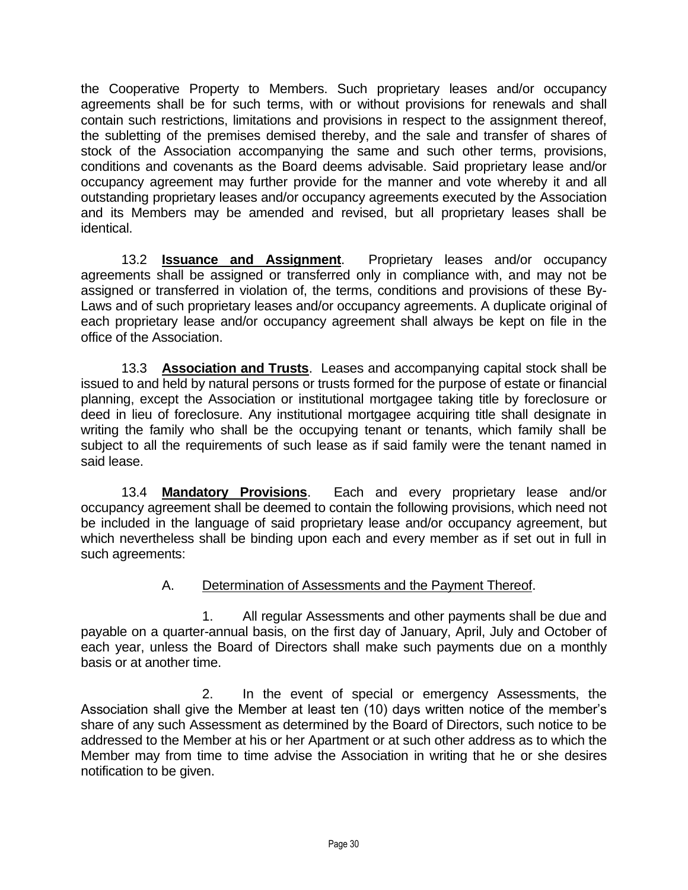the Cooperative Property to Members. Such proprietary leases and/or occupancy agreements shall be for such terms, with or without provisions for renewals and shall contain such restrictions, limitations and provisions in respect to the assignment thereof, the subletting of the premises demised thereby, and the sale and transfer of shares of stock of the Association accompanying the same and such other terms, provisions, conditions and covenants as the Board deems advisable. Said proprietary lease and/or occupancy agreement may further provide for the manner and vote whereby it and all outstanding proprietary leases and/or occupancy agreements executed by the Association and its Members may be amended and revised, but all proprietary leases shall be identical.

13.2 **Issuance and Assignment**. Proprietary leases and/or occupancy agreements shall be assigned or transferred only in compliance with, and may not be assigned or transferred in violation of, the terms, conditions and provisions of these By-Laws and of such proprietary leases and/or occupancy agreements. A duplicate original of each proprietary lease and/or occupancy agreement shall always be kept on file in the office of the Association.

13.3 **Association and Trusts**. Leases and accompanying capital stock shall be issued to and held by natural persons or trusts formed for the purpose of estate or financial planning, except the Association or institutional mortgagee taking title by foreclosure or deed in lieu of foreclosure. Any institutional mortgagee acquiring title shall designate in writing the family who shall be the occupying tenant or tenants, which family shall be subject to all the requirements of such lease as if said family were the tenant named in said lease.

13.4 **Mandatory Provisions**. Each and every proprietary lease and/or occupancy agreement shall be deemed to contain the following provisions, which need not be included in the language of said proprietary lease and/or occupancy agreement, but which nevertheless shall be binding upon each and every member as if set out in full in such agreements:

## A. Determination of Assessments and the Payment Thereof.

1. All regular Assessments and other payments shall be due and payable on a quarter-annual basis, on the first day of January, April, July and October of each year, unless the Board of Directors shall make such payments due on a monthly basis or at another time.

2. In the event of special or emergency Assessments, the Association shall give the Member at least ten (10) days written notice of the member's share of any such Assessment as determined by the Board of Directors, such notice to be addressed to the Member at his or her Apartment or at such other address as to which the Member may from time to time advise the Association in writing that he or she desires notification to be given.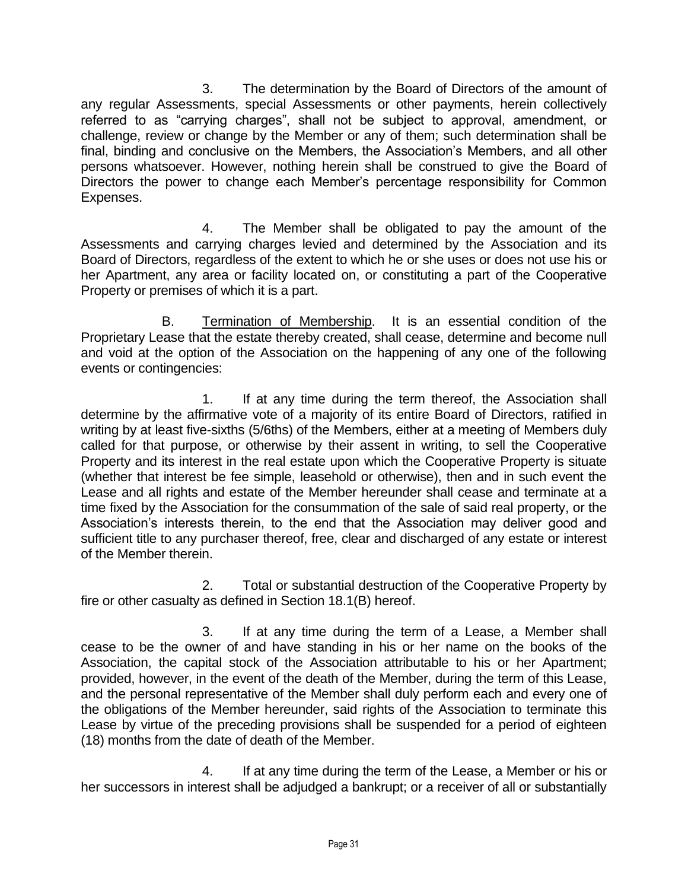3. The determination by the Board of Directors of the amount of any regular Assessments, special Assessments or other payments, herein collectively referred to as "carrying charges", shall not be subject to approval, amendment, or challenge, review or change by the Member or any of them; such determination shall be final, binding and conclusive on the Members, the Association's Members, and all other persons whatsoever. However, nothing herein shall be construed to give the Board of Directors the power to change each Member's percentage responsibility for Common Expenses.

4. The Member shall be obligated to pay the amount of the Assessments and carrying charges levied and determined by the Association and its Board of Directors, regardless of the extent to which he or she uses or does not use his or her Apartment, any area or facility located on, or constituting a part of the Cooperative Property or premises of which it is a part.

B. Termination of Membership. It is an essential condition of the Proprietary Lease that the estate thereby created, shall cease, determine and become null and void at the option of the Association on the happening of any one of the following events or contingencies:

1. If at any time during the term thereof, the Association shall determine by the affirmative vote of a majority of its entire Board of Directors, ratified in writing by at least five-sixths (5/6ths) of the Members, either at a meeting of Members duly called for that purpose, or otherwise by their assent in writing, to sell the Cooperative Property and its interest in the real estate upon which the Cooperative Property is situate (whether that interest be fee simple, leasehold or otherwise), then and in such event the Lease and all rights and estate of the Member hereunder shall cease and terminate at a time fixed by the Association for the consummation of the sale of said real property, or the Association's interests therein, to the end that the Association may deliver good and sufficient title to any purchaser thereof, free, clear and discharged of any estate or interest of the Member therein.

2. Total or substantial destruction of the Cooperative Property by fire or other casualty as defined in Section 18.1(B) hereof.

3. If at any time during the term of a Lease, a Member shall cease to be the owner of and have standing in his or her name on the books of the Association, the capital stock of the Association attributable to his or her Apartment; provided, however, in the event of the death of the Member, during the term of this Lease, and the personal representative of the Member shall duly perform each and every one of the obligations of the Member hereunder, said rights of the Association to terminate this Lease by virtue of the preceding provisions shall be suspended for a period of eighteen (18) months from the date of death of the Member.

4. If at any time during the term of the Lease, a Member or his or her successors in interest shall be adjudged a bankrupt; or a receiver of all or substantially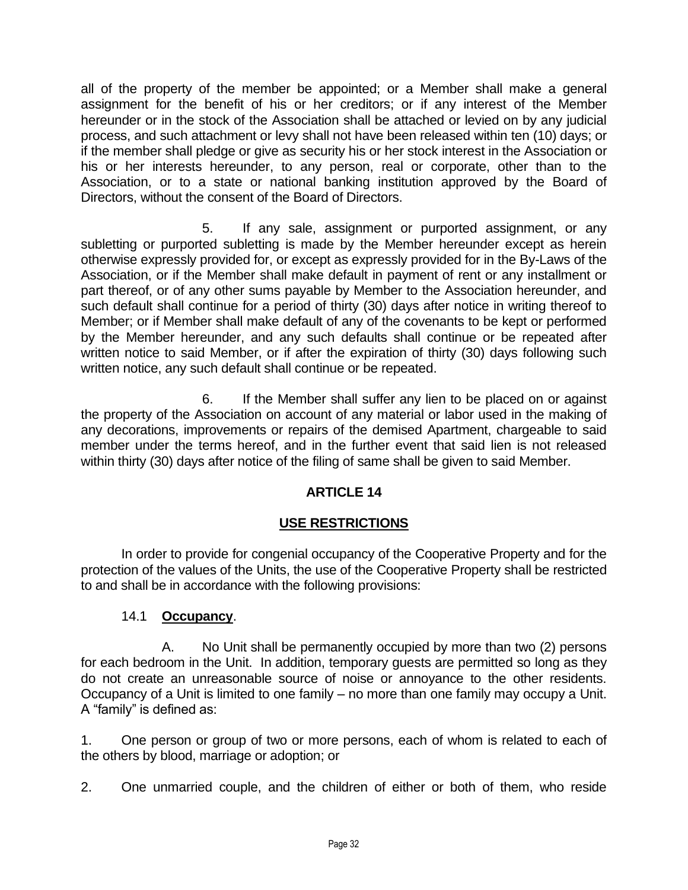all of the property of the member be appointed; or a Member shall make a general assignment for the benefit of his or her creditors; or if any interest of the Member hereunder or in the stock of the Association shall be attached or levied on by any judicial process, and such attachment or levy shall not have been released within ten (10) days; or if the member shall pledge or give as security his or her stock interest in the Association or his or her interests hereunder, to any person, real or corporate, other than to the Association, or to a state or national banking institution approved by the Board of Directors, without the consent of the Board of Directors.

5. If any sale, assignment or purported assignment, or any subletting or purported subletting is made by the Member hereunder except as herein otherwise expressly provided for, or except as expressly provided for in the By-Laws of the Association, or if the Member shall make default in payment of rent or any installment or part thereof, or of any other sums payable by Member to the Association hereunder, and such default shall continue for a period of thirty (30) days after notice in writing thereof to Member; or if Member shall make default of any of the covenants to be kept or performed by the Member hereunder, and any such defaults shall continue or be repeated after written notice to said Member, or if after the expiration of thirty (30) days following such written notice, any such default shall continue or be repeated.

6. If the Member shall suffer any lien to be placed on or against the property of the Association on account of any material or labor used in the making of any decorations, improvements or repairs of the demised Apartment, chargeable to said member under the terms hereof, and in the further event that said lien is not released within thirty (30) days after notice of the filing of same shall be given to said Member.

## **ARTICLE 14**

## **USE RESTRICTIONS**

In order to provide for congenial occupancy of the Cooperative Property and for the protection of the values of the Units, the use of the Cooperative Property shall be restricted to and shall be in accordance with the following provisions:

## 14.1 **Occupancy**.

A. No Unit shall be permanently occupied by more than two (2) persons for each bedroom in the Unit. In addition, temporary guests are permitted so long as they do not create an unreasonable source of noise or annoyance to the other residents. Occupancy of a Unit is limited to one family – no more than one family may occupy a Unit. A "family" is defined as:

1. One person or group of two or more persons, each of whom is related to each of the others by blood, marriage or adoption; or

2. One unmarried couple, and the children of either or both of them, who reside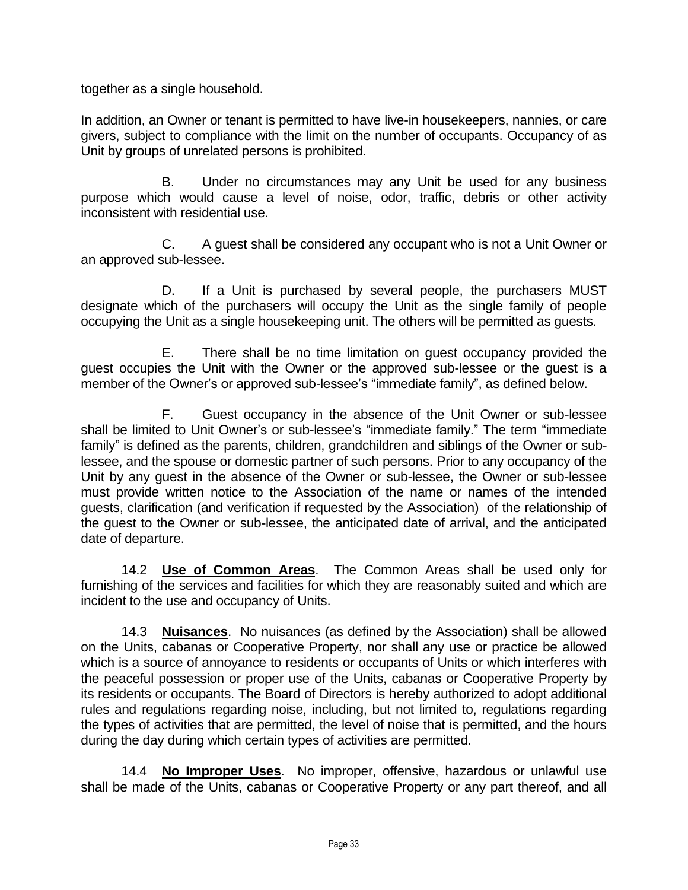together as a single household.

In addition, an Owner or tenant is permitted to have live-in housekeepers, nannies, or care givers, subject to compliance with the limit on the number of occupants. Occupancy of as Unit by groups of unrelated persons is prohibited.

B. Under no circumstances may any Unit be used for any business purpose which would cause a level of noise, odor, traffic, debris or other activity inconsistent with residential use.

C. A guest shall be considered any occupant who is not a Unit Owner or an approved sub-lessee.

D. If a Unit is purchased by several people, the purchasers MUST designate which of the purchasers will occupy the Unit as the single family of people occupying the Unit as a single housekeeping unit. The others will be permitted as guests.

E. There shall be no time limitation on guest occupancy provided the guest occupies the Unit with the Owner or the approved sub-lessee or the guest is a member of the Owner's or approved sub-lessee's "immediate family", as defined below.

F. Guest occupancy in the absence of the Unit Owner or sub-lessee shall be limited to Unit Owner's or sub-lessee's "immediate family." The term "immediate family" is defined as the parents, children, grandchildren and siblings of the Owner or sublessee, and the spouse or domestic partner of such persons. Prior to any occupancy of the Unit by any guest in the absence of the Owner or sub-lessee, the Owner or sub-lessee must provide written notice to the Association of the name or names of the intended guests, clarification (and verification if requested by the Association) of the relationship of the guest to the Owner or sub-lessee, the anticipated date of arrival, and the anticipated date of departure.

14.2 **Use of Common Areas**. The Common Areas shall be used only for furnishing of the services and facilities for which they are reasonably suited and which are incident to the use and occupancy of Units.

14.3 **Nuisances**. No nuisances (as defined by the Association) shall be allowed on the Units, cabanas or Cooperative Property, nor shall any use or practice be allowed which is a source of annoyance to residents or occupants of Units or which interferes with the peaceful possession or proper use of the Units, cabanas or Cooperative Property by its residents or occupants. The Board of Directors is hereby authorized to adopt additional rules and regulations regarding noise, including, but not limited to, regulations regarding the types of activities that are permitted, the level of noise that is permitted, and the hours during the day during which certain types of activities are permitted.

14.4 **No Improper Uses**. No improper, offensive, hazardous or unlawful use shall be made of the Units, cabanas or Cooperative Property or any part thereof, and all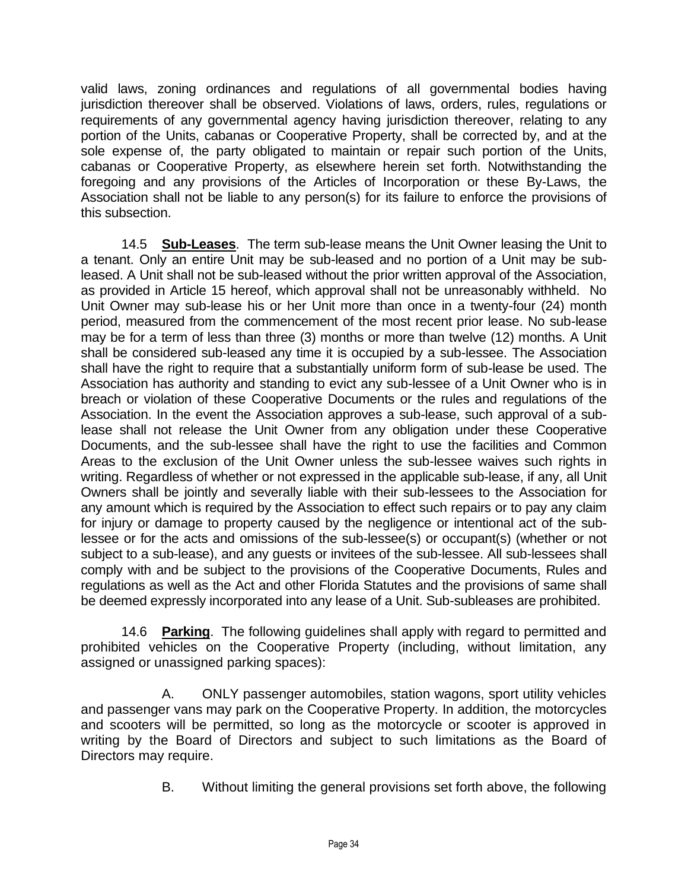valid laws, zoning ordinances and regulations of all governmental bodies having jurisdiction thereover shall be observed. Violations of laws, orders, rules, regulations or requirements of any governmental agency having jurisdiction thereover, relating to any portion of the Units, cabanas or Cooperative Property, shall be corrected by, and at the sole expense of, the party obligated to maintain or repair such portion of the Units, cabanas or Cooperative Property, as elsewhere herein set forth. Notwithstanding the foregoing and any provisions of the Articles of Incorporation or these By-Laws, the Association shall not be liable to any person(s) for its failure to enforce the provisions of this subsection.

14.5 **Sub-Leases**. The term sub-lease means the Unit Owner leasing the Unit to a tenant. Only an entire Unit may be sub-leased and no portion of a Unit may be subleased. A Unit shall not be sub-leased without the prior written approval of the Association, as provided in Article 15 hereof, which approval shall not be unreasonably withheld. No Unit Owner may sub-lease his or her Unit more than once in a twenty-four (24) month period, measured from the commencement of the most recent prior lease. No sub-lease may be for a term of less than three (3) months or more than twelve (12) months. A Unit shall be considered sub-leased any time it is occupied by a sub-lessee. The Association shall have the right to require that a substantially uniform form of sub-lease be used. The Association has authority and standing to evict any sub-lessee of a Unit Owner who is in breach or violation of these Cooperative Documents or the rules and regulations of the Association. In the event the Association approves a sub-lease, such approval of a sublease shall not release the Unit Owner from any obligation under these Cooperative Documents, and the sub-lessee shall have the right to use the facilities and Common Areas to the exclusion of the Unit Owner unless the sub-lessee waives such rights in writing. Regardless of whether or not expressed in the applicable sub-lease, if any, all Unit Owners shall be jointly and severally liable with their sub-lessees to the Association for any amount which is required by the Association to effect such repairs or to pay any claim for injury or damage to property caused by the negligence or intentional act of the sublessee or for the acts and omissions of the sub-lessee(s) or occupant(s) (whether or not subject to a sub-lease), and any guests or invitees of the sub-lessee. All sub-lessees shall comply with and be subject to the provisions of the Cooperative Documents, Rules and regulations as well as the Act and other Florida Statutes and the provisions of same shall be deemed expressly incorporated into any lease of a Unit. Sub-subleases are prohibited.

14.6 **Parking**. The following guidelines shall apply with regard to permitted and prohibited vehicles on the Cooperative Property (including, without limitation, any assigned or unassigned parking spaces):

A. ONLY passenger automobiles, station wagons, sport utility vehicles and passenger vans may park on the Cooperative Property. In addition, the motorcycles and scooters will be permitted, so long as the motorcycle or scooter is approved in writing by the Board of Directors and subject to such limitations as the Board of Directors may require.

B. Without limiting the general provisions set forth above, the following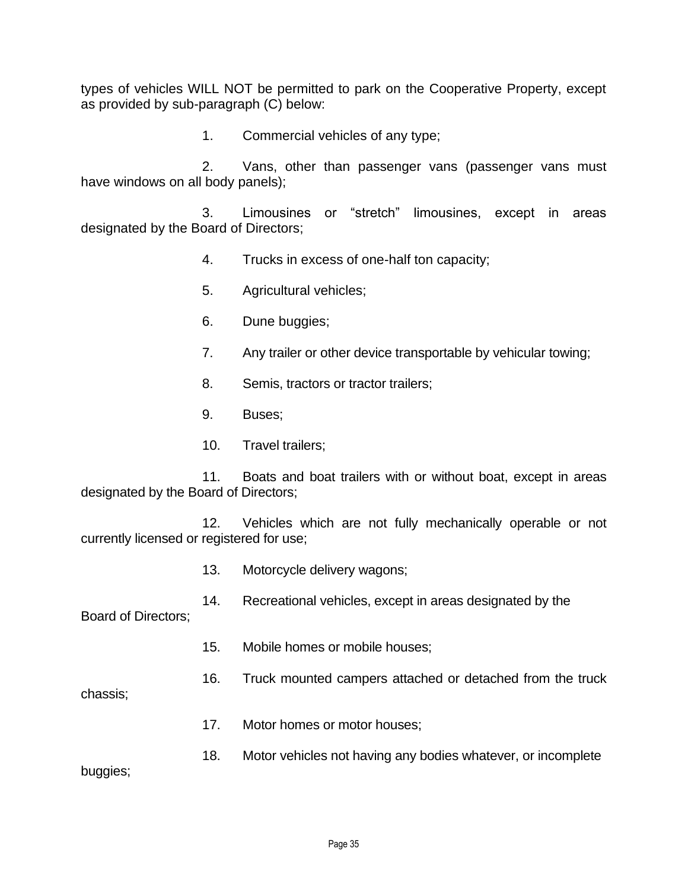types of vehicles WILL NOT be permitted to park on the Cooperative Property, except as provided by sub-paragraph (C) below:

1. Commercial vehicles of any type;

2. Vans, other than passenger vans (passenger vans must have windows on all body panels);

3. Limousines or "stretch" limousines, except in areas designated by the Board of Directors;

- 4. Trucks in excess of one-half ton capacity;
- 5. Agricultural vehicles;
- 6. Dune buggies;
- 7. Any trailer or other device transportable by vehicular towing;
- 8. Semis, tractors or tractor trailers;
- 9. Buses;
- 10. Travel trailers;

11. Boats and boat trailers with or without boat, except in areas designated by the Board of Directors;

12. Vehicles which are not fully mechanically operable or not currently licensed or registered for use;

- 13. Motorcycle delivery wagons;
- 14. Recreational vehicles, except in areas designated by the

Board of Directors;

- 15. Mobile homes or mobile houses;
- 16. Truck mounted campers attached or detached from the truck

chassis;

- 17. Motor homes or motor houses;
- 18. Motor vehicles not having any bodies whatever, or incomplete

buggies;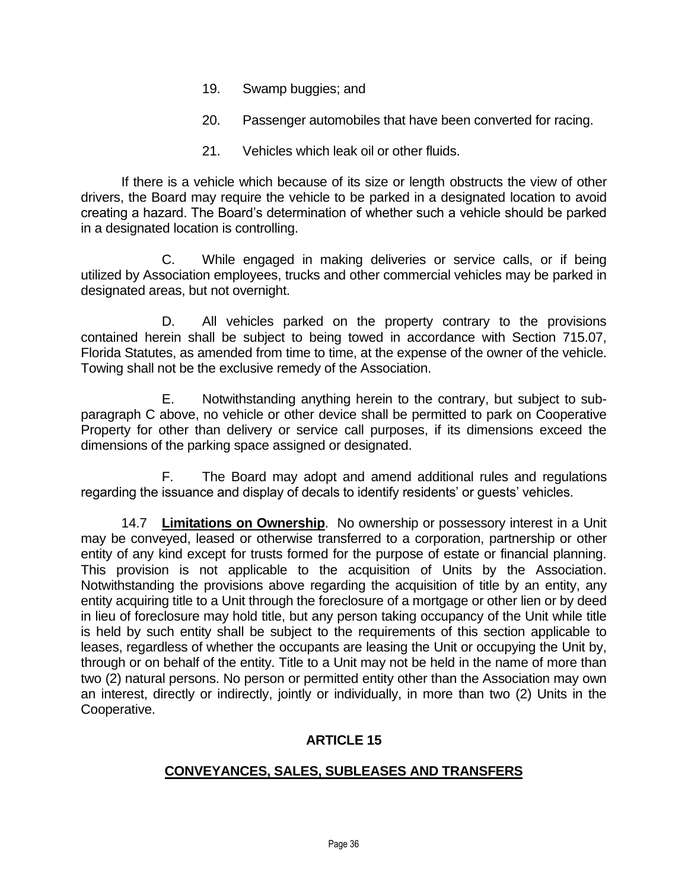- 19. Swamp buggies; and
- 20. Passenger automobiles that have been converted for racing.
- 21. Vehicles which leak oil or other fluids.

If there is a vehicle which because of its size or length obstructs the view of other drivers, the Board may require the vehicle to be parked in a designated location to avoid creating a hazard. The Board's determination of whether such a vehicle should be parked in a designated location is controlling.

C. While engaged in making deliveries or service calls, or if being utilized by Association employees, trucks and other commercial vehicles may be parked in designated areas, but not overnight.

D. All vehicles parked on the property contrary to the provisions contained herein shall be subject to being towed in accordance with Section 715.07, Florida Statutes, as amended from time to time, at the expense of the owner of the vehicle. Towing shall not be the exclusive remedy of the Association.

E. Notwithstanding anything herein to the contrary, but subject to subparagraph C above, no vehicle or other device shall be permitted to park on Cooperative Property for other than delivery or service call purposes, if its dimensions exceed the dimensions of the parking space assigned or designated.

F. The Board may adopt and amend additional rules and regulations regarding the issuance and display of decals to identify residents' or guests' vehicles.

14.7 **Limitations on Ownership**. No ownership or possessory interest in a Unit may be conveyed, leased or otherwise transferred to a corporation, partnership or other entity of any kind except for trusts formed for the purpose of estate or financial planning. This provision is not applicable to the acquisition of Units by the Association. Notwithstanding the provisions above regarding the acquisition of title by an entity, any entity acquiring title to a Unit through the foreclosure of a mortgage or other lien or by deed in lieu of foreclosure may hold title, but any person taking occupancy of the Unit while title is held by such entity shall be subject to the requirements of this section applicable to leases, regardless of whether the occupants are leasing the Unit or occupying the Unit by, through or on behalf of the entity. Title to a Unit may not be held in the name of more than two (2) natural persons. No person or permitted entity other than the Association may own an interest, directly or indirectly, jointly or individually, in more than two (2) Units in the Cooperative.

## **ARTICLE 15**

## **CONVEYANCES, SALES, SUBLEASES AND TRANSFERS**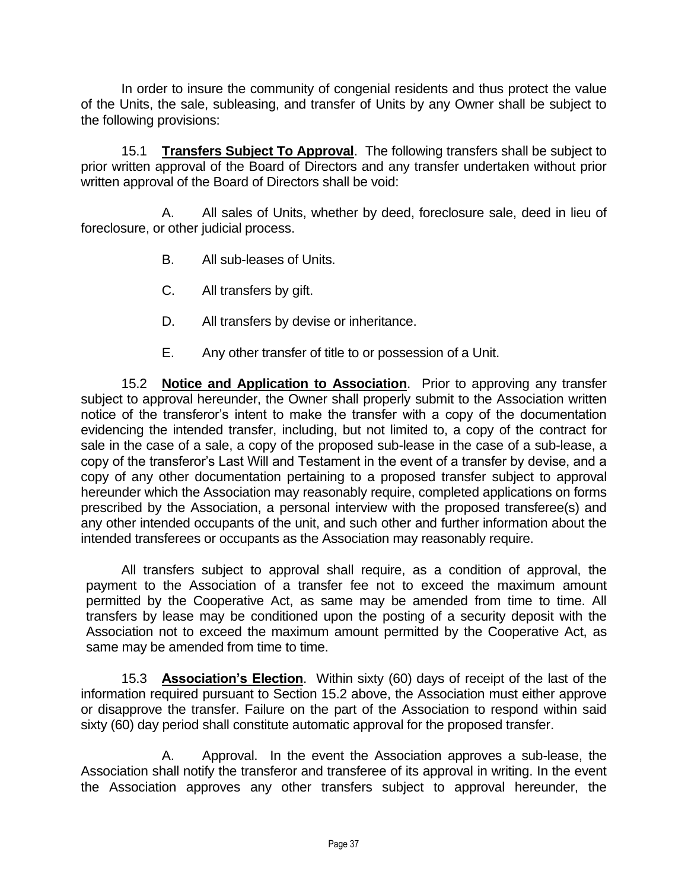In order to insure the community of congenial residents and thus protect the value of the Units, the sale, subleasing, and transfer of Units by any Owner shall be subject to the following provisions:

15.1 **Transfers Subject To Approval**. The following transfers shall be subject to prior written approval of the Board of Directors and any transfer undertaken without prior written approval of the Board of Directors shall be void:

A. All sales of Units, whether by deed, foreclosure sale, deed in lieu of foreclosure, or other judicial process.

- B. All sub-leases of Units.
- C. All transfers by gift.
- D. All transfers by devise or inheritance.
- E. Any other transfer of title to or possession of a Unit.

15.2 **Notice and Application to Association**. Prior to approving any transfer subject to approval hereunder, the Owner shall properly submit to the Association written notice of the transferor's intent to make the transfer with a copy of the documentation evidencing the intended transfer, including, but not limited to, a copy of the contract for sale in the case of a sale, a copy of the proposed sub-lease in the case of a sub-lease, a copy of the transferor's Last Will and Testament in the event of a transfer by devise, and a copy of any other documentation pertaining to a proposed transfer subject to approval hereunder which the Association may reasonably require, completed applications on forms prescribed by the Association, a personal interview with the proposed transferee(s) and any other intended occupants of the unit, and such other and further information about the intended transferees or occupants as the Association may reasonably require.

All transfers subject to approval shall require, as a condition of approval, the payment to the Association of a transfer fee not to exceed the maximum amount permitted by the Cooperative Act, as same may be amended from time to time. All transfers by lease may be conditioned upon the posting of a security deposit with the Association not to exceed the maximum amount permitted by the Cooperative Act, as same may be amended from time to time.

15.3 **Association's Election**. Within sixty (60) days of receipt of the last of the information required pursuant to Section 15.2 above, the Association must either approve or disapprove the transfer. Failure on the part of the Association to respond within said sixty (60) day period shall constitute automatic approval for the proposed transfer.

A. Approval. In the event the Association approves a sub-lease, the Association shall notify the transferor and transferee of its approval in writing. In the event the Association approves any other transfers subject to approval hereunder, the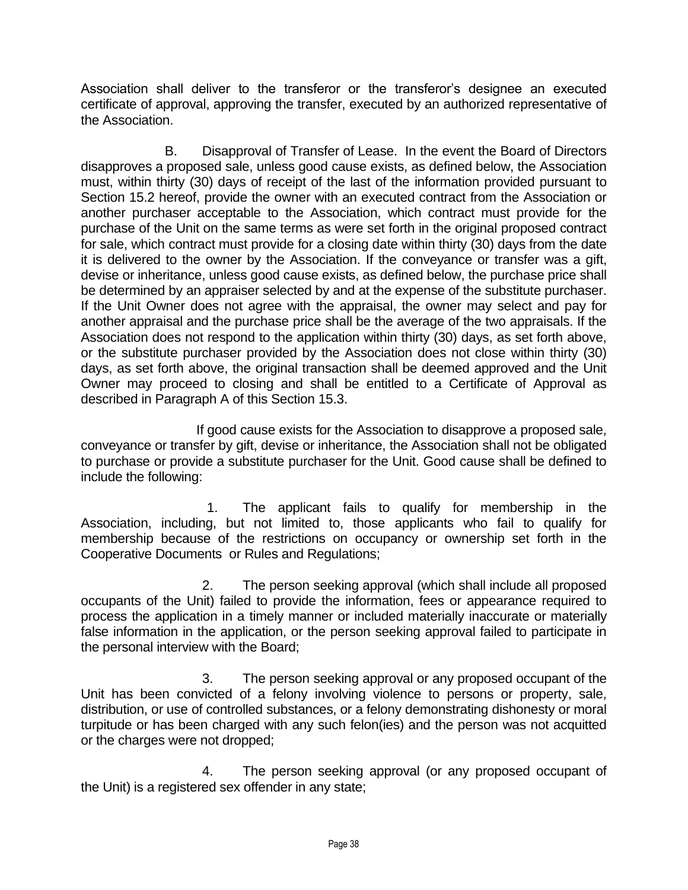Association shall deliver to the transferor or the transferor's designee an executed certificate of approval, approving the transfer, executed by an authorized representative of the Association.

B. Disapproval of Transfer of Lease. In the event the Board of Directors disapproves a proposed sale, unless good cause exists, as defined below, the Association must, within thirty (30) days of receipt of the last of the information provided pursuant to Section 15.2 hereof, provide the owner with an executed contract from the Association or another purchaser acceptable to the Association, which contract must provide for the purchase of the Unit on the same terms as were set forth in the original proposed contract for sale, which contract must provide for a closing date within thirty (30) days from the date it is delivered to the owner by the Association. If the conveyance or transfer was a gift, devise or inheritance, unless good cause exists, as defined below, the purchase price shall be determined by an appraiser selected by and at the expense of the substitute purchaser. If the Unit Owner does not agree with the appraisal, the owner may select and pay for another appraisal and the purchase price shall be the average of the two appraisals. If the Association does not respond to the application within thirty (30) days, as set forth above, or the substitute purchaser provided by the Association does not close within thirty (30) days, as set forth above, the original transaction shall be deemed approved and the Unit Owner may proceed to closing and shall be entitled to a Certificate of Approval as described in Paragraph A of this Section 15.3.

If good cause exists for the Association to disapprove a proposed sale, conveyance or transfer by gift, devise or inheritance, the Association shall not be obligated to purchase or provide a substitute purchaser for the Unit. Good cause shall be defined to include the following:

1. The applicant fails to qualify for membership in the Association, including, but not limited to, those applicants who fail to qualify for membership because of the restrictions on occupancy or ownership set forth in the Cooperative Documents or Rules and Regulations;

2. The person seeking approval (which shall include all proposed occupants of the Unit) failed to provide the information, fees or appearance required to process the application in a timely manner or included materially inaccurate or materially false information in the application, or the person seeking approval failed to participate in the personal interview with the Board;

3. The person seeking approval or any proposed occupant of the Unit has been convicted of a felony involving violence to persons or property, sale, distribution, or use of controlled substances, or a felony demonstrating dishonesty or moral turpitude or has been charged with any such felon(ies) and the person was not acquitted or the charges were not dropped;

4. The person seeking approval (or any proposed occupant of the Unit) is a registered sex offender in any state;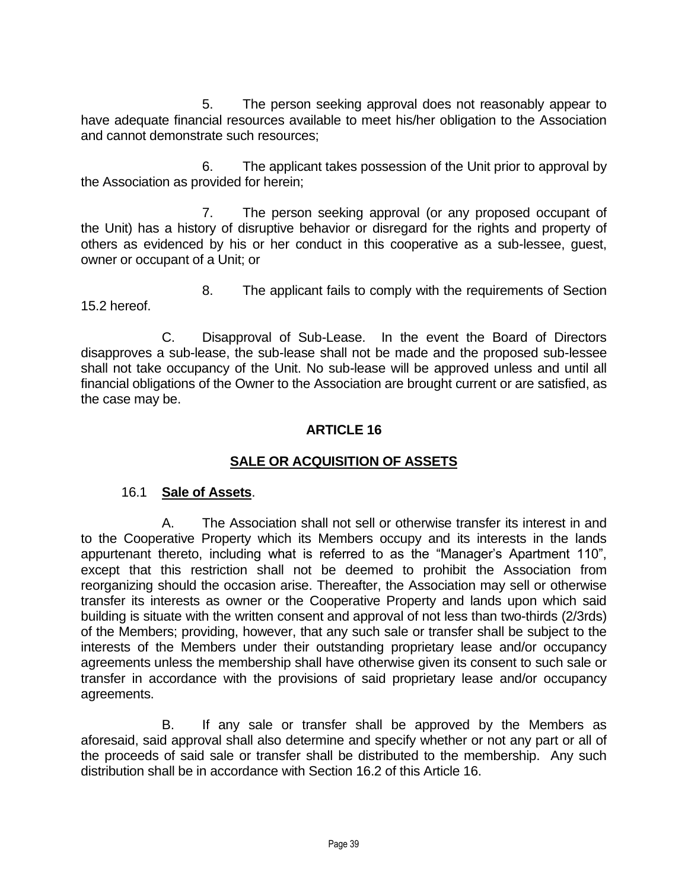5. The person seeking approval does not reasonably appear to have adequate financial resources available to meet his/her obligation to the Association and cannot demonstrate such resources;

6. The applicant takes possession of the Unit prior to approval by the Association as provided for herein;

7. The person seeking approval (or any proposed occupant of the Unit) has a history of disruptive behavior or disregard for the rights and property of others as evidenced by his or her conduct in this cooperative as a sub-lessee, guest, owner or occupant of a Unit; or

8. The applicant fails to comply with the requirements of Section 15.2 hereof.

C. Disapproval of Sub-Lease. In the event the Board of Directors disapproves a sub-lease, the sub-lease shall not be made and the proposed sub-lessee shall not take occupancy of the Unit. No sub-lease will be approved unless and until all financial obligations of the Owner to the Association are brought current or are satisfied, as the case may be.

## **ARTICLE 16**

## **SALE OR ACQUISITION OF ASSETS**

### 16.1 **Sale of Assets**.

A. The Association shall not sell or otherwise transfer its interest in and to the Cooperative Property which its Members occupy and its interests in the lands appurtenant thereto, including what is referred to as the "Manager's Apartment 110", except that this restriction shall not be deemed to prohibit the Association from reorganizing should the occasion arise. Thereafter, the Association may sell or otherwise transfer its interests as owner or the Cooperative Property and lands upon which said building is situate with the written consent and approval of not less than two-thirds (2/3rds) of the Members; providing, however, that any such sale or transfer shall be subject to the interests of the Members under their outstanding proprietary lease and/or occupancy agreements unless the membership shall have otherwise given its consent to such sale or transfer in accordance with the provisions of said proprietary lease and/or occupancy agreements.

B. If any sale or transfer shall be approved by the Members as aforesaid, said approval shall also determine and specify whether or not any part or all of the proceeds of said sale or transfer shall be distributed to the membership. Any such distribution shall be in accordance with Section 16.2 of this Article 16.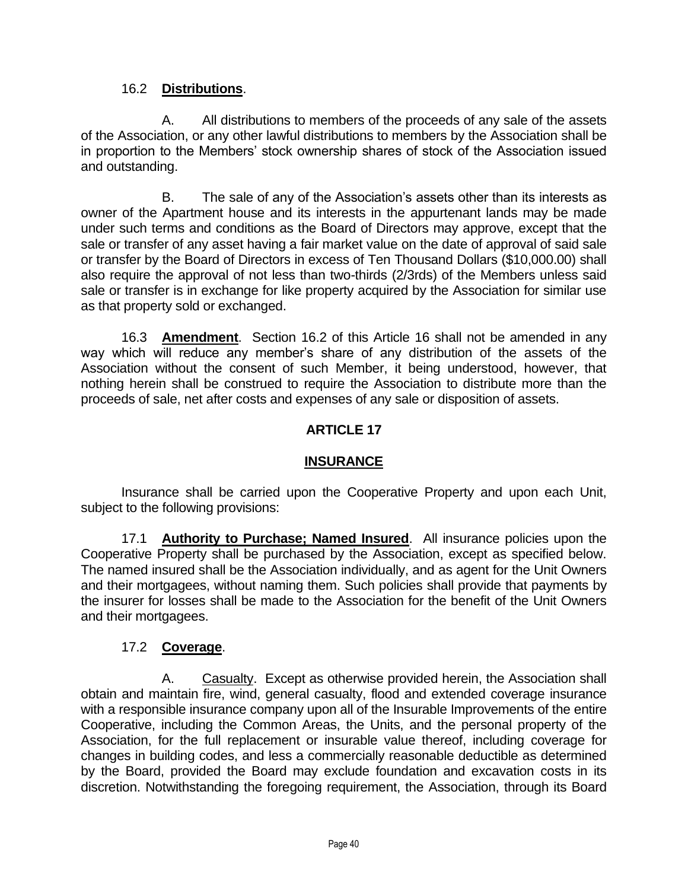## 16.2 **Distributions**.

A. All distributions to members of the proceeds of any sale of the assets of the Association, or any other lawful distributions to members by the Association shall be in proportion to the Members' stock ownership shares of stock of the Association issued and outstanding.

B. The sale of any of the Association's assets other than its interests as owner of the Apartment house and its interests in the appurtenant lands may be made under such terms and conditions as the Board of Directors may approve, except that the sale or transfer of any asset having a fair market value on the date of approval of said sale or transfer by the Board of Directors in excess of Ten Thousand Dollars (\$10,000.00) shall also require the approval of not less than two-thirds (2/3rds) of the Members unless said sale or transfer is in exchange for like property acquired by the Association for similar use as that property sold or exchanged.

16.3 **Amendment**. Section 16.2 of this Article 16 shall not be amended in any way which will reduce any member's share of any distribution of the assets of the Association without the consent of such Member, it being understood, however, that nothing herein shall be construed to require the Association to distribute more than the proceeds of sale, net after costs and expenses of any sale or disposition of assets.

# **ARTICLE 17**

## **INSURANCE**

Insurance shall be carried upon the Cooperative Property and upon each Unit, subject to the following provisions:

17.1 **Authority to Purchase; Named Insured**. All insurance policies upon the Cooperative Property shall be purchased by the Association, except as specified below. The named insured shall be the Association individually, and as agent for the Unit Owners and their mortgagees, without naming them. Such policies shall provide that payments by the insurer for losses shall be made to the Association for the benefit of the Unit Owners and their mortgagees.

# 17.2 **Coverage**.

A. Casualty. Except as otherwise provided herein, the Association shall obtain and maintain fire, wind, general casualty, flood and extended coverage insurance with a responsible insurance company upon all of the Insurable Improvements of the entire Cooperative, including the Common Areas, the Units, and the personal property of the Association, for the full replacement or insurable value thereof, including coverage for changes in building codes, and less a commercially reasonable deductible as determined by the Board, provided the Board may exclude foundation and excavation costs in its discretion. Notwithstanding the foregoing requirement, the Association, through its Board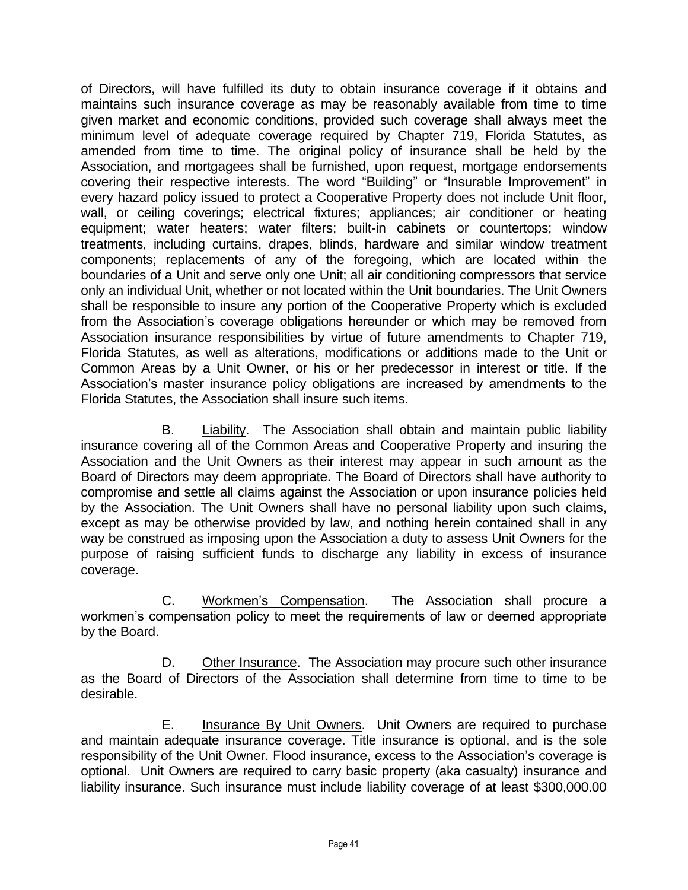of Directors, will have fulfilled its duty to obtain insurance coverage if it obtains and maintains such insurance coverage as may be reasonably available from time to time given market and economic conditions, provided such coverage shall always meet the minimum level of adequate coverage required by Chapter 719, Florida Statutes, as amended from time to time. The original policy of insurance shall be held by the Association, and mortgagees shall be furnished, upon request, mortgage endorsements covering their respective interests. The word "Building" or "Insurable Improvement" in every hazard policy issued to protect a Cooperative Property does not include Unit floor, wall, or ceiling coverings; electrical fixtures; appliances; air conditioner or heating equipment; water heaters; water filters; built-in cabinets or countertops; window treatments, including curtains, drapes, blinds, hardware and similar window treatment components; replacements of any of the foregoing, which are located within the boundaries of a Unit and serve only one Unit; all air conditioning compressors that service only an individual Unit, whether or not located within the Unit boundaries. The Unit Owners shall be responsible to insure any portion of the Cooperative Property which is excluded from the Association's coverage obligations hereunder or which may be removed from Association insurance responsibilities by virtue of future amendments to Chapter 719, Florida Statutes, as well as alterations, modifications or additions made to the Unit or Common Areas by a Unit Owner, or his or her predecessor in interest or title. If the Association's master insurance policy obligations are increased by amendments to the Florida Statutes, the Association shall insure such items.

B. Liability. The Association shall obtain and maintain public liability insurance covering all of the Common Areas and Cooperative Property and insuring the Association and the Unit Owners as their interest may appear in such amount as the Board of Directors may deem appropriate. The Board of Directors shall have authority to compromise and settle all claims against the Association or upon insurance policies held by the Association. The Unit Owners shall have no personal liability upon such claims, except as may be otherwise provided by law, and nothing herein contained shall in any way be construed as imposing upon the Association a duty to assess Unit Owners for the purpose of raising sufficient funds to discharge any liability in excess of insurance coverage.

C. Workmen's Compensation. The Association shall procure a workmen's compensation policy to meet the requirements of law or deemed appropriate by the Board.

D. Other Insurance. The Association may procure such other insurance as the Board of Directors of the Association shall determine from time to time to be desirable.

E. Insurance By Unit Owners.Unit Owners are required to purchase and maintain adequate insurance coverage. Title insurance is optional, and is the sole responsibility of the Unit Owner. Flood insurance, excess to the Association's coverage is optional. Unit Owners are required to carry basic property (aka casualty) insurance and liability insurance. Such insurance must include liability coverage of at least \$300,000.00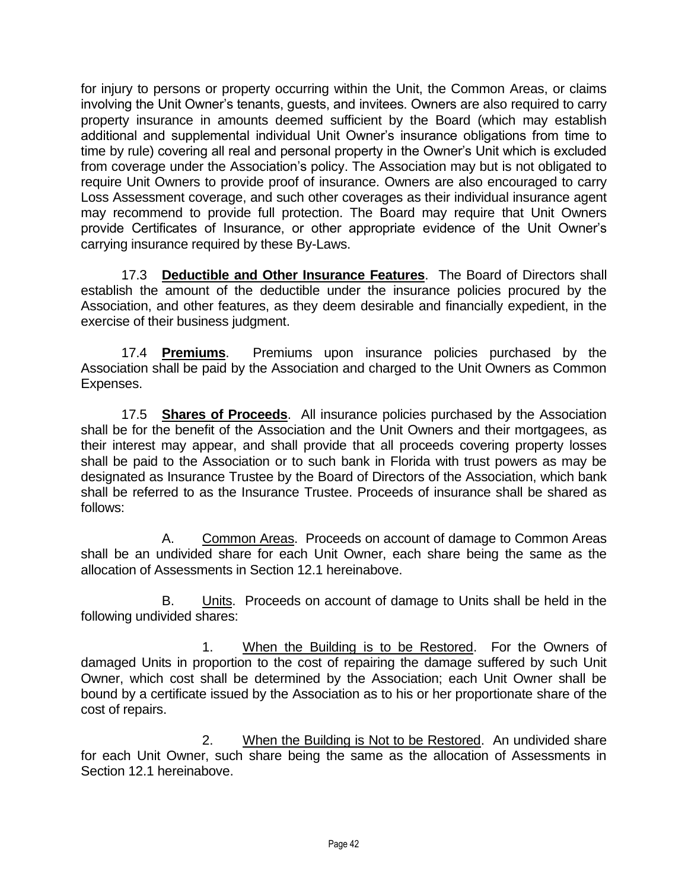for injury to persons or property occurring within the Unit, the Common Areas, or claims involving the Unit Owner's tenants, guests, and invitees. Owners are also required to carry property insurance in amounts deemed sufficient by the Board (which may establish additional and supplemental individual Unit Owner's insurance obligations from time to time by rule) covering all real and personal property in the Owner's Unit which is excluded from coverage under the Association's policy. The Association may but is not obligated to require Unit Owners to provide proof of insurance. Owners are also encouraged to carry Loss Assessment coverage, and such other coverages as their individual insurance agent may recommend to provide full protection. The Board may require that Unit Owners provide Certificates of Insurance, or other appropriate evidence of the Unit Owner's carrying insurance required by these By-Laws.

17.3 **Deductible and Other Insurance Features**. The Board of Directors shall establish the amount of the deductible under the insurance policies procured by the Association, and other features, as they deem desirable and financially expedient, in the exercise of their business judgment.

17.4 **Premiums**. Premiums upon insurance policies purchased by the Association shall be paid by the Association and charged to the Unit Owners as Common Expenses.

17.5 **Shares of Proceeds**. All insurance policies purchased by the Association shall be for the benefit of the Association and the Unit Owners and their mortgagees, as their interest may appear, and shall provide that all proceeds covering property losses shall be paid to the Association or to such bank in Florida with trust powers as may be designated as Insurance Trustee by the Board of Directors of the Association, which bank shall be referred to as the Insurance Trustee. Proceeds of insurance shall be shared as follows:

A. Common Areas. Proceeds on account of damage to Common Areas shall be an undivided share for each Unit Owner, each share being the same as the allocation of Assessments in Section 12.1 hereinabove.

B. Units. Proceeds on account of damage to Units shall be held in the following undivided shares:

1. When the Building is to be Restored. For the Owners of damaged Units in proportion to the cost of repairing the damage suffered by such Unit Owner, which cost shall be determined by the Association; each Unit Owner shall be bound by a certificate issued by the Association as to his or her proportionate share of the cost of repairs.

2. When the Building is Not to be Restored. An undivided share for each Unit Owner, such share being the same as the allocation of Assessments in Section 12.1 hereinabove.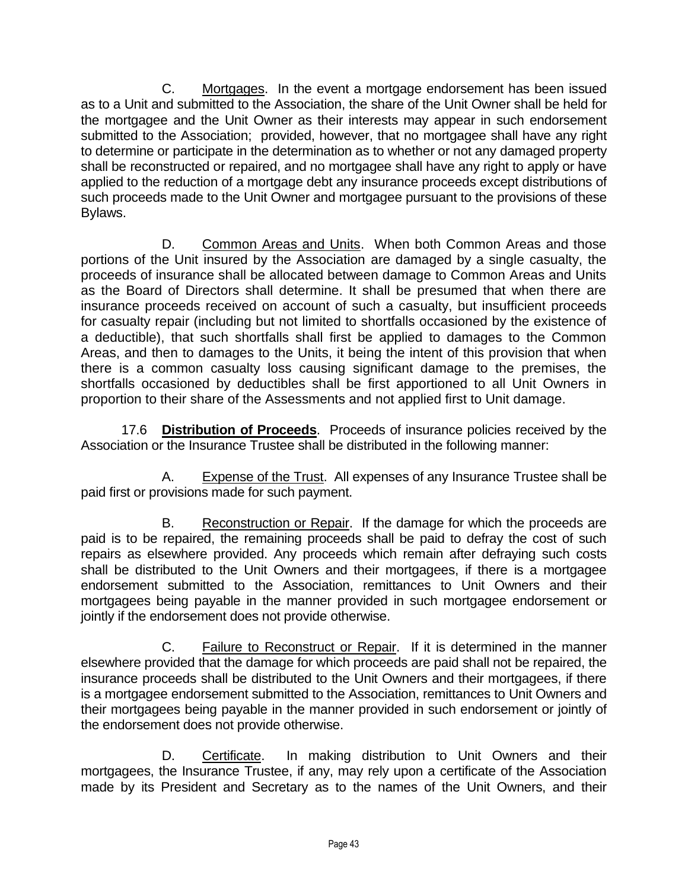C. Mortgages. In the event a mortgage endorsement has been issued as to a Unit and submitted to the Association, the share of the Unit Owner shall be held for the mortgagee and the Unit Owner as their interests may appear in such endorsement submitted to the Association; provided, however, that no mortgagee shall have any right to determine or participate in the determination as to whether or not any damaged property shall be reconstructed or repaired, and no mortgagee shall have any right to apply or have applied to the reduction of a mortgage debt any insurance proceeds except distributions of such proceeds made to the Unit Owner and mortgagee pursuant to the provisions of these Bylaws.

D. Common Areas and Units.When both Common Areas and those portions of the Unit insured by the Association are damaged by a single casualty, the proceeds of insurance shall be allocated between damage to Common Areas and Units as the Board of Directors shall determine. It shall be presumed that when there are insurance proceeds received on account of such a casualty, but insufficient proceeds for casualty repair (including but not limited to shortfalls occasioned by the existence of a deductible), that such shortfalls shall first be applied to damages to the Common Areas, and then to damages to the Units, it being the intent of this provision that when there is a common casualty loss causing significant damage to the premises, the shortfalls occasioned by deductibles shall be first apportioned to all Unit Owners in proportion to their share of the Assessments and not applied first to Unit damage.

17.6 **Distribution of Proceeds**. Proceeds of insurance policies received by the Association or the Insurance Trustee shall be distributed in the following manner:

A. Expense of the Trust. All expenses of any Insurance Trustee shall be paid first or provisions made for such payment.

B. Reconstruction or Repair. If the damage for which the proceeds are paid is to be repaired, the remaining proceeds shall be paid to defray the cost of such repairs as elsewhere provided. Any proceeds which remain after defraying such costs shall be distributed to the Unit Owners and their mortgagees, if there is a mortgagee endorsement submitted to the Association, remittances to Unit Owners and their mortgagees being payable in the manner provided in such mortgagee endorsement or jointly if the endorsement does not provide otherwise.

C. Failure to Reconstruct or Repair. If it is determined in the manner elsewhere provided that the damage for which proceeds are paid shall not be repaired, the insurance proceeds shall be distributed to the Unit Owners and their mortgagees, if there is a mortgagee endorsement submitted to the Association, remittances to Unit Owners and their mortgagees being payable in the manner provided in such endorsement or jointly of the endorsement does not provide otherwise.

D. Certificate. In making distribution to Unit Owners and their mortgagees, the Insurance Trustee, if any, may rely upon a certificate of the Association made by its President and Secretary as to the names of the Unit Owners, and their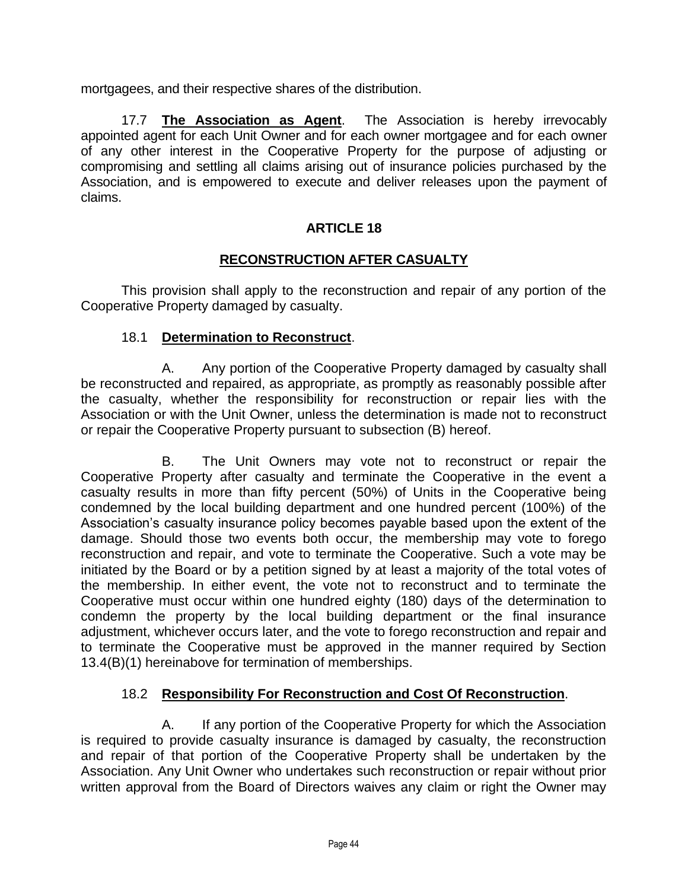mortgagees, and their respective shares of the distribution.

17.7 **The Association as Agent**. The Association is hereby irrevocably appointed agent for each Unit Owner and for each owner mortgagee and for each owner of any other interest in the Cooperative Property for the purpose of adjusting or compromising and settling all claims arising out of insurance policies purchased by the Association, and is empowered to execute and deliver releases upon the payment of claims.

# **ARTICLE 18**

## **RECONSTRUCTION AFTER CASUALTY**

This provision shall apply to the reconstruction and repair of any portion of the Cooperative Property damaged by casualty.

### 18.1 **Determination to Reconstruct**.

A. Any portion of the Cooperative Property damaged by casualty shall be reconstructed and repaired, as appropriate, as promptly as reasonably possible after the casualty, whether the responsibility for reconstruction or repair lies with the Association or with the Unit Owner, unless the determination is made not to reconstruct or repair the Cooperative Property pursuant to subsection (B) hereof.

B. The Unit Owners may vote not to reconstruct or repair the Cooperative Property after casualty and terminate the Cooperative in the event a casualty results in more than fifty percent (50%) of Units in the Cooperative being condemned by the local building department and one hundred percent (100%) of the Association's casualty insurance policy becomes payable based upon the extent of the damage. Should those two events both occur, the membership may vote to forego reconstruction and repair, and vote to terminate the Cooperative. Such a vote may be initiated by the Board or by a petition signed by at least a majority of the total votes of the membership. In either event, the vote not to reconstruct and to terminate the Cooperative must occur within one hundred eighty (180) days of the determination to condemn the property by the local building department or the final insurance adjustment, whichever occurs later, and the vote to forego reconstruction and repair and to terminate the Cooperative must be approved in the manner required by Section 13.4(B)(1) hereinabove for termination of memberships.

## 18.2 **Responsibility For Reconstruction and Cost Of Reconstruction**.

A. If any portion of the Cooperative Property for which the Association is required to provide casualty insurance is damaged by casualty, the reconstruction and repair of that portion of the Cooperative Property shall be undertaken by the Association. Any Unit Owner who undertakes such reconstruction or repair without prior written approval from the Board of Directors waives any claim or right the Owner may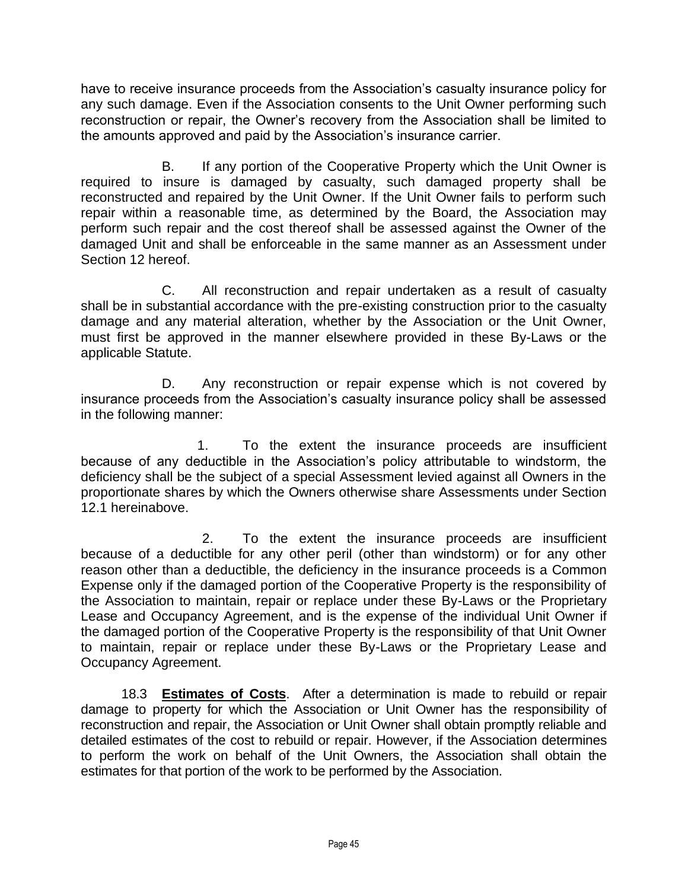have to receive insurance proceeds from the Association's casualty insurance policy for any such damage. Even if the Association consents to the Unit Owner performing such reconstruction or repair, the Owner's recovery from the Association shall be limited to the amounts approved and paid by the Association's insurance carrier.

B. If any portion of the Cooperative Property which the Unit Owner is required to insure is damaged by casualty, such damaged property shall be reconstructed and repaired by the Unit Owner. If the Unit Owner fails to perform such repair within a reasonable time, as determined by the Board, the Association may perform such repair and the cost thereof shall be assessed against the Owner of the damaged Unit and shall be enforceable in the same manner as an Assessment under Section 12 hereof.

C. All reconstruction and repair undertaken as a result of casualty shall be in substantial accordance with the pre-existing construction prior to the casualty damage and any material alteration, whether by the Association or the Unit Owner, must first be approved in the manner elsewhere provided in these By-Laws or the applicable Statute.

D. Any reconstruction or repair expense which is not covered by insurance proceeds from the Association's casualty insurance policy shall be assessed in the following manner:

1. To the extent the insurance proceeds are insufficient because of any deductible in the Association's policy attributable to windstorm, the deficiency shall be the subject of a special Assessment levied against all Owners in the proportionate shares by which the Owners otherwise share Assessments under Section 12.1 hereinabove.

2. To the extent the insurance proceeds are insufficient because of a deductible for any other peril (other than windstorm) or for any other reason other than a deductible, the deficiency in the insurance proceeds is a Common Expense only if the damaged portion of the Cooperative Property is the responsibility of the Association to maintain, repair or replace under these By-Laws or the Proprietary Lease and Occupancy Agreement, and is the expense of the individual Unit Owner if the damaged portion of the Cooperative Property is the responsibility of that Unit Owner to maintain, repair or replace under these By-Laws or the Proprietary Lease and Occupancy Agreement.

18.3 **Estimates of Costs**. After a determination is made to rebuild or repair damage to property for which the Association or Unit Owner has the responsibility of reconstruction and repair, the Association or Unit Owner shall obtain promptly reliable and detailed estimates of the cost to rebuild or repair. However, if the Association determines to perform the work on behalf of the Unit Owners, the Association shall obtain the estimates for that portion of the work to be performed by the Association.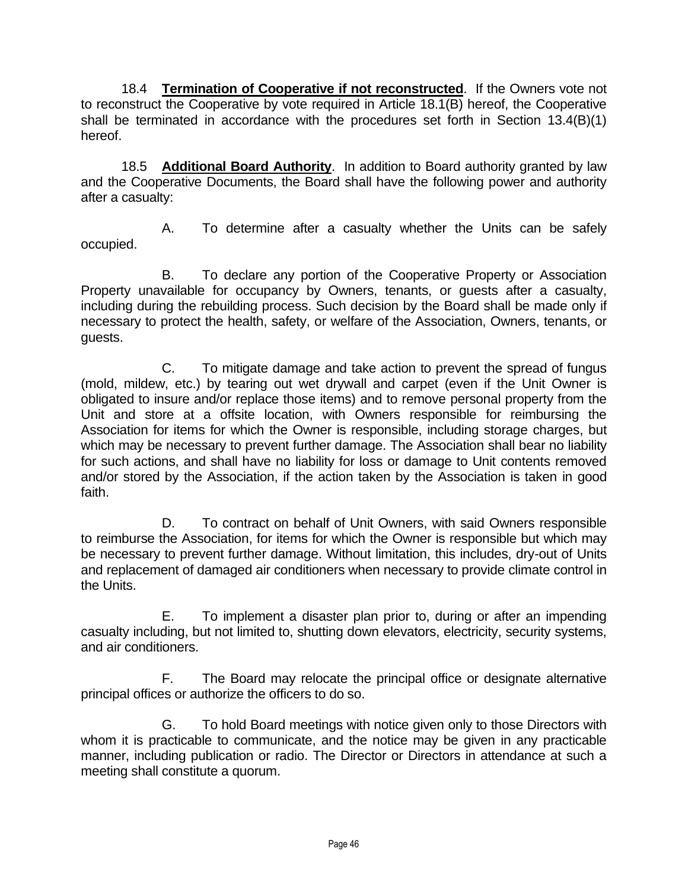18.4 **Termination of Cooperative if not reconstructed**. If the Owners vote not to reconstruct the Cooperative by vote required in Article 18.1(B) hereof, the Cooperative shall be terminated in accordance with the procedures set forth in Section 13.4(B)(1) hereof.

18.5 **Additional Board Authority**.In addition to Board authority granted by law and the Cooperative Documents, the Board shall have the following power and authority after a casualty:

A. To determine after a casualty whether the Units can be safely occupied.

B. To declare any portion of the Cooperative Property or Association Property unavailable for occupancy by Owners, tenants, or guests after a casualty, including during the rebuilding process. Such decision by the Board shall be made only if necessary to protect the health, safety, or welfare of the Association, Owners, tenants, or guests.

C. To mitigate damage and take action to prevent the spread of fungus (mold, mildew, etc.) by tearing out wet drywall and carpet (even if the Unit Owner is obligated to insure and/or replace those items) and to remove personal property from the Unit and store at a offsite location, with Owners responsible for reimbursing the Association for items for which the Owner is responsible, including storage charges, but which may be necessary to prevent further damage. The Association shall bear no liability for such actions, and shall have no liability for loss or damage to Unit contents removed and/or stored by the Association, if the action taken by the Association is taken in good faith.

D. To contract on behalf of Unit Owners, with said Owners responsible to reimburse the Association, for items for which the Owner is responsible but which may be necessary to prevent further damage. Without limitation, this includes, dry-out of Units and replacement of damaged air conditioners when necessary to provide climate control in the Units.

E. To implement a disaster plan prior to, during or after an impending casualty including, but not limited to, shutting down elevators, electricity, security systems, and air conditioners.

F. The Board may relocate the principal office or designate alternative principal offices or authorize the officers to do so.

G. To hold Board meetings with notice given only to those Directors with whom it is practicable to communicate, and the notice may be given in any practicable manner, including publication or radio. The Director or Directors in attendance at such a meeting shall constitute a quorum.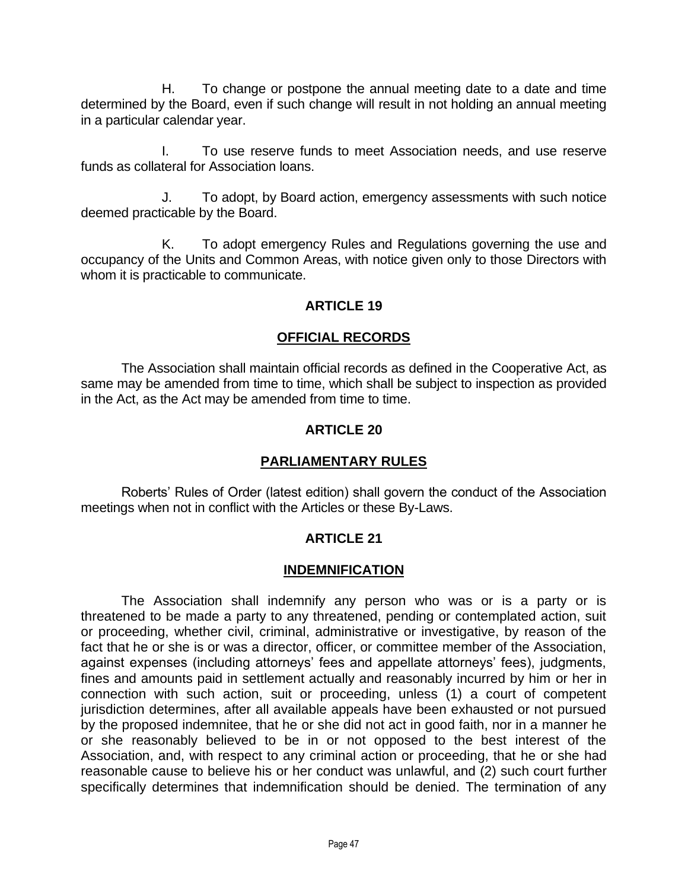H. To change or postpone the annual meeting date to a date and time determined by the Board, even if such change will result in not holding an annual meeting in a particular calendar year.

I. To use reserve funds to meet Association needs, and use reserve funds as collateral for Association loans.

J. To adopt, by Board action, emergency assessments with such notice deemed practicable by the Board.

K. To adopt emergency Rules and Regulations governing the use and occupancy of the Units and Common Areas, with notice given only to those Directors with whom it is practicable to communicate.

### **ARTICLE 19**

### **OFFICIAL RECORDS**

The Association shall maintain official records as defined in the Cooperative Act, as same may be amended from time to time, which shall be subject to inspection as provided in the Act, as the Act may be amended from time to time.

### **ARTICLE 20**

### **PARLIAMENTARY RULES**

Roberts' Rules of Order (latest edition) shall govern the conduct of the Association meetings when not in conflict with the Articles or these By-Laws.

### **ARTICLE 21**

### **INDEMNIFICATION**

The Association shall indemnify any person who was or is a party or is threatened to be made a party to any threatened, pending or contemplated action, suit or proceeding, whether civil, criminal, administrative or investigative, by reason of the fact that he or she is or was a director, officer, or committee member of the Association, against expenses (including attorneys' fees and appellate attorneys' fees), judgments, fines and amounts paid in settlement actually and reasonably incurred by him or her in connection with such action, suit or proceeding, unless (1) a court of competent jurisdiction determines, after all available appeals have been exhausted or not pursued by the proposed indemnitee, that he or she did not act in good faith, nor in a manner he or she reasonably believed to be in or not opposed to the best interest of the Association, and, with respect to any criminal action or proceeding, that he or she had reasonable cause to believe his or her conduct was unlawful, and (2) such court further specifically determines that indemnification should be denied. The termination of any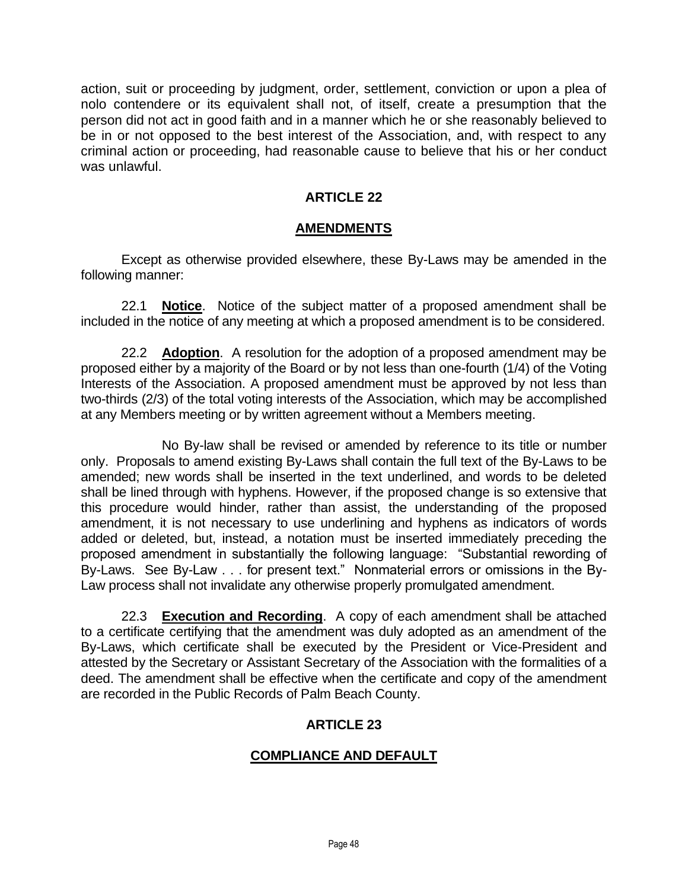action, suit or proceeding by judgment, order, settlement, conviction or upon a plea of nolo contendere or its equivalent shall not, of itself, create a presumption that the person did not act in good faith and in a manner which he or she reasonably believed to be in or not opposed to the best interest of the Association, and, with respect to any criminal action or proceeding, had reasonable cause to believe that his or her conduct was unlawful.

## **ARTICLE 22**

### **AMENDMENTS**

Except as otherwise provided elsewhere, these By-Laws may be amended in the following manner:

22.1 **Notice**. Notice of the subject matter of a proposed amendment shall be included in the notice of any meeting at which a proposed amendment is to be considered.

22.2 **Adoption**. A resolution for the adoption of a proposed amendment may be proposed either by a majority of the Board or by not less than one-fourth (1/4) of the Voting Interests of the Association. A proposed amendment must be approved by not less than two-thirds (2/3) of the total voting interests of the Association, which may be accomplished at any Members meeting or by written agreement without a Members meeting.

No By-law shall be revised or amended by reference to its title or number only. Proposals to amend existing By-Laws shall contain the full text of the By-Laws to be amended; new words shall be inserted in the text underlined, and words to be deleted shall be lined through with hyphens. However, if the proposed change is so extensive that this procedure would hinder, rather than assist, the understanding of the proposed amendment, it is not necessary to use underlining and hyphens as indicators of words added or deleted, but, instead, a notation must be inserted immediately preceding the proposed amendment in substantially the following language: "Substantial rewording of By-Laws. See By-Law . . . for present text." Nonmaterial errors or omissions in the By-Law process shall not invalidate any otherwise properly promulgated amendment.

22.3 **Execution and Recording**. A copy of each amendment shall be attached to a certificate certifying that the amendment was duly adopted as an amendment of the By-Laws, which certificate shall be executed by the President or Vice-President and attested by the Secretary or Assistant Secretary of the Association with the formalities of a deed. The amendment shall be effective when the certificate and copy of the amendment are recorded in the Public Records of Palm Beach County.

## **ARTICLE 23**

## **COMPLIANCE AND DEFAULT**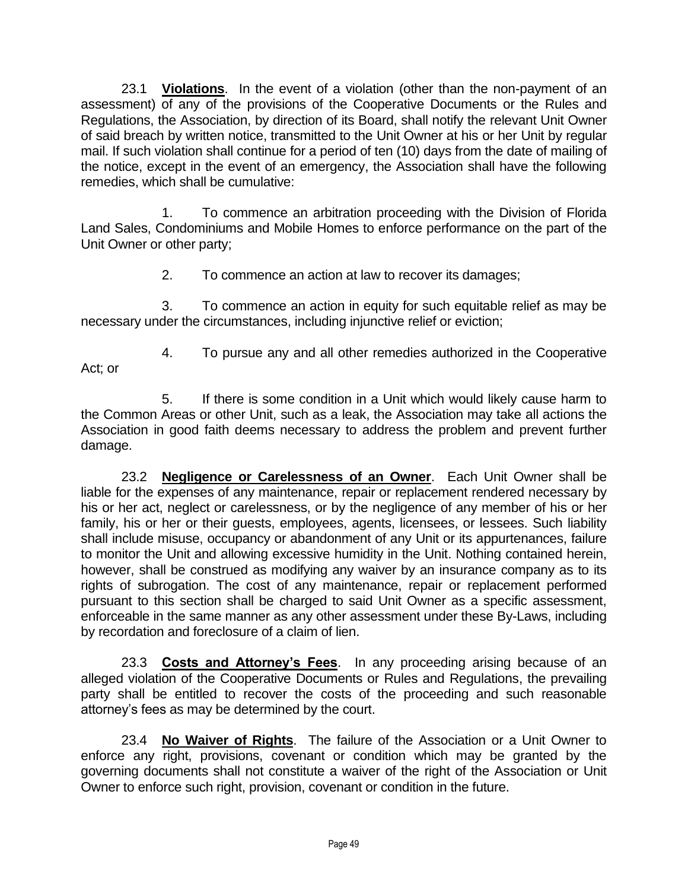23.1 **Violations**. In the event of a violation (other than the non-payment of an assessment) of any of the provisions of the Cooperative Documents or the Rules and Regulations, the Association, by direction of its Board, shall notify the relevant Unit Owner of said breach by written notice, transmitted to the Unit Owner at his or her Unit by regular mail. If such violation shall continue for a period of ten (10) days from the date of mailing of the notice, except in the event of an emergency, the Association shall have the following remedies, which shall be cumulative:

1. To commence an arbitration proceeding with the Division of Florida Land Sales, Condominiums and Mobile Homes to enforce performance on the part of the Unit Owner or other party;

2. To commence an action at law to recover its damages;

3. To commence an action in equity for such equitable relief as may be necessary under the circumstances, including injunctive relief or eviction;

Act; or

4. To pursue any and all other remedies authorized in the Cooperative

5. If there is some condition in a Unit which would likely cause harm to the Common Areas or other Unit, such as a leak, the Association may take all actions the Association in good faith deems necessary to address the problem and prevent further damage.

23.2 **Negligence or Carelessness of an Owner**. Each Unit Owner shall be liable for the expenses of any maintenance, repair or replacement rendered necessary by his or her act, neglect or carelessness, or by the negligence of any member of his or her family, his or her or their guests, employees, agents, licensees, or lessees. Such liability shall include misuse, occupancy or abandonment of any Unit or its appurtenances, failure to monitor the Unit and allowing excessive humidity in the Unit. Nothing contained herein, however, shall be construed as modifying any waiver by an insurance company as to its rights of subrogation. The cost of any maintenance, repair or replacement performed pursuant to this section shall be charged to said Unit Owner as a specific assessment, enforceable in the same manner as any other assessment under these By-Laws, including by recordation and foreclosure of a claim of lien.

23.3 **Costs and Attorney's Fees**. In any proceeding arising because of an alleged violation of the Cooperative Documents or Rules and Regulations, the prevailing party shall be entitled to recover the costs of the proceeding and such reasonable attorney's fees as may be determined by the court.

23.4 **No Waiver of Rights**. The failure of the Association or a Unit Owner to enforce any right, provisions, covenant or condition which may be granted by the governing documents shall not constitute a waiver of the right of the Association or Unit Owner to enforce such right, provision, covenant or condition in the future.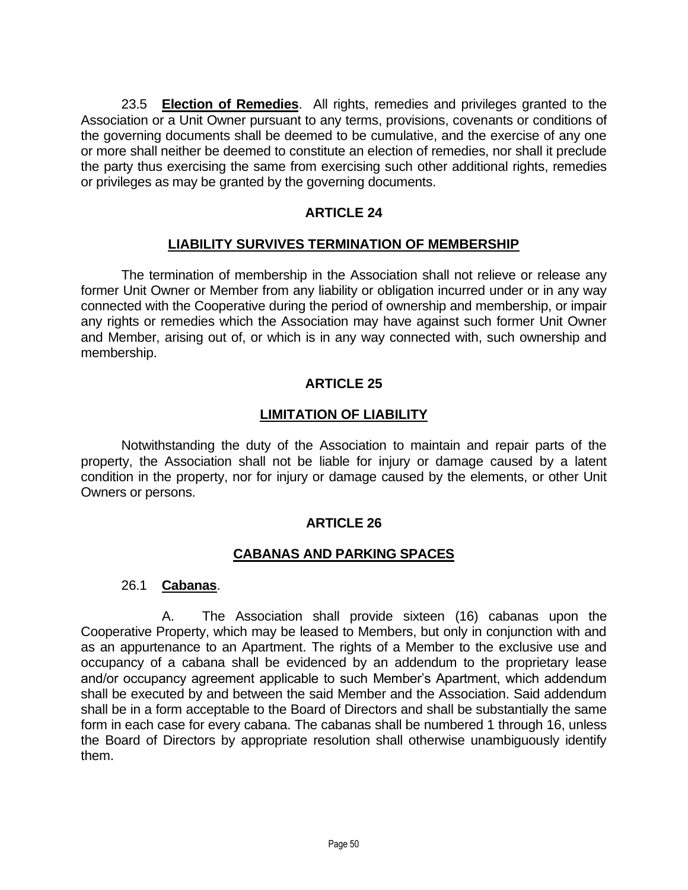23.5 **Election of Remedies**. All rights, remedies and privileges granted to the Association or a Unit Owner pursuant to any terms, provisions, covenants or conditions of the governing documents shall be deemed to be cumulative, and the exercise of any one or more shall neither be deemed to constitute an election of remedies, nor shall it preclude the party thus exercising the same from exercising such other additional rights, remedies or privileges as may be granted by the governing documents.

## **ARTICLE 24**

### **LIABILITY SURVIVES TERMINATION OF MEMBERSHIP**

The termination of membership in the Association shall not relieve or release any former Unit Owner or Member from any liability or obligation incurred under or in any way connected with the Cooperative during the period of ownership and membership, or impair any rights or remedies which the Association may have against such former Unit Owner and Member, arising out of, or which is in any way connected with, such ownership and membership.

### **ARTICLE 25**

### **LIMITATION OF LIABILITY**

Notwithstanding the duty of the Association to maintain and repair parts of the property, the Association shall not be liable for injury or damage caused by a latent condition in the property, nor for injury or damage caused by the elements, or other Unit Owners or persons.

### **ARTICLE 26**

### **CABANAS AND PARKING SPACES**

#### 26.1 **Cabanas**.

A. The Association shall provide sixteen (16) cabanas upon the Cooperative Property, which may be leased to Members, but only in conjunction with and as an appurtenance to an Apartment. The rights of a Member to the exclusive use and occupancy of a cabana shall be evidenced by an addendum to the proprietary lease and/or occupancy agreement applicable to such Member's Apartment, which addendum shall be executed by and between the said Member and the Association. Said addendum shall be in a form acceptable to the Board of Directors and shall be substantially the same form in each case for every cabana. The cabanas shall be numbered 1 through 16, unless the Board of Directors by appropriate resolution shall otherwise unambiguously identify them.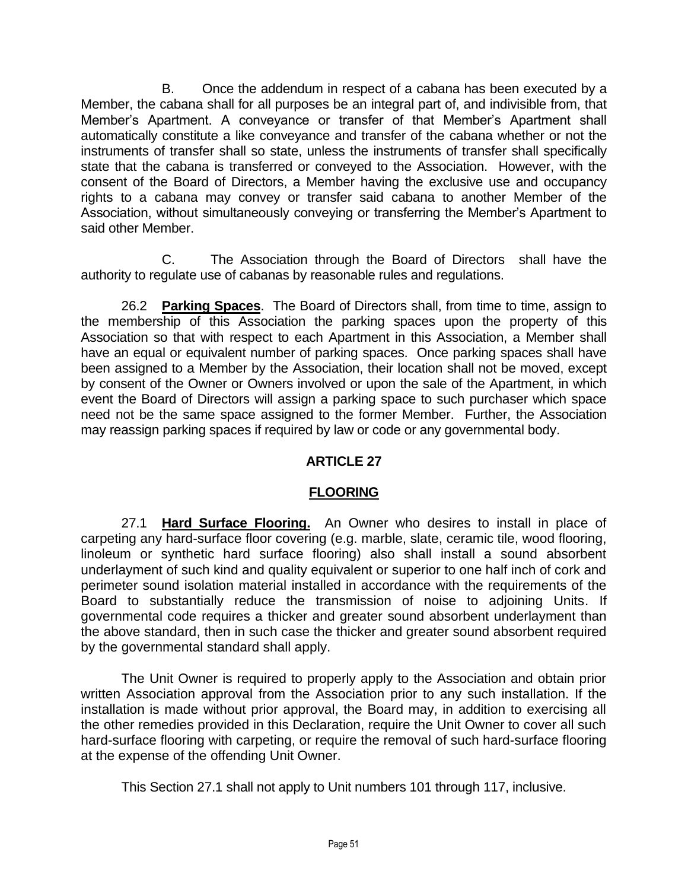B. Once the addendum in respect of a cabana has been executed by a Member, the cabana shall for all purposes be an integral part of, and indivisible from, that Member's Apartment. A conveyance or transfer of that Member's Apartment shall automatically constitute a like conveyance and transfer of the cabana whether or not the instruments of transfer shall so state, unless the instruments of transfer shall specifically state that the cabana is transferred or conveyed to the Association. However, with the consent of the Board of Directors, a Member having the exclusive use and occupancy rights to a cabana may convey or transfer said cabana to another Member of the Association, without simultaneously conveying or transferring the Member's Apartment to said other Member.

C. The Association through the Board of Directors shall have the authority to regulate use of cabanas by reasonable rules and regulations.

26.2 **Parking Spaces**. The Board of Directors shall, from time to time, assign to the membership of this Association the parking spaces upon the property of this Association so that with respect to each Apartment in this Association, a Member shall have an equal or equivalent number of parking spaces. Once parking spaces shall have been assigned to a Member by the Association, their location shall not be moved, except by consent of the Owner or Owners involved or upon the sale of the Apartment, in which event the Board of Directors will assign a parking space to such purchaser which space need not be the same space assigned to the former Member. Further, the Association may reassign parking spaces if required by law or code or any governmental body.

# **ARTICLE 27**

## **FLOORING**

27.1 **Hard Surface Flooring.** An Owner who desires to install in place of carpeting any hard-surface floor covering (e.g. marble, slate, ceramic tile, wood flooring, linoleum or synthetic hard surface flooring) also shall install a sound absorbent underlayment of such kind and quality equivalent or superior to one half inch of cork and perimeter sound isolation material installed in accordance with the requirements of the Board to substantially reduce the transmission of noise to adjoining Units. If governmental code requires a thicker and greater sound absorbent underlayment than the above standard, then in such case the thicker and greater sound absorbent required by the governmental standard shall apply.

The Unit Owner is required to properly apply to the Association and obtain prior written Association approval from the Association prior to any such installation. If the installation is made without prior approval, the Board may, in addition to exercising all the other remedies provided in this Declaration, require the Unit Owner to cover all such hard-surface flooring with carpeting, or require the removal of such hard-surface flooring at the expense of the offending Unit Owner.

This Section 27.1 shall not apply to Unit numbers 101 through 117, inclusive.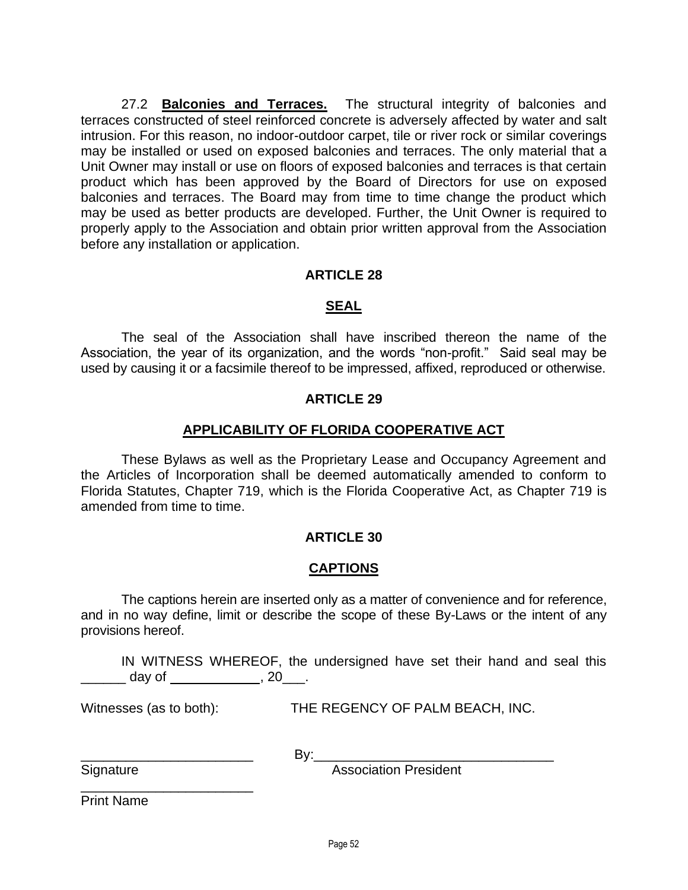27.2 **Balconies and Terraces.** The structural integrity of balconies and terraces constructed of steel reinforced concrete is adversely affected by water and salt intrusion. For this reason, no indoor-outdoor carpet, tile or river rock or similar coverings may be installed or used on exposed balconies and terraces. The only material that a Unit Owner may install or use on floors of exposed balconies and terraces is that certain product which has been approved by the Board of Directors for use on exposed balconies and terraces. The Board may from time to time change the product which may be used as better products are developed. Further, the Unit Owner is required to properly apply to the Association and obtain prior written approval from the Association before any installation or application.

### **ARTICLE 28**

#### **SEAL**

The seal of the Association shall have inscribed thereon the name of the Association, the year of its organization, and the words "non-profit." Said seal may be used by causing it or a facsimile thereof to be impressed, affixed, reproduced or otherwise.

#### **ARTICLE 29**

#### **APPLICABILITY OF FLORIDA COOPERATIVE ACT**

These Bylaws as well as the Proprietary Lease and Occupancy Agreement and the Articles of Incorporation shall be deemed automatically amended to conform to Florida Statutes, Chapter 719, which is the Florida Cooperative Act, as Chapter 719 is amended from time to time.

### **ARTICLE 30**

### **CAPTIONS**

The captions herein are inserted only as a matter of convenience and for reference, and in no way define, limit or describe the scope of these By-Laws or the intent of any provisions hereof.

IN WITNESS WHEREOF, the undersigned have set their hand and seal this  $\frac{1}{2}$  day of  $\frac{1}{2}$ , 20\_\_\_.

Witnesses (as to both): THE REGENCY OF PALM BEACH, INC.

\_\_\_\_\_\_\_\_\_\_\_\_\_\_\_\_\_\_\_\_\_\_\_ By:\_\_\_\_\_\_\_\_\_\_\_\_\_\_\_\_\_\_\_\_\_\_\_\_\_\_\_\_\_\_\_\_

Signature **Association President** 

Print Name

\_\_\_\_\_\_\_\_\_\_\_\_\_\_\_\_\_\_\_\_\_\_\_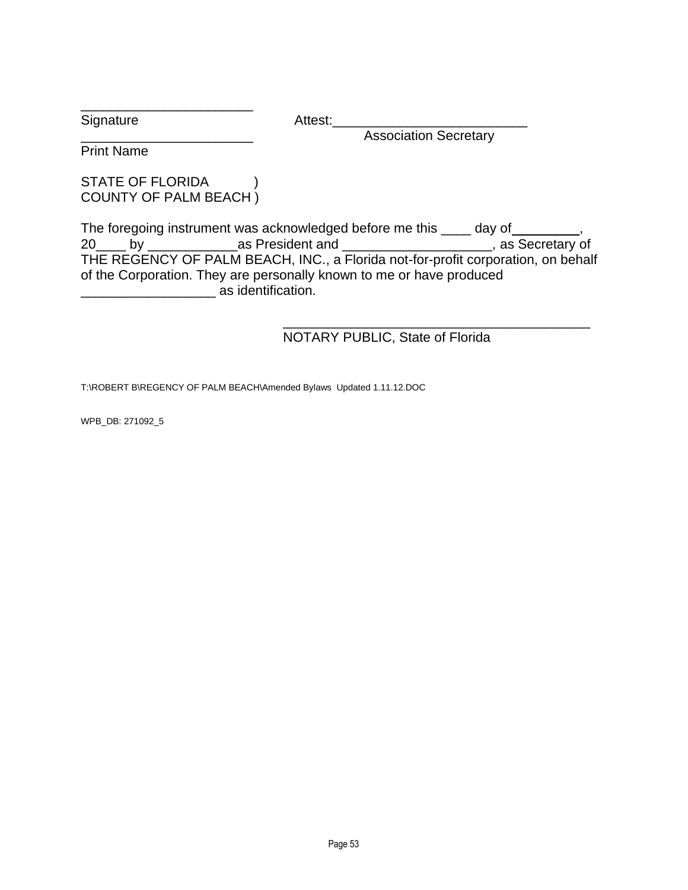Signature Attest:

Association Secretary

Print Name

### STATE OF FLORIDA (1) COUNTY OF PALM BEACH )

\_\_\_\_\_\_\_\_\_\_\_\_\_\_\_\_\_\_\_\_\_\_\_

The foregoing instrument was acknowledged before me this \_\_\_\_ day of \_\_\_\_\_\_\_\_\_, 20\_\_\_\_ by \_\_\_\_\_\_\_\_\_\_\_\_as President and \_\_\_\_\_\_\_\_\_\_\_\_\_\_\_\_\_\_\_\_, as Secretary of THE REGENCY OF PALM BEACH, INC., a Florida not-for-profit corporation, on behalf of the Corporation. They are personally known to me or have produced \_\_\_\_\_\_\_\_\_\_\_\_\_\_\_\_\_\_ as identification.

#### \_\_\_\_\_\_\_\_\_\_\_\_\_\_\_\_\_\_\_\_\_\_\_\_\_\_\_\_\_\_\_\_\_\_\_\_\_\_\_\_\_ NOTARY PUBLIC, State of Florida

T:\ROBERT B\REGENCY OF PALM BEACH\Amended Bylaws Updated 1.11.12.DOC

WPB\_DB: 271092\_5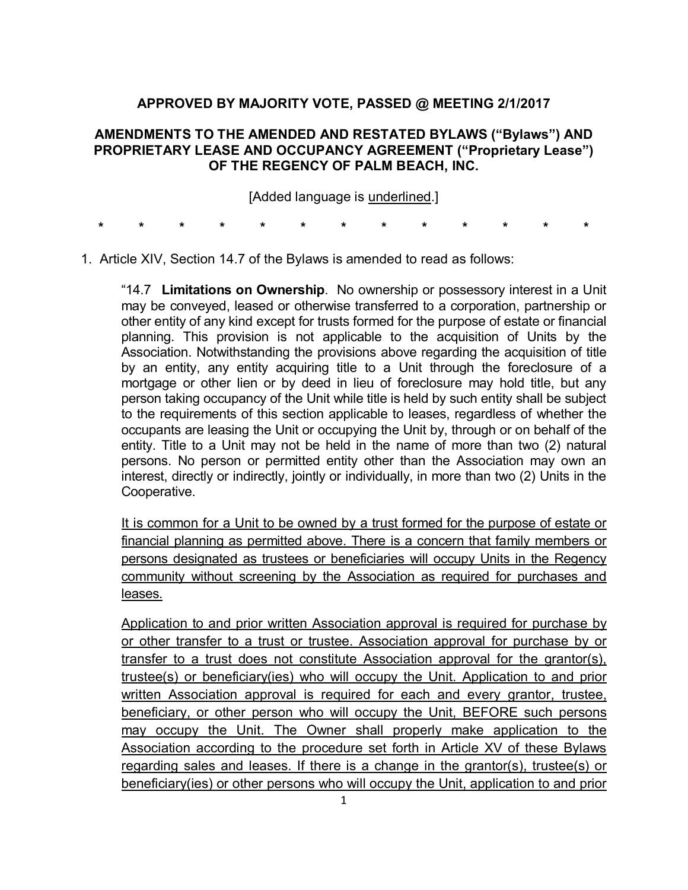## **APPROVED BY MAJORITY VOTE, PASSED @ MEETING 2/1/2017**

### **AMENDMENTS TO THE AMENDED AND RESTATED BYLAWS ("Bylaws") AND PROPRIETARY LEASE AND OCCUPANCY AGREEMENT ("Proprietary Lease") OF THE REGENCY OF PALM BEACH, INC.**

[Added language is underlined.]

**\* \* \* \* \* \* \* \* \* \* \* \* \*** 

1. Article XIV, Section 14.7 of the Bylaws is amended to read as follows:

"14.7 **Limitations on Ownership**. No ownership or possessory interest in a Unit may be conveyed, leased or otherwise transferred to a corporation, partnership or other entity of any kind except for trusts formed for the purpose of estate or financial planning. This provision is not applicable to the acquisition of Units by the Association. Notwithstanding the provisions above regarding the acquisition of title by an entity, any entity acquiring title to a Unit through the foreclosure of a mortgage or other lien or by deed in lieu of foreclosure may hold title, but any person taking occupancy of the Unit while title is held by such entity shall be subject to the requirements of this section applicable to leases, regardless of whether the occupants are leasing the Unit or occupying the Unit by, through or on behalf of the entity. Title to a Unit may not be held in the name of more than two (2) natural persons. No person or permitted entity other than the Association may own an interest, directly or indirectly, jointly or individually, in more than two (2) Units in the Cooperative.

It is common for a Unit to be owned by a trust formed for the purpose of estate or financial planning as permitted above. There is a concern that family members or persons designated as trustees or beneficiaries will occupy Units in the Regency community without screening by the Association as required for purchases and leases.

Application to and prior written Association approval is required for purchase by or other transfer to a trust or trustee. Association approval for purchase by or transfer to a trust does not constitute Association approval for the grantor(s), trustee(s) or beneficiary(ies) who will occupy the Unit. Application to and prior written Association approval is required for each and every grantor, trustee, beneficiary, or other person who will occupy the Unit, BEFORE such persons may occupy the Unit. The Owner shall properly make application to the Association according to the procedure set forth in Article XV of these Bylaws regarding sales and leases. If there is a change in the grantor(s), trustee(s) or beneficiary(ies) or other persons who will occupy the Unit, application to and prior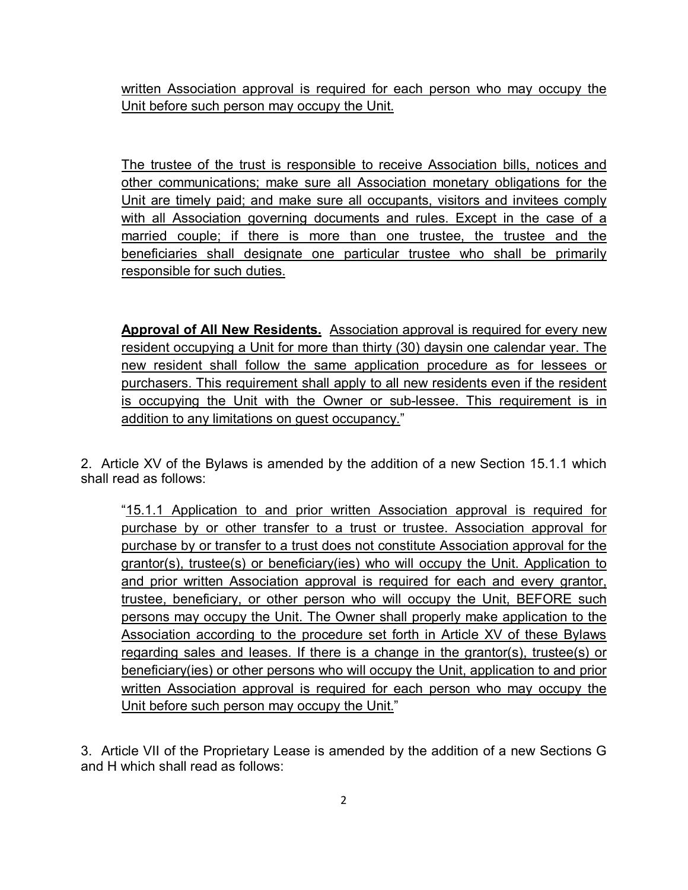written Association approval is required for each person who may occupy the Unit before such person may occupy the Unit.

The trustee of the trust is responsible to receive Association bills, notices and other communications; make sure all Association monetary obligations for the Unit are timely paid; and make sure all occupants, visitors and invitees comply with all Association governing documents and rules. Except in the case of a married couple; if there is more than one trustee, the trustee and the beneficiaries shall designate one particular trustee who shall be primarily responsible for such duties.

**Approval of All New Residents.** Association approval is required for every new resident occupying a Unit for more than thirty (30) daysin one calendar year. The new resident shall follow the same application procedure as for lessees or purchasers. This requirement shall apply to all new residents even if the resident is occupying the Unit with the Owner or sub-lessee. This requirement is in addition to any limitations on guest occupancy."

2. Article XV of the Bylaws is amended by the addition of a new Section 15.1.1 which shall read as follows:

"15.1.1 Application to and prior written Association approval is required for purchase by or other transfer to a trust or trustee. Association approval for purchase by or transfer to a trust does not constitute Association approval for the grantor(s), trustee(s) or beneficiary(ies) who will occupy the Unit. Application to and prior written Association approval is required for each and every grantor, trustee, beneficiary, or other person who will occupy the Unit, BEFORE such persons may occupy the Unit. The Owner shall properly make application to the Association according to the procedure set forth in Article XV of these Bylaws regarding sales and leases. If there is a change in the grantor(s), trustee(s) or beneficiary(ies) or other persons who will occupy the Unit, application to and prior written Association approval is required for each person who may occupy the Unit before such person may occupy the Unit."

3. Article VII of the Proprietary Lease is amended by the addition of a new Sections G and H which shall read as follows: